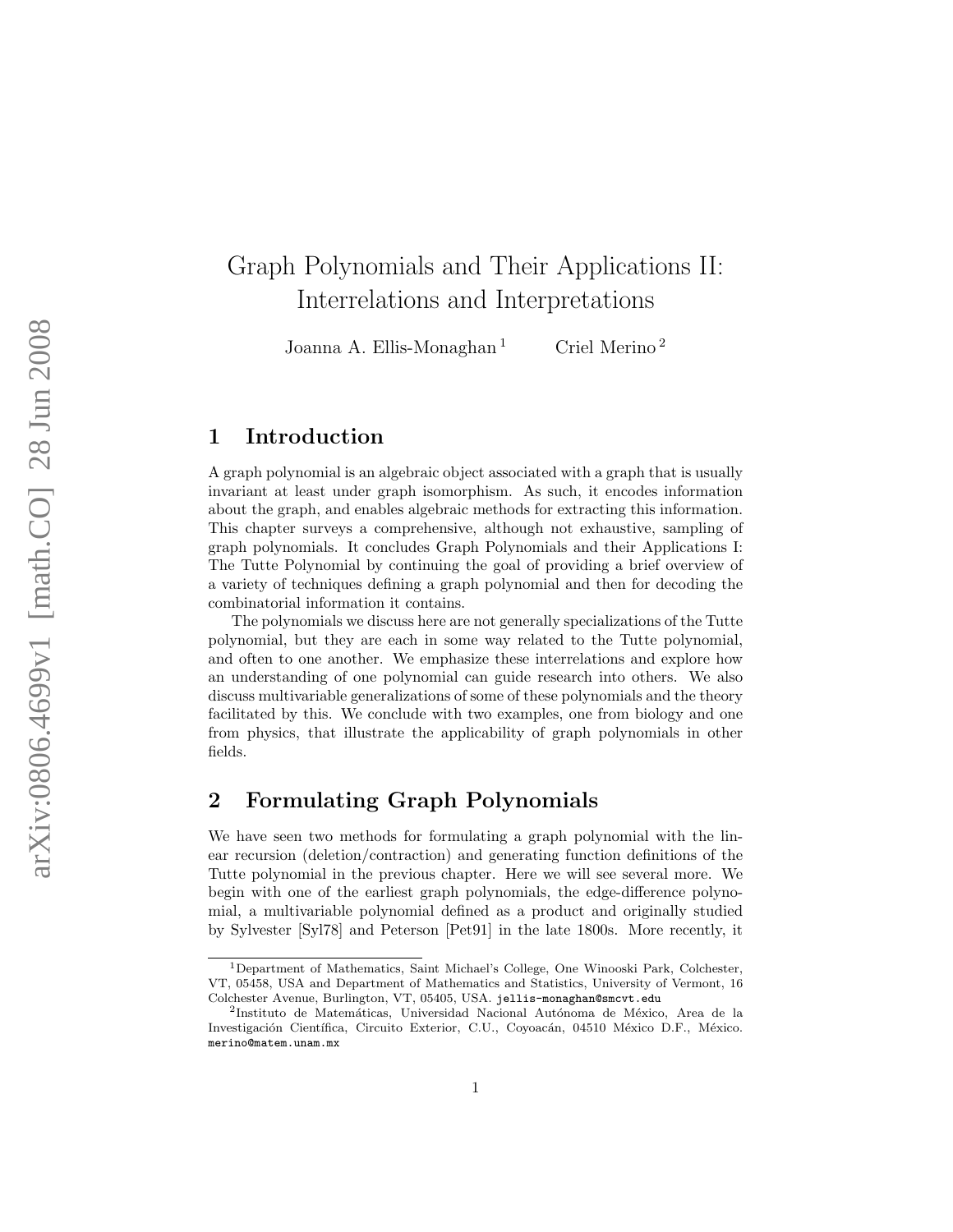# Graph Polynomials and Their Applications II: Interrelations and Interpretations

Joanna A. Ellis-Monaghan <sup>1</sup> Criel Merino<sup>2</sup>

### 1 Introduction

A graph polynomial is an algebraic object associated with a graph that is usually invariant at least under graph isomorphism. As such, it encodes information about the graph, and enables algebraic methods for extracting this information. This chapter surveys a comprehensive, although not exhaustive, sampling of graph polynomials. It concludes Graph Polynomials and their Applications I: The Tutte Polynomial by continuing the goal of providing a brief overview of a variety of techniques defining a graph polynomial and then for decoding the combinatorial information it contains.

The polynomials we discuss here are not generally specializations of the Tutte polynomial, but they are each in some way related to the Tutte polynomial, and often to one another. We emphasize these interrelations and explore how an understanding of one polynomial can guide research into others. We also discuss multivariable generalizations of some of these polynomials and the theory facilitated by this. We conclude with two examples, one from biology and one from physics, that illustrate the applicability of graph polynomials in other fields.

### 2 Formulating Graph Polynomials

We have seen two methods for formulating a graph polynomial with the linear recursion (deletion/contraction) and generating function definitions of the Tutte polynomial in the previous chapter. Here we will see several more. We begin with one of the earliest graph polynomials, the edge-difference polynomial, a multivariable polynomial defined as a product and originally studied by Sylvester [Syl78] and Peterson [Pet91] in the late 1800s. More recently, it

<sup>1</sup>Department of Mathematics, Saint Michael's College, One Winooski Park, Colchester, VT, 05458, USA and Department of Mathematics and Statistics, University of Vermont, 16 Colchester Avenue, Burlington, VT, 05405, USA. jellis-monaghan@smcvt.edu <sup>2</sup>

<sup>&</sup>lt;sup>2</sup>Instituto de Matemáticas, Universidad Nacional Autónoma de México, Area de la Investigación Científica, Circuito Exterior, C.U., Coyoacán, 04510 México D.F., México. merino@matem.unam.mx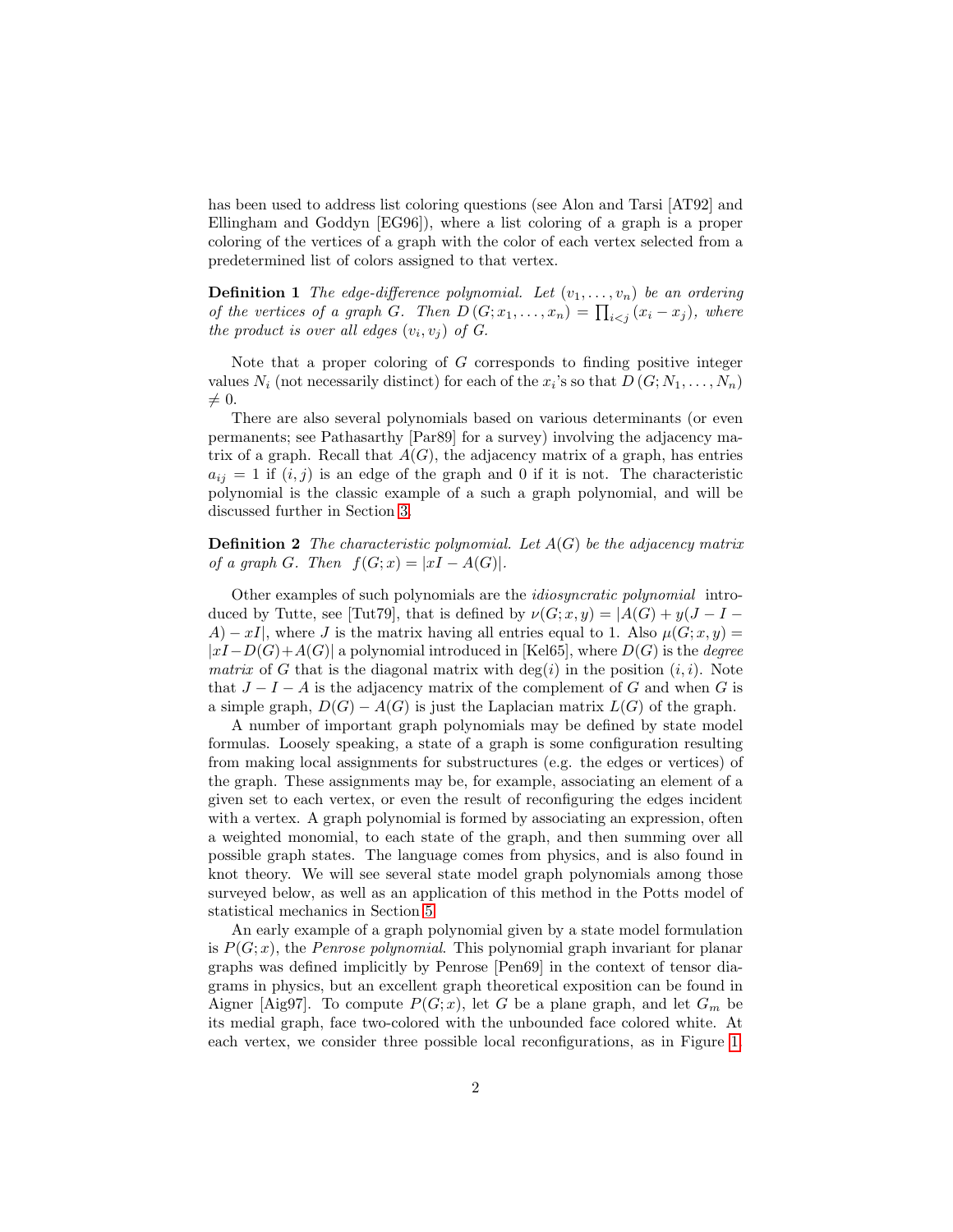has been used to address list coloring questions (see Alon and Tarsi [AT92] and Ellingham and Goddyn [EG96]), where a list coloring of a graph is a proper coloring of the vertices of a graph with the color of each vertex selected from a predetermined list of colors assigned to that vertex.

**Definition 1** The edge-difference polynomial. Let  $(v_1, \ldots, v_n)$  be an ordering of the vertices of a graph G. Then  $D(G; x_1, \ldots, x_n) = \prod_{i < j} (x_i - x_j)$ , where the product is over all edges  $(v_i, v_j)$  of G.

Note that a proper coloring of  $G$  corresponds to finding positive integer values  $N_i$  (not necessarily distinct) for each of the  $x_i$ 's so that  $D(G;N_1,\ldots,N_n)$  $\neq 0.$ 

There are also several polynomials based on various determinants (or even permanents; see Pathasarthy [Par89] for a survey) involving the adjacency matrix of a graph. Recall that  $A(G)$ , the adjacency matrix of a graph, has entries  $a_{ij} = 1$  if  $(i, j)$  is an edge of the graph and 0 if it is not. The characteristic polynomial is the classic example of a such a graph polynomial, and will be discussed further in Section [3.](#page-2-0)

<span id="page-1-0"></span>**Definition 2** The characteristic polynomial. Let  $A(G)$  be the adjacency matrix of a graph G. Then  $f(G; x) = |xI - A(G)|$ .

Other examples of such polynomials are the idiosyncratic polynomial introduced by Tutte, see [Tut79], that is defined by  $\nu(G; x, y) = |A(G) + y(J - I A$ ) – xI, where J is the matrix having all entries equal to 1. Also  $\mu(G; x, y) =$  $|xI-D(G)+A(G)|$  a polynomial introduced in [Kel65], where  $D(G)$  is the *degree* matrix of G that is the diagonal matrix with  $\deg(i)$  in the position  $(i, i)$ . Note that  $J - I - A$  is the adjacency matrix of the complement of G and when G is a simple graph,  $D(G) - A(G)$  is just the Laplacian matrix  $L(G)$  of the graph.

A number of important graph polynomials may be defined by state model formulas. Loosely speaking, a state of a graph is some configuration resulting from making local assignments for substructures (e.g. the edges or vertices) of the graph. These assignments may be, for example, associating an element of a given set to each vertex, or even the result of reconfiguring the edges incident with a vertex. A graph polynomial is formed by associating an expression, often a weighted monomial, to each state of the graph, and then summing over all possible graph states. The language comes from physics, and is also found in knot theory. We will see several state model graph polynomials among those surveyed below, as well as an application of this method in the Potts model of statistical mechanics in Section [5.](#page-26-0)

An early example of a graph polynomial given by a state model formulation is  $P(G; x)$ , the *Penrose polynomial*. This polynomial graph invariant for planar graphs was defined implicitly by Penrose [Pen69] in the context of tensor diagrams in physics, but an excellent graph theoretical exposition can be found in Aigner [Aig97]. To compute  $P(G; x)$ , let G be a plane graph, and let  $G_m$  be its medial graph, face two-colored with the unbounded face colored white. At each vertex, we consider three possible local reconfigurations, as in Figure [1.](#page-2-1)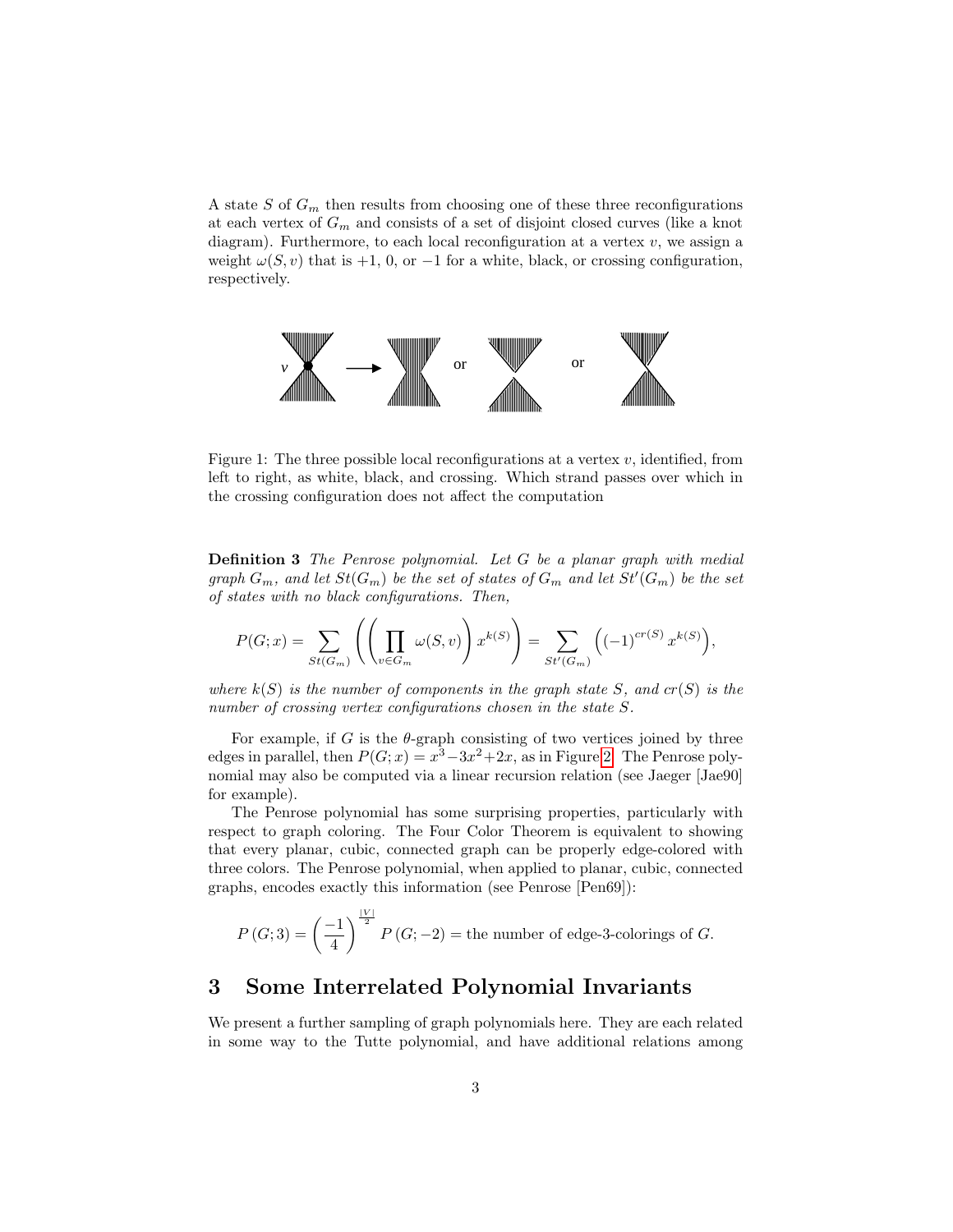A state  $S$  of  $G_m$  then results from choosing one of these three reconfigurations at each vertex of  $G_m$  and consists of a set of disjoint closed curves (like a knot diagram). Furthermore, to each local reconfiguration at a vertex  $v$ , we assign a weight  $\omega(S, v)$  that is +1, 0, or -1 for a white, black, or crossing configuration, respectively.



<span id="page-2-1"></span>the crossing configuration does not affect the computation Figure 1: The three possible local reconfigurations at a vertex  $v$ , identified, from left to right, as white, black, and crossing. Which strand passes over which in

*crossing*. Which strand passes over which in the **Definition 3** The Penrose polynomial. Let G be a planar graph with medial. graph  $G_m$ , and let  $St(G_m)$  be the set of states of  $G_m$  and let  $St'(G_m)$  be the set of states with no black configurations. Then,

$$
P(G;x) = \sum_{St(G_m)} \left( \left( \prod_{v \in G_m} \omega(S,v) \right) x^{k(S)} \right) = \sum_{St'(G_m)} \left( (-1)^{cr(S)} x^{k(S)} \right),
$$

where  $k(S)$  is the number of components in the graph state S, and  $cr(S)$  is the number of crossing vertex configurations chosen in the state S.

For example, if G is the  $\theta$ -graph consisting of two vertices joined by three edges in parallel, then  $P(G; x) = x^3 - 3x^2 + 2x$ , as in Figure [2.](#page-3-0) The Penrose polynomial may also be computed via a linear recursion relation (see Jaeger [Jae90] for example).

The Penrose polynomial has some surprising properties, particularly with respect to graph coloring. The Four Color Theorem is equivalent to showing that every planar, cubic, connected graph can be properly edge-colored with three colors. The Penrose polynomial, when applied to planar, cubic, connected graphs, encodes exactly this information (see Penrose [Pen69]):

$$
P(G;3) = \left(\frac{-1}{4}\right)^{\frac{|V|}{2}} P(G;-2) = \text{the number of edge-3-colorings of } G.
$$

## <span id="page-2-0"></span>3 Some Interrelated Polynomial Invariants

We present a further sampling of graph polynomials here. They are each related in some way to the Tutte polynomial, and have additional relations among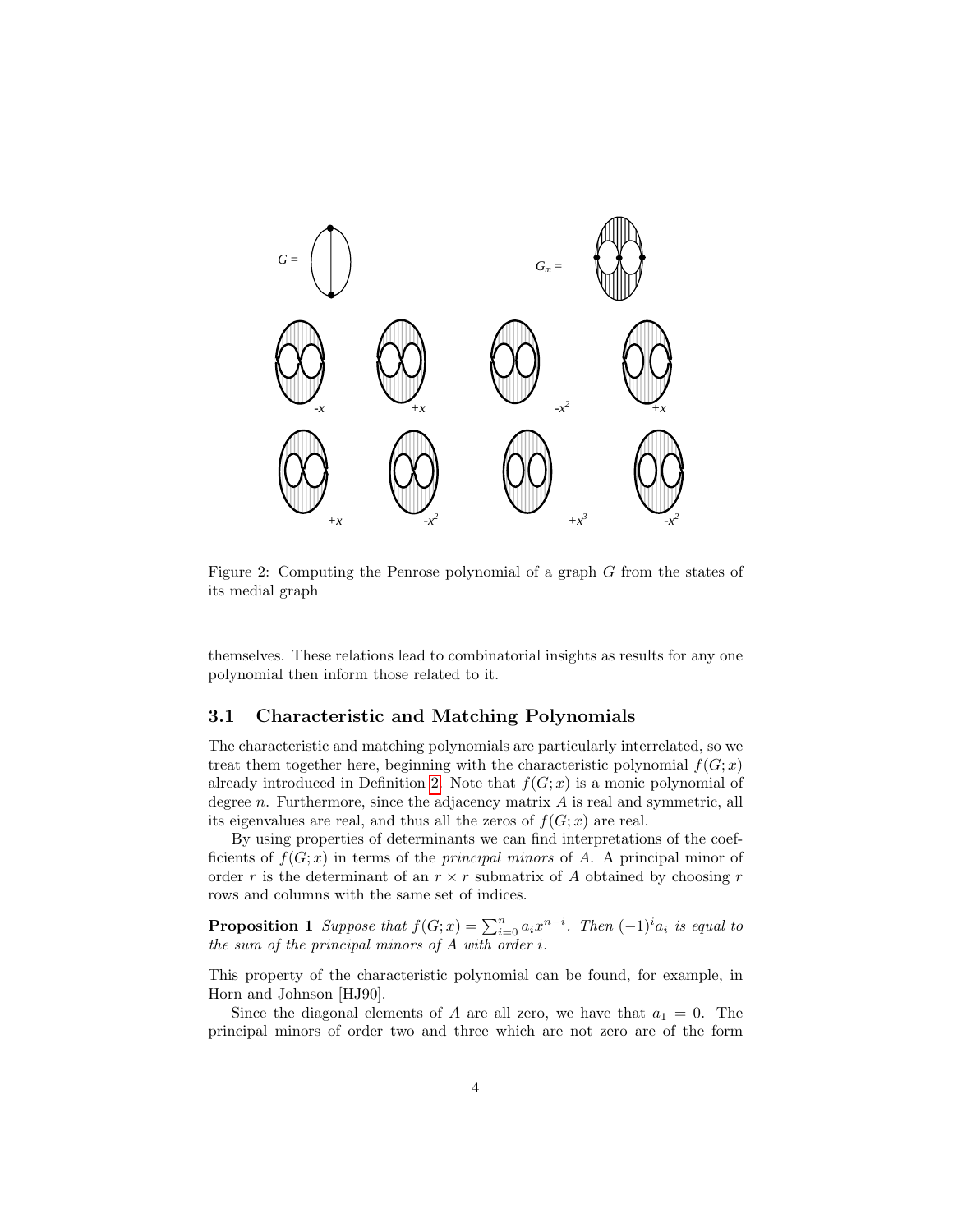

its medial graph Figure 2: Computing the Penrose polynomial of a graph G from the states of

<span id="page-3-0"></span>themselves. These relations lead to combinatorial insights as results for any one polynomial then inform those related to it.

#### 3.1 Characteristic and Matching Polynomials

The characteristic and matching polynomials are particularly interrelated, so we treat them together here, beginning with the characteristic polynomial  $f(G; x)$ already introduced in Definition [2.](#page-1-0) Note that  $f(G; x)$  is a monic polynomial of degree *n*. Furthermore, since the adjacency matrix *A* is real and symmetric, all its eigenvalues are real, and thus all the zeros of  $f(G; x)$  are real.

By using properties of determinants we can find interpretations of the coefficients of  $f(G; x)$  in terms of the *principal minors* of A. A principal minor of order r is the determinant of an  $r \times r$  submatrix of A obtained by choosing r rows and columns with the same set of indices.

<span id="page-3-1"></span>**Proposition 1** Suppose that  $f(G; x) = \sum_{i=0}^{n} a_i x^{n-i}$ . Then  $(-1)^i a_i$  is equal to the sum of the principal minors of A with order i.

This property of the characteristic polynomial can be found, for example, in Horn and Johnson [HJ90].

Since the diagonal elements of A are all zero, we have that  $a_1 = 0$ . The principal minors of order two and three which are not zero are of the form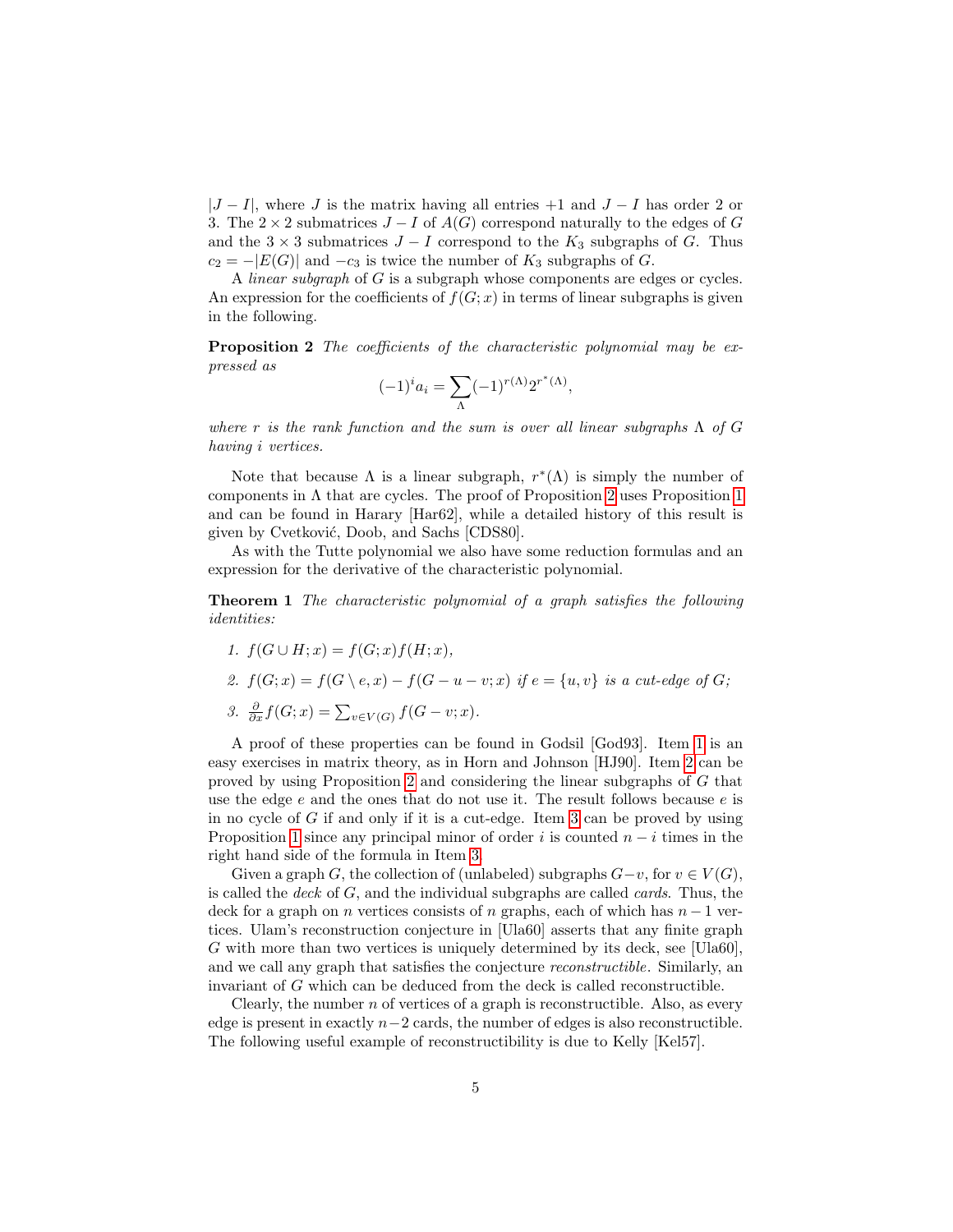$|J - I|$ , where J is the matrix having all entries  $+1$  and  $J - I$  has order 2 or 3. The  $2 \times 2$  submatrices  $J - I$  of  $A(G)$  correspond naturally to the edges of G and the  $3 \times 3$  submatrices  $J - I$  correspond to the  $K_3$  subgraphs of G. Thus  $c_2 = -|E(G)|$  and  $-c_3$  is twice the number of  $K_3$  subgraphs of G.

A linear subgraph of G is a subgraph whose components are edges or cycles. An expression for the coefficients of  $f(G; x)$  in terms of linear subgraphs is given in the following.

Proposition 2 The coefficients of the characteristic polynomial may be expressed as

<span id="page-4-4"></span><span id="page-4-0"></span>
$$
(-1)^i a_i = \sum_{\Lambda} (-1)^{r(\Lambda)} 2^{r^*(\Lambda)},
$$

where r is the rank function and the sum is over all linear subgraphs  $\Lambda$  of G having i vertices.

Note that because  $\Lambda$  is a linear subgraph,  $r^*(\Lambda)$  is simply the number of components in  $\Lambda$  that are cycles. The proof of Proposition [2](#page-4-0) uses Proposition [1](#page-3-1) and can be found in Harary [Har62], while a detailed history of this result is given by Cvetković, Doob, and Sachs [CDS80].

As with the Tutte polynomial we also have some reduction formulas and an expression for the derivative of the characteristic polynomial.

Theorem 1 The characteristic polynomial of a graph satisfies the following identities:

- <span id="page-4-1"></span>1.  $f(G \cup H; x) = f(G; x) f(H; x),$
- <span id="page-4-2"></span>2.  $f(G; x) = f(G \setminus e, x) - f(G - u - v; x)$  if  $e = \{u, v\}$  is a cut-edge of G;

<span id="page-4-3"></span>3. 
$$
\frac{\partial}{\partial x} f(G; x) = \sum_{v \in V(G)} f(G - v; x).
$$

A proof of these properties can be found in Godsil [God93]. Item [1](#page-4-1) is an easy exercises in matrix theory, as in Horn and Johnson [HJ90]. Item [2](#page-4-2) can be proved by using Proposition [2](#page-4-0) and considering the linear subgraphs of G that use the edge  $e$  and the ones that do not use it. The result follows because  $e$  is in no cycle of G if and only if it is a cut-edge. Item [3](#page-4-3) can be proved by using Proposition [1](#page-3-1) since any principal minor of order i is counted  $n - i$  times in the right hand side of the formula in Item [3.](#page-4-3)

Given a graph G, the collection of (unlabeled) subgraphs  $G-v$ , for  $v \in V(G)$ , is called the deck of  $G$ , and the individual subgraphs are called *cards*. Thus, the deck for a graph on n vertices consists of n graphs, each of which has  $n-1$  vertices. Ulam's reconstruction conjecture in [Ula60] asserts that any finite graph G with more than two vertices is uniquely determined by its deck, see [Ula60], and we call any graph that satisfies the conjecture reconstructible. Similarly, an invariant of G which can be deduced from the deck is called reconstructible.

Clearly, the number  $n$  of vertices of a graph is reconstructible. Also, as every edge is present in exactly  $n-2$  cards, the number of edges is also reconstructible. The following useful example of reconstructibility is due to Kelly [Kel57].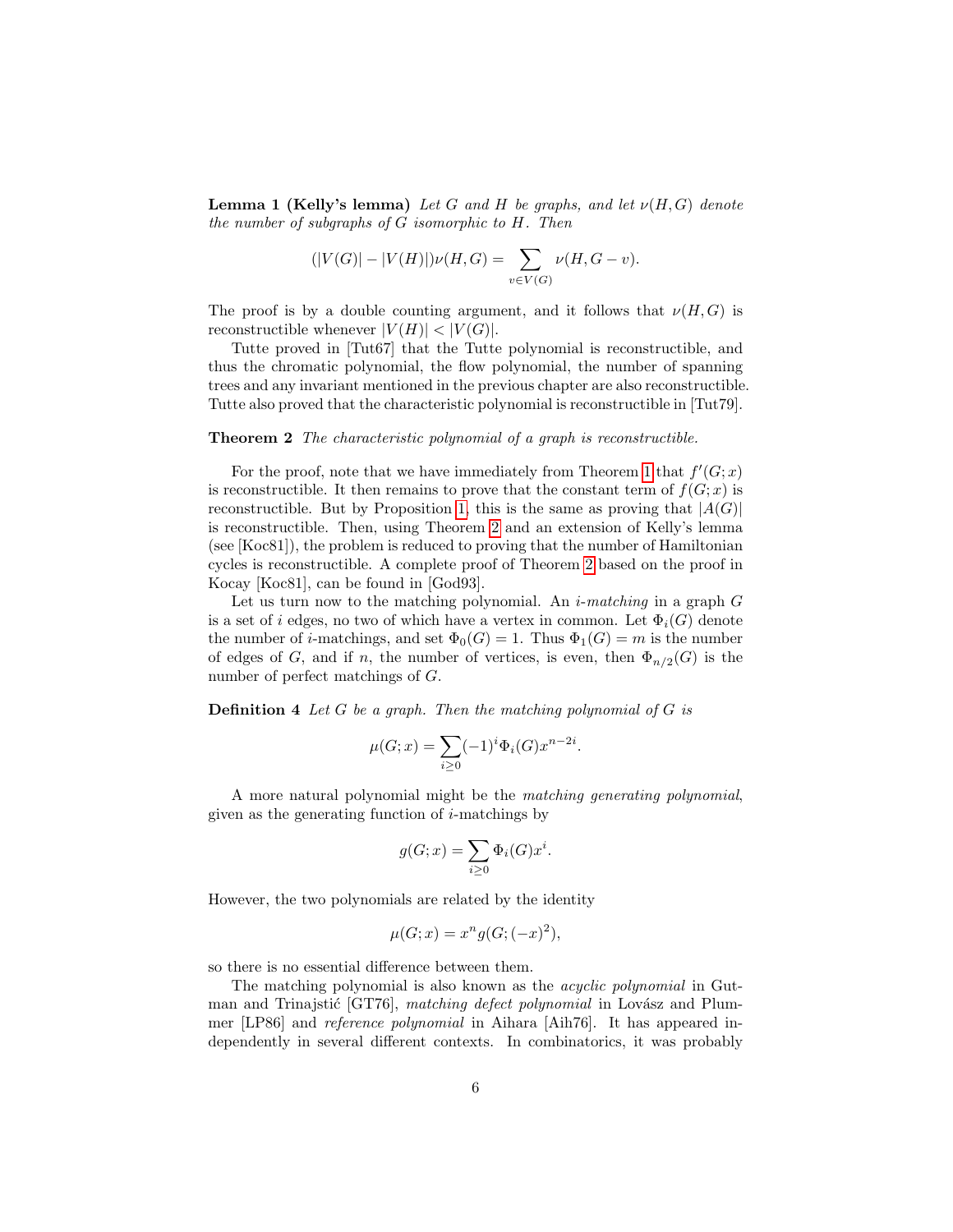**Lemma 1 (Kelly's lemma)** Let G and H be graphs, and let  $\nu(H, G)$  denote the number of subgraphs of G isomorphic to H. Then

$$
(|V(G)| - |V(H)|)\nu(H, G) = \sum_{v \in V(G)} \nu(H, G - v).
$$

The proof is by a double counting argument, and it follows that  $\nu(H, G)$  is reconstructible whenever  $|V(H)| < |V(G)|$ .

Tutte proved in [Tut67] that the Tutte polynomial is reconstructible, and thus the chromatic polynomial, the flow polynomial, the number of spanning trees and any invariant mentioned in the previous chapter are also reconstructible. Tutte also proved that the characteristic polynomial is reconstructible in [Tut79].

#### <span id="page-5-0"></span>**Theorem 2** The characteristic polynomial of a graph is reconstructible.

For the proof, note that we have immediately from Theorem [1](#page-4-4) that  $f'(G; x)$ is reconstructible. It then remains to prove that the constant term of  $f(G; x)$  is reconstructible. But by Proposition [1,](#page-3-1) this is the same as proving that  $|A(G)|$ is reconstructible. Then, using Theorem [2](#page-4-0) and an extension of Kelly's lemma (see [Koc81]), the problem is reduced to proving that the number of Hamiltonian cycles is reconstructible. A complete proof of Theorem [2](#page-5-0) based on the proof in Kocay [Koc81], can be found in [God93].

Let us turn now to the matching polynomial. An i-matching in a graph  $G$ is a set of i edges, no two of which have a vertex in common. Let  $\Phi_i(G)$  denote the number of *i*-matchings, and set  $\Phi_0(G) = 1$ . Thus  $\Phi_1(G) = m$  is the number of edges of G, and if n, the number of vertices, is even, then  $\Phi_{n/2}(G)$  is the number of perfect matchings of G.

**Definition 4** Let  $G$  be a graph. Then the matching polynomial of  $G$  is

$$
\mu(G; x) = \sum_{i \ge 0} (-1)^i \Phi_i(G) x^{n-2i}.
$$

A more natural polynomial might be the matching generating polynomial, given as the generating function of  $i$ -matchings by

$$
g(G; x) = \sum_{i \ge 0} \Phi_i(G) x^i.
$$

However, the two polynomials are related by the identity

$$
\mu(G; x) = x^n g(G; (-x)^2),
$$

so there is no essential difference between them.

The matching polynomial is also known as the acyclic polynomial in Gutman and Trinajstić [GT76], matching defect polynomial in Lovász and Plummer [LP86] and reference polynomial in Aihara [Aih76]. It has appeared independently in several different contexts. In combinatorics, it was probably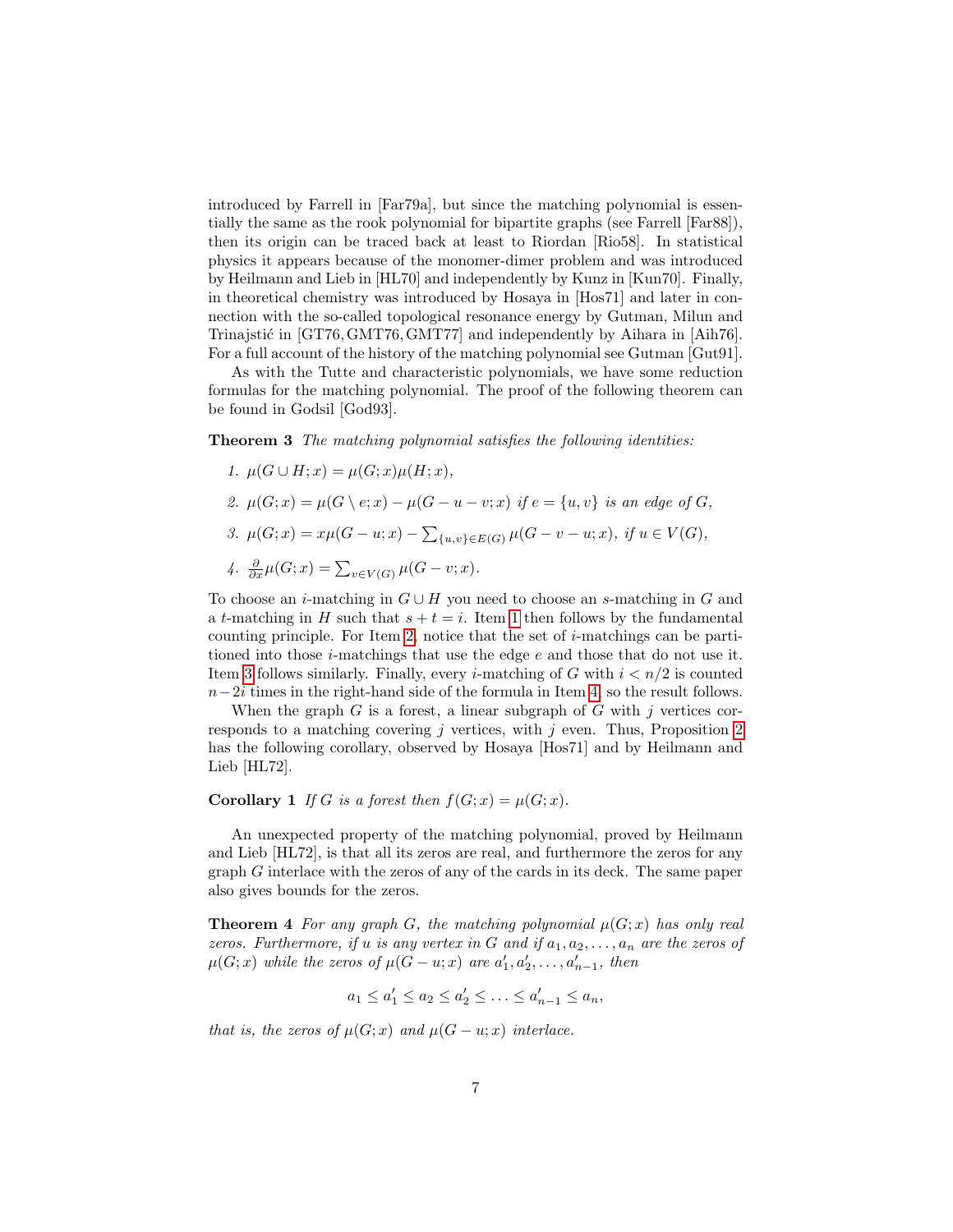introduced by Farrell in [Far79a], but since the matching polynomial is essentially the same as the rook polynomial for bipartite graphs (see Farrell [Far88]), then its origin can be traced back at least to Riordan [Rio58]. In statistical physics it appears because of the monomer-dimer problem and was introduced by Heilmann and Lieb in [HL70] and independently by Kunz in [Kun70]. Finally, in theoretical chemistry was introduced by Hosaya in [Hos71] and later in connection with the so-called topological resonance energy by Gutman, Milun and Trinajstić in [GT76, GMT76, GMT77] and independently by Aihara in [Aih76]. For a full account of the history of the matching polynomial see Gutman [Gut91].

As with the Tutte and characteristic polynomials, we have some reduction formulas for the matching polynomial. The proof of the following theorem can be found in Godsil [God93].

**Theorem 3** The matching polynomial satisfies the following identities:

<span id="page-6-2"></span><span id="page-6-1"></span><span id="page-6-0"></span>1.  $\mu(G \cup H; x) = \mu(G; x)\mu(H; x),$ 2.  $\mu(G; x) = \mu(G \setminus e; x) - \mu(G - u - v; x)$  if  $e = \{u, v\}$  is an edge of G, 3.  $\mu(G; x) = x\mu(G - u; x) - \sum_{\{u, v\} \in E(G)} \mu(G - v - u; x), \text{ if } u \in V(G),$ 4.  $\frac{\partial}{\partial x}\mu(G; x) = \sum_{v \in V(G)} \mu(G - v; x)$ .

<span id="page-6-3"></span>To choose an *i*-matching in  $G \cup H$  you need to choose an *s*-matching in G and a t-matching in H such that  $s + t = i$ . Item [1](#page-6-0) then follows by the fundamental counting principle. For Item [2,](#page-6-1) notice that the set of i-matchings can be partitioned into those  $i$ -matchings that use the edge  $e$  and those that do not use it. Item [3](#page-6-2) follows similarly. Finally, every *i*-matching of G with  $i < n/2$  is counted  $n-2i$  times in the right-hand side of the formula in Item [4,](#page-6-3) so the result follows.

When the graph  $G$  is a forest, a linear subgraph of  $G$  with  $j$  vertices corresponds to a matching covering  $j$  vertices, with  $j$  even. Thus, Proposition [2](#page-4-0) has the following corollary, observed by Hosaya [Hos71] and by Heilmann and Lieb [HL72].

<span id="page-6-5"></span>**Corollary 1** If G is a forest then  $f(G; x) = \mu(G; x)$ .

An unexpected property of the matching polynomial, proved by Heilmann and Lieb [HL72], is that all its zeros are real, and furthermore the zeros for any graph G interlace with the zeros of any of the cards in its deck. The same paper also gives bounds for the zeros.

<span id="page-6-4"></span>**Theorem 4** For any graph G, the matching polynomial  $\mu(G; x)$  has only real zeros. Furthermore, if u is any vertex in G and if  $a_1, a_2, \ldots, a_n$  are the zeros of  $\mu(G; x)$  while the zeros of  $\mu(G - u; x)$  are  $a'_1, a'_2, \ldots, a'_{n-1}$ , then

$$
a_1 \leq a'_1 \leq a_2 \leq a'_2 \leq \ldots \leq a'_{n-1} \leq a_n
$$
,

that is, the zeros of  $\mu(G; x)$  and  $\mu(G - u; x)$  interlace.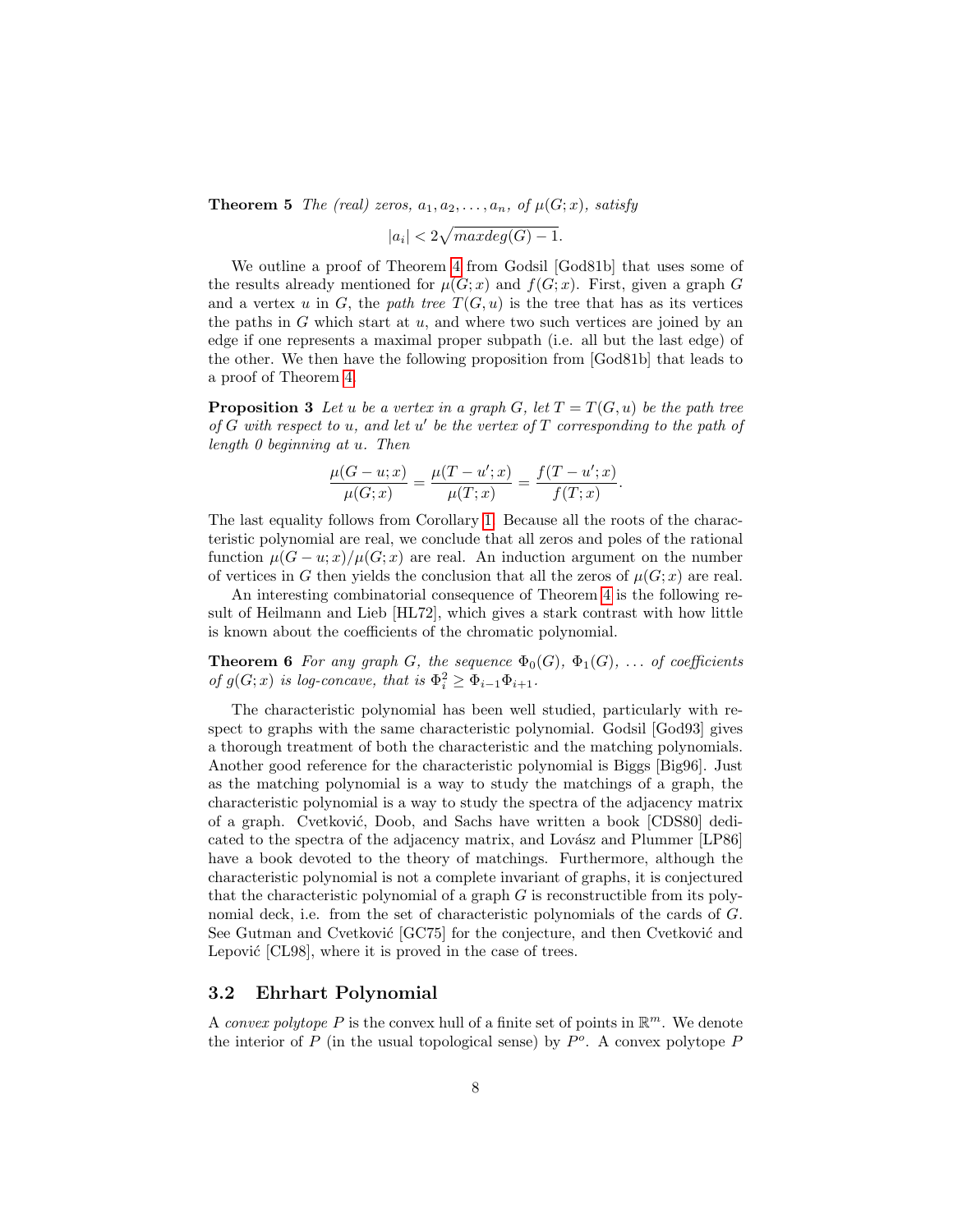**Theorem 5** The (real) zeros,  $a_1, a_2, \ldots, a_n$ , of  $\mu(G; x)$ , satisfy

$$
|a_i| < 2\sqrt{maxdeg(G) - 1}.
$$

We outline a proof of Theorem [4](#page-6-4) from Godsil [God81b] that uses some of the results already mentioned for  $\mu(G; x)$  and  $f(G; x)$ . First, given a graph G and a vertex u in G, the path tree  $T(G, u)$  is the tree that has as its vertices the paths in  $G$  which start at  $u$ , and where two such vertices are joined by an edge if one represents a maximal proper subpath (i.e. all but the last edge) of the other. We then have the following proposition from [God81b] that leads to a proof of Theorem [4.](#page-6-4)

**Proposition 3** Let u be a vertex in a graph G, let  $T = T(G, u)$  be the path tree of  $G$  with respect to u, and let  $u'$  be the vertex of  $T$  corresponding to the path of length 0 beginning at u. Then

$$
\frac{\mu(G - u; x)}{\mu(G; x)} = \frac{\mu(T - u'; x)}{\mu(T; x)} = \frac{f(T - u'; x)}{f(T; x)}.
$$

The last equality follows from Corollary [1.](#page-6-5) Because all the roots of the characteristic polynomial are real, we conclude that all zeros and poles of the rational function  $\mu(G - u; x)/\mu(G; x)$  are real. An induction argument on the number of vertices in G then yields the conclusion that all the zeros of  $\mu(G; x)$  are real.

An interesting combinatorial consequence of Theorem [4](#page-6-4) is the following result of Heilmann and Lieb [HL72], which gives a stark contrast with how little is known about the coefficients of the chromatic polynomial.

**Theorem 6** For any graph G, the sequence  $\Phi_0(G)$ ,  $\Phi_1(G)$ , ... of coefficients of  $g(G; x)$  is log-concave, that is  $\Phi_i^2 \geq \Phi_{i-1}\Phi_{i+1}$ .

The characteristic polynomial has been well studied, particularly with respect to graphs with the same characteristic polynomial. Godsil [God93] gives a thorough treatment of both the characteristic and the matching polynomials. Another good reference for the characteristic polynomial is Biggs [Big96]. Just as the matching polynomial is a way to study the matchings of a graph, the characteristic polynomial is a way to study the spectra of the adjacency matrix of a graph. Cvetković, Doob, and Sachs have written a book [CDS80] dedicated to the spectra of the adjacency matrix, and Lovász and Plummer [LP86] have a book devoted to the theory of matchings. Furthermore, although the characteristic polynomial is not a complete invariant of graphs, it is conjectured that the characteristic polynomial of a graph  $G$  is reconstructible from its polynomial deck, i.e. from the set of characteristic polynomials of the cards of G. See Gutman and Cvetković [GC75] for the conjecture, and then Cvetković and Lepović [CL98], where it is proved in the case of trees.

#### 3.2 Ehrhart Polynomial

A convex polytope P is the convex hull of a finite set of points in  $\mathbb{R}^m$ . We denote the interior of  $P$  (in the usual topological sense) by  $P^o$ . A convex polytope  $P$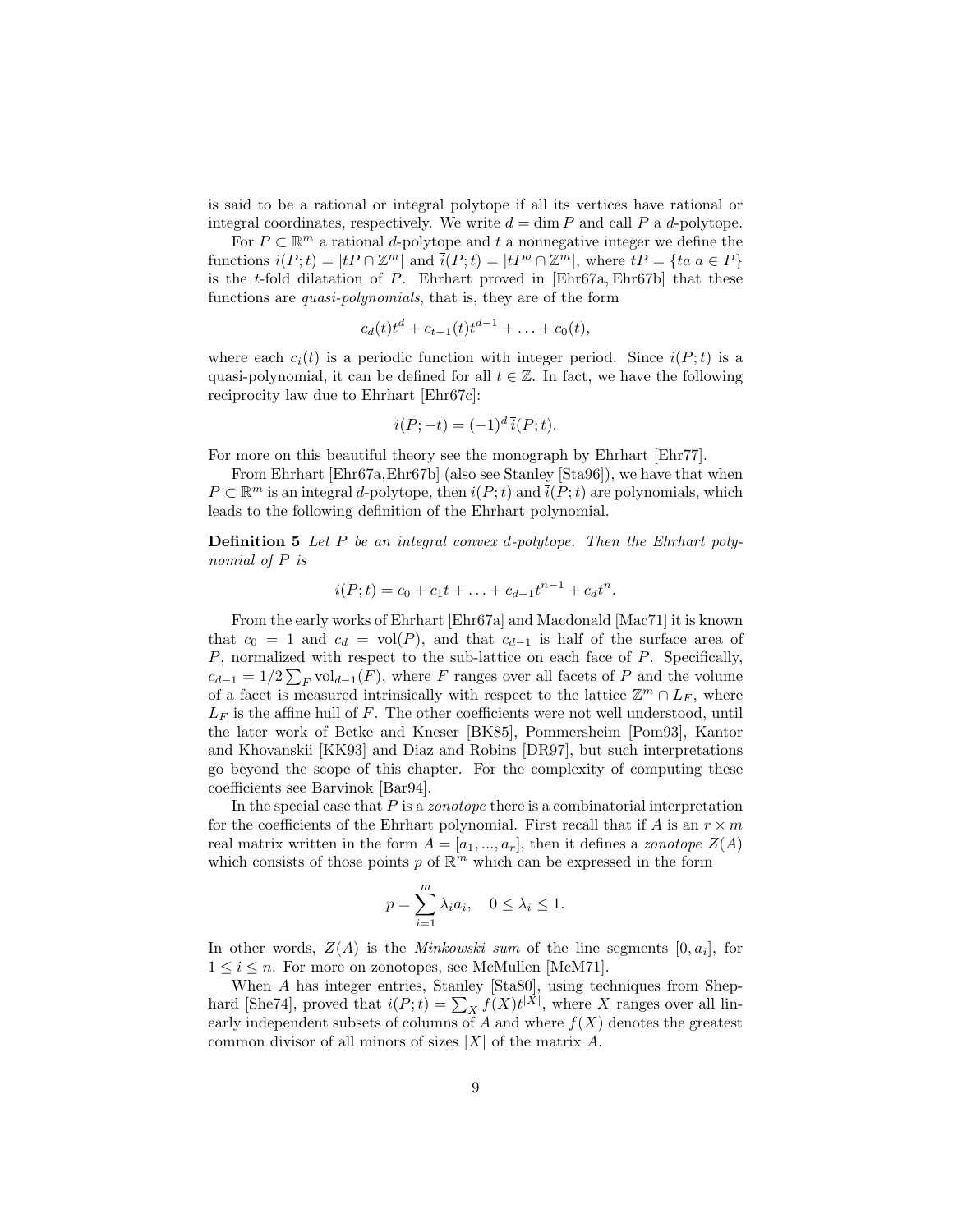is said to be a rational or integral polytope if all its vertices have rational or integral coordinates, respectively. We write  $d = \dim P$  and call P a d-polytope.

For  $P \subset \mathbb{R}^m$  a rational d-polytope and t a nonnegative integer we define the functions  $i(P; t) = |t P \cap \mathbb{Z}^m|$  and  $\overline{i}(P; t) = |t P^o \cap \mathbb{Z}^m|$ , where  $t P = \{ta | a \in P\}$ is the t-fold dilatation of P. Ehrhart proved in  $[\text{Ehr67a}, \text{Ehr67b}]$  that these functions are quasi-polynomials, that is, they are of the form

$$
c_d(t)t^d + c_{t-1}(t)t^{d-1} + \ldots + c_0(t),
$$

where each  $c_i(t)$  is a periodic function with integer period. Since  $i(P; t)$  is a quasi-polynomial, it can be defined for all  $t \in \mathbb{Z}$ . In fact, we have the following reciprocity law due to Ehrhart [Ehr67c]:

$$
i(P; -t) = (-1)^d \overline{i}(P; t).
$$

For more on this beautiful theory see the monograph by Ehrhart [Ehr77].

From Ehrhart [Ehr67a,Ehr67b] (also see Stanley [Sta96]), we have that when  $P \subset \mathbb{R}^m$  is an integral d-polytope, then  $i(P; t)$  and  $\overline{i}(P; t)$  are polynomials, which leads to the following definition of the Ehrhart polynomial.

Definition 5 Let P be an integral convex d-polytope. Then the Ehrhart polynomial of P is

$$
i(P; t) = c_0 + c_1 t + \ldots + c_{d-1} t^{n-1} + c_d t^n.
$$

From the early works of Ehrhart [Ehr67a] and Macdonald [Mac71] it is known that  $c_0 = 1$  and  $c_d = \text{vol}(P)$ , and that  $c_{d-1}$  is half of the surface area of P, normalized with respect to the sub-lattice on each face of P. Specifically,  $c_{d-1} = 1/2 \sum_{F} \text{vol}_{d-1}(F)$ , where F ranges over all facets of P and the volume of a facet is measured intrinsically with respect to the lattice  $\mathbb{Z}^m \cap L_F$ , where  $L_F$  is the affine hull of  $F$ . The other coefficients were not well understood, until the later work of Betke and Kneser [BK85], Pommersheim [Pom93], Kantor and Khovanskii [KK93] and Diaz and Robins [DR97], but such interpretations go beyond the scope of this chapter. For the complexity of computing these coefficients see Barvinok [Bar94].

In the special case that  $P$  is a *zonotope* there is a combinatorial interpretation for the coefficients of the Ehrhart polynomial. First recall that if A is an  $r \times m$ real matrix written in the form  $A = [a_1, ..., a_r]$ , then it defines a *zonotope*  $Z(A)$ which consists of those points p of  $\mathbb{R}^m$  which can be expressed in the form

$$
p = \sum_{i=1}^{m} \lambda_i a_i, \quad 0 \le \lambda_i \le 1.
$$

In other words,  $Z(A)$  is the *Minkowski sum* of the line segments  $[0, a_i]$ , for  $1 \leq i \leq n$ . For more on zonotopes, see McMullen [McM71].

When A has integer entries, Stanley [Sta80], using techniques from Shephard [She74], proved that  $i(P; t) = \sum_X f(X)t^{|X|}$ , where X ranges over all linearly independent subsets of columns of  $A$  and where  $f(X)$  denotes the greatest common divisor of all minors of sizes  $|X|$  of the matrix A.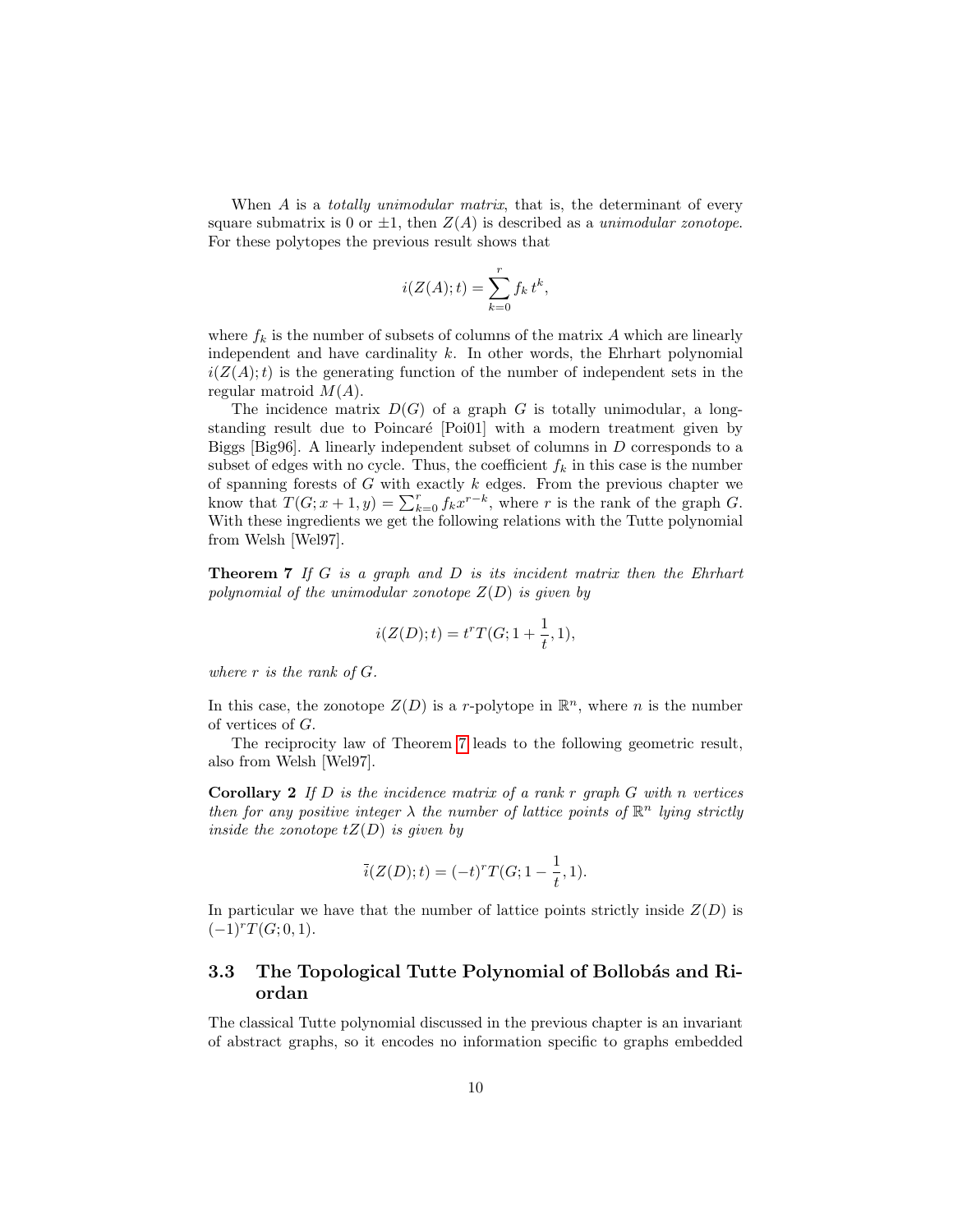When A is a *totally unimodular matrix*, that is, the determinant of every square submatrix is 0 or  $\pm 1$ , then  $Z(A)$  is described as a *unimodular zonotope*. For these polytopes the previous result shows that

$$
i(Z(A);t) = \sum_{k=0}^{r} f_k t^k,
$$

where  $f_k$  is the number of subsets of columns of the matrix A which are linearly independent and have cardinality  $k$ . In other words, the Ehrhart polynomial  $i(Z(A);t)$  is the generating function of the number of independent sets in the regular matroid  $M(A)$ .

The incidence matrix  $D(G)$  of a graph G is totally unimodular, a longstanding result due to Poincaré [Poi01] with a modern treatment given by Biggs [Big96]. A linearly independent subset of columns in D corresponds to a subset of edges with no cycle. Thus, the coefficient  $f_k$  in this case is the number of spanning forests of  $G$  with exactly  $k$  edges. From the previous chapter we know that  $T(G; x + 1, y) = \sum_{k=0}^{r} f_k x^{r-k}$ , where r is the rank of the graph G. With these ingredients we get the following relations with the Tutte polynomial from Welsh [Wel97].

<span id="page-9-0"></span>**Theorem 7** If G is a graph and D is its incident matrix then the Ehrhart polynomial of the unimodular zonotope  $Z(D)$  is given by

$$
i(Z(D);t) = t^{r}T(G; 1 + \frac{1}{t}, 1),
$$

where  $r$  is the rank of  $G$ .

In this case, the zonotope  $Z(D)$  is a r-polytope in  $\mathbb{R}^n$ , where n is the number of vertices of G.

The reciprocity law of Theorem [7](#page-9-0) leads to the following geometric result, also from Welsh [Wel97].

**Corollary 2** If  $D$  is the incidence matrix of a rank r graph  $G$  with n vertices then for any positive integer  $\lambda$  the number of lattice points of  $\mathbb{R}^n$  lying strictly inside the zonotope  $tZ(D)$  is given by

$$
\bar{i}(Z(D);t) = (-t)^{r}T(G; 1 - \frac{1}{t}, 1).
$$

In particular we have that the number of lattice points strictly inside  $Z(D)$  is  $(-1)^{r}T(G; 0, 1).$ 

### 3.3 The Topological Tutte Polynomial of Bollobás and Riordan

The classical Tutte polynomial discussed in the previous chapter is an invariant of abstract graphs, so it encodes no information specific to graphs embedded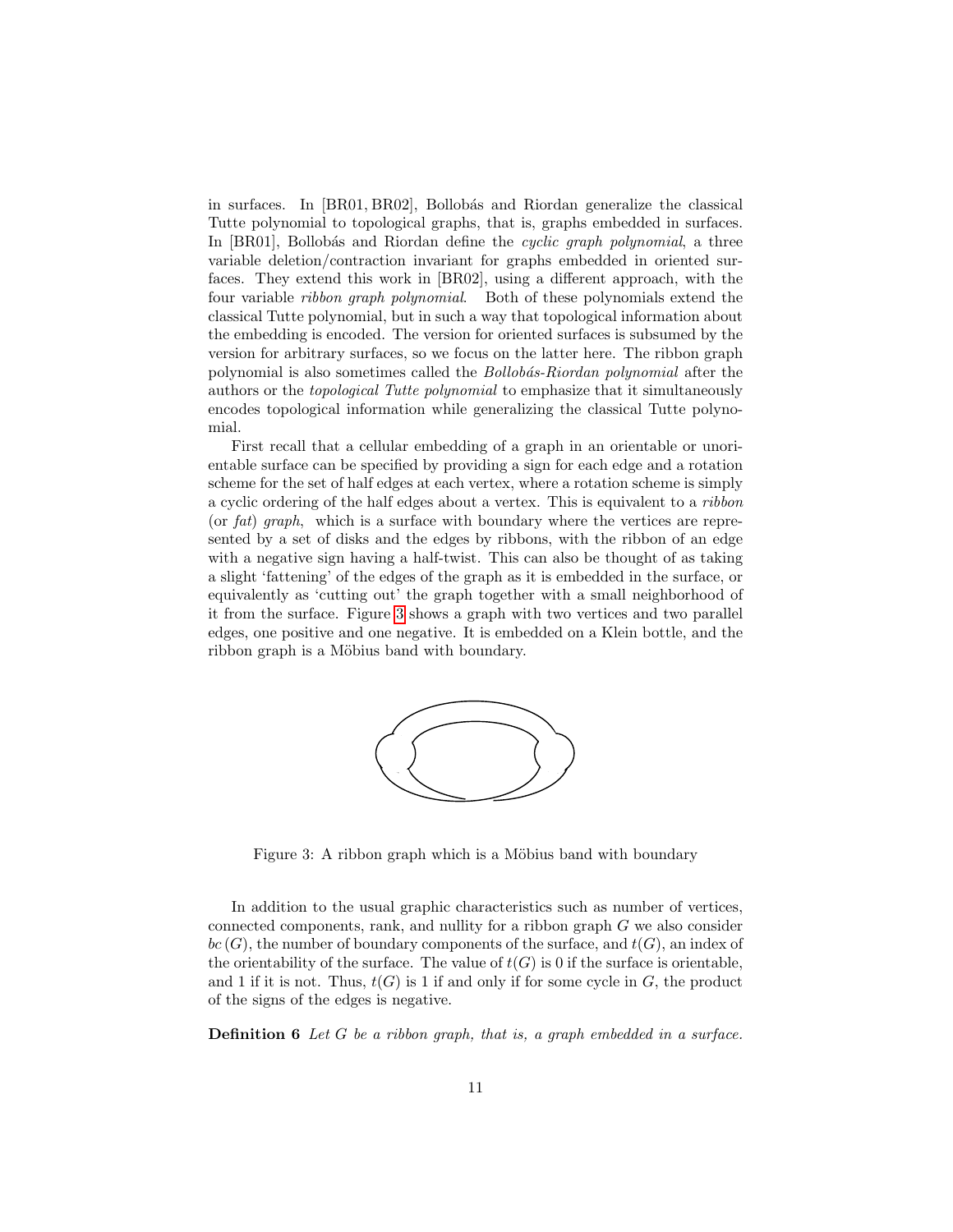in surfaces. In  $[BR01, BR02]$ , Bollobás and Riordan generalize the classical Tutte polynomial to topological graphs, that is, graphs embedded in surfaces. In [BR01], Bollobás and Riordan define the *cyclic graph polynomial*, a three variable deletion/contraction invariant for graphs embedded in oriented surfaces. They extend this work in [BR02], using a different approach, with the four variable ribbon graph polynomial. Both of these polynomials extend the classical Tutte polynomial, but in such a way that topological information about the embedding is encoded. The version for oriented surfaces is subsumed by the version for arbitrary surfaces, so we focus on the latter here. The ribbon graph polynomial is also sometimes called the *Bollobás-Riordan polynomial* after the authors or the topological Tutte polynomial to emphasize that it simultaneously encodes topological information while generalizing the classical Tutte polynomial.

First recall that a cellular embedding of a graph in an orientable or unorientable surface can be specified by providing a sign for each edge and a rotation scheme for the set of half edges at each vertex, where a rotation scheme is simply a cyclic ordering of the half edges about a vertex. This is equivalent to a ribbon (or fat) graph, which is a surface with boundary where the vertices are represented by a set of disks and the edges by ribbons, with the ribbon of an edge with a negative sign having a half-twist. This can also be thought of as taking a slight 'fattening' of the edges of the graph as it is embedded in the surface, or equivalently as 'cutting out' the graph together with a small neighborhood of it from the surface. Figure [3](#page-10-0) shows a graph with two vertices and two parallel edges, one positive and one negative. It is embedded on a Klein bottle, and the ribbon graph is a Möbius band with boundary.



<span id="page-10-0"></span>Figure 3: A ribbon graph which is a Möbius band with boundary

In addition to the usual graphic characteristics such as number of vertices, connected components, rank, and nullity for a ribbon graph G we also consider  $bc(G)$ , the number of boundary components of the surface, and  $t(G)$ , an index of the orientability of the surface. The value of  $t(G)$  is 0 if the surface is orientable, and 1 if it is not. Thus,  $t(G)$  is 1 if and only if for some cycle in G, the product of the signs of the edges is negative.

Definition 6 Let G be a ribbon graph, that is, a graph embedded in a surface.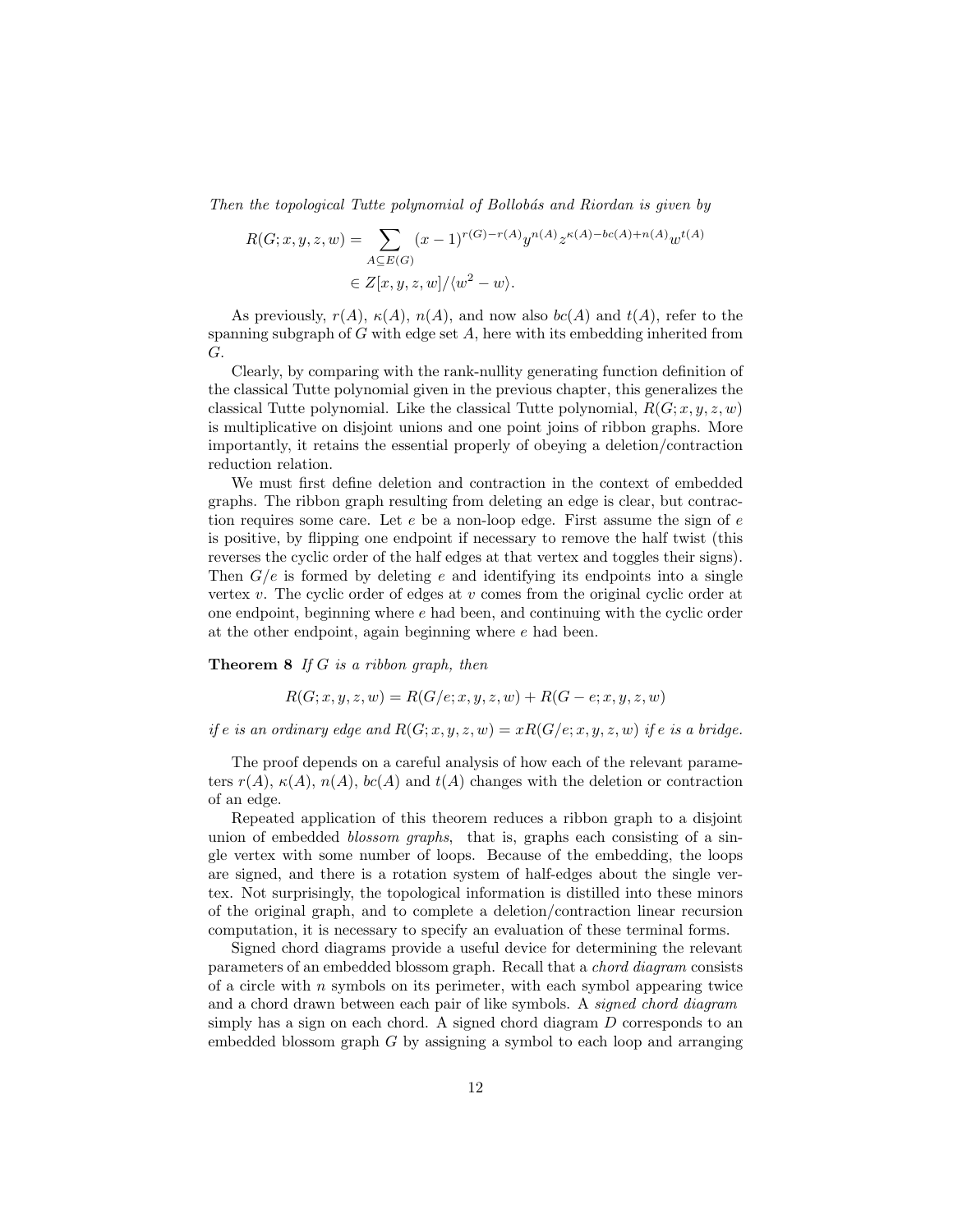Then the topological Tutte polynomial of Bollobás and Riordan is given by

$$
R(G; x, y, z, w) = \sum_{A \subseteq E(G)} (x - 1)^{r(G) - r(A)} y^{n(A)} z^{\kappa(A) - bc(A) + n(A)} w^{t(A)}
$$
  

$$
\in Z[x, y, z, w] / \langle w^2 - w \rangle.
$$

As previously,  $r(A)$ ,  $\kappa(A)$ ,  $n(A)$ , and now also  $bc(A)$  and  $t(A)$ , refer to the spanning subgraph of  $G$  with edge set  $A$ , here with its embedding inherited from G.

Clearly, by comparing with the rank-nullity generating function definition of the classical Tutte polynomial given in the previous chapter, this generalizes the classical Tutte polynomial. Like the classical Tutte polynomial,  $R(G; x, y, z, w)$ is multiplicative on disjoint unions and one point joins of ribbon graphs. More importantly, it retains the essential properly of obeying a deletion/contraction reduction relation.

We must first define deletion and contraction in the context of embedded graphs. The ribbon graph resulting from deleting an edge is clear, but contraction requires some care. Let  $e$  be a non-loop edge. First assume the sign of  $e$ is positive, by flipping one endpoint if necessary to remove the half twist (this reverses the cyclic order of the half edges at that vertex and toggles their signs). Then  $G/e$  is formed by deleting e and identifying its endpoints into a single vertex v. The cyclic order of edges at v comes from the original cyclic order at one endpoint, beginning where  $e$  had been, and continuing with the cyclic order at the other endpoint, again beginning where e had been.

<span id="page-11-0"></span>Theorem 8 If G is a ribbon graph, then

$$
R(G; x, y, z, w) = R(G/e; x, y, z, w) + R(G - e; x, y, z, w)
$$

if e is an ordinary edge and  $R(G; x, y, z, w) = xR(G/e; x, y, z, w)$  if e is a bridge.

The proof depends on a careful analysis of how each of the relevant parameters  $r(A)$ ,  $\kappa(A)$ ,  $n(A)$ ,  $bc(A)$  and  $t(A)$  changes with the deletion or contraction of an edge.

Repeated application of this theorem reduces a ribbon graph to a disjoint union of embedded *blossom graphs*, that is, graphs each consisting of a single vertex with some number of loops. Because of the embedding, the loops are signed, and there is a rotation system of half-edges about the single vertex. Not surprisingly, the topological information is distilled into these minors of the original graph, and to complete a deletion/contraction linear recursion computation, it is necessary to specify an evaluation of these terminal forms.

Signed chord diagrams provide a useful device for determining the relevant parameters of an embedded blossom graph. Recall that a chord diagram consists of a circle with  $n$  symbols on its perimeter, with each symbol appearing twice and a chord drawn between each pair of like symbols. A signed chord diagram simply has a sign on each chord. A signed chord diagram D corresponds to an embedded blossom graph G by assigning a symbol to each loop and arranging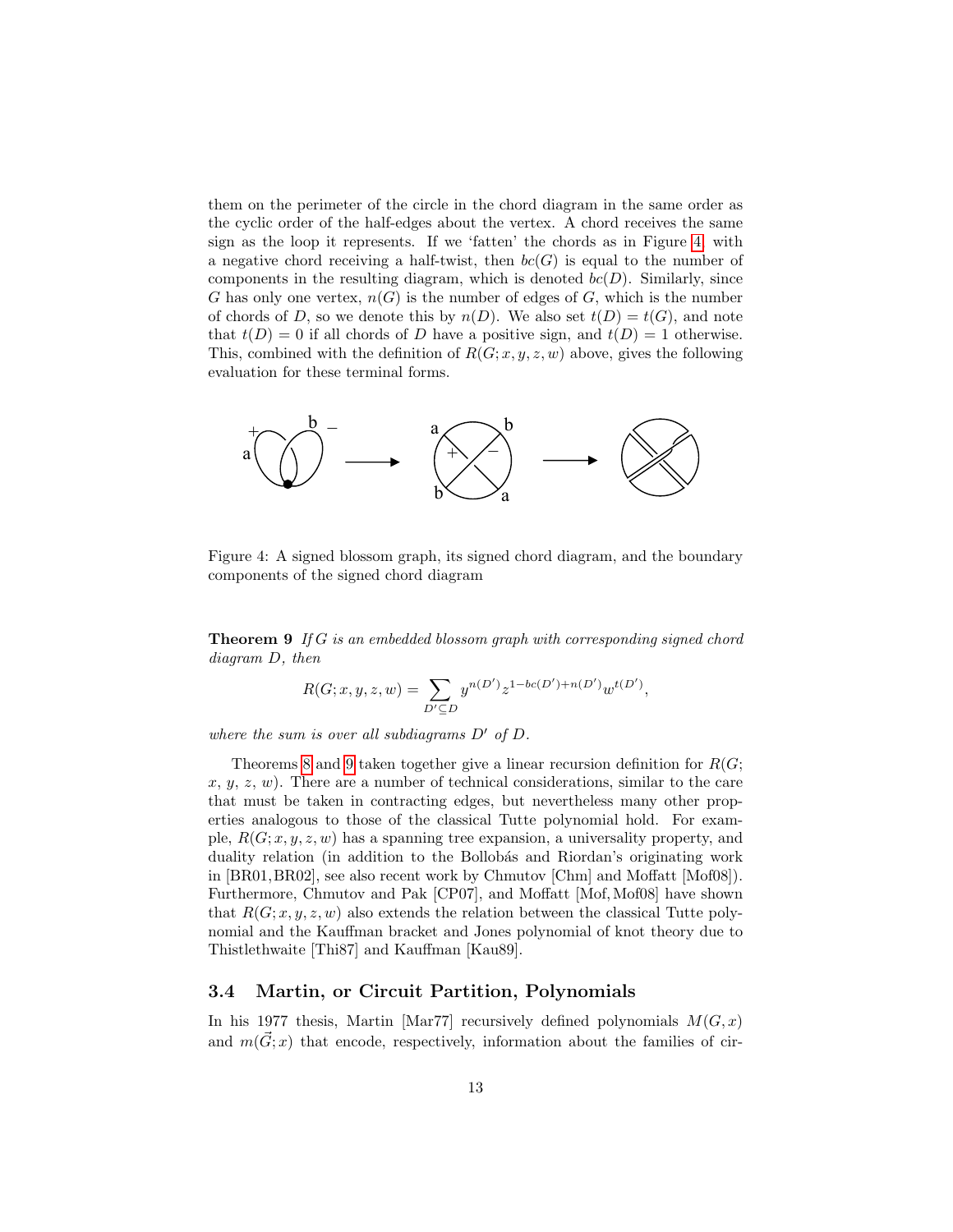them on the perimeter of the circle in the chord diagram in the same order as the cyclic order of the half-edges about the vertex. A chord receives the same sign as the loop it represents. If we 'fatten' the chords as in Figure [4,](#page-12-0) with a negative chord receiving a half-twist, then  $bc(G)$  is equal to the number of components in the resulting diagram, which is denoted  $bc(D)$ . Similarly, since G has only one vertex,  $n(G)$  is the number of edges of G, which is the number of chords of D, so we denote this by  $n(D)$ . We also set  $t(D) = t(G)$ , and note that  $t(D) = 0$  if all chords of D have a positive sign, and  $t(D) = 1$  otherwise. This, combined with the definition of  $R(G; x, y, z, w)$  above, gives the following evaluation for these terminal forms.



<span id="page-12-0"></span>Figure 4: A signed blossom graph, its signed chord diagram, and the boundary components of the signed chord diagram

<span id="page-12-1"></span>**Theorem 9** If G is an embedded blossom graph with corresponding signed chord diagram D, then

$$
R(G; x, y, z, w) = \sum_{D' \subseteq D} y^{n(D')} z^{1 - bc(D') + n(D')} w^{t(D')},
$$

where the sum is over all subdiagrams  $D'$  of  $D$ .

Theorems [8](#page-11-0) and [9](#page-12-1) taken together give a linear recursion definition for  $R(G;$  $x, y, z, w$ ). There are a number of technical considerations, similar to the care that must be taken in contracting edges, but nevertheless many other properties analogous to those of the classical Tutte polynomial hold. For example,  $R(G; x, y, z, w)$  has a spanning tree expansion, a universality property, and duality relation (in addition to the Bollobás and Riordan's originating work in [BR01,BR02], see also recent work by Chmutov [Chm] and Moffatt [Mof08]). Furthermore, Chmutov and Pak [CP07], and Moffatt [Mof,Mof08] have shown that  $R(G; x, y, z, w)$  also extends the relation between the classical Tutte polynomial and the Kauffman bracket and Jones polynomial of knot theory due to Thistlethwaite [Thi87] and Kauffman [Kau89].

### <span id="page-12-2"></span>3.4 Martin, or Circuit Partition, Polynomials

In his 1977 thesis, Martin [Mar77] recursively defined polynomials  $M(G, x)$ and  $m(\bar{G}; x)$  that encode, respectively, information about the families of cir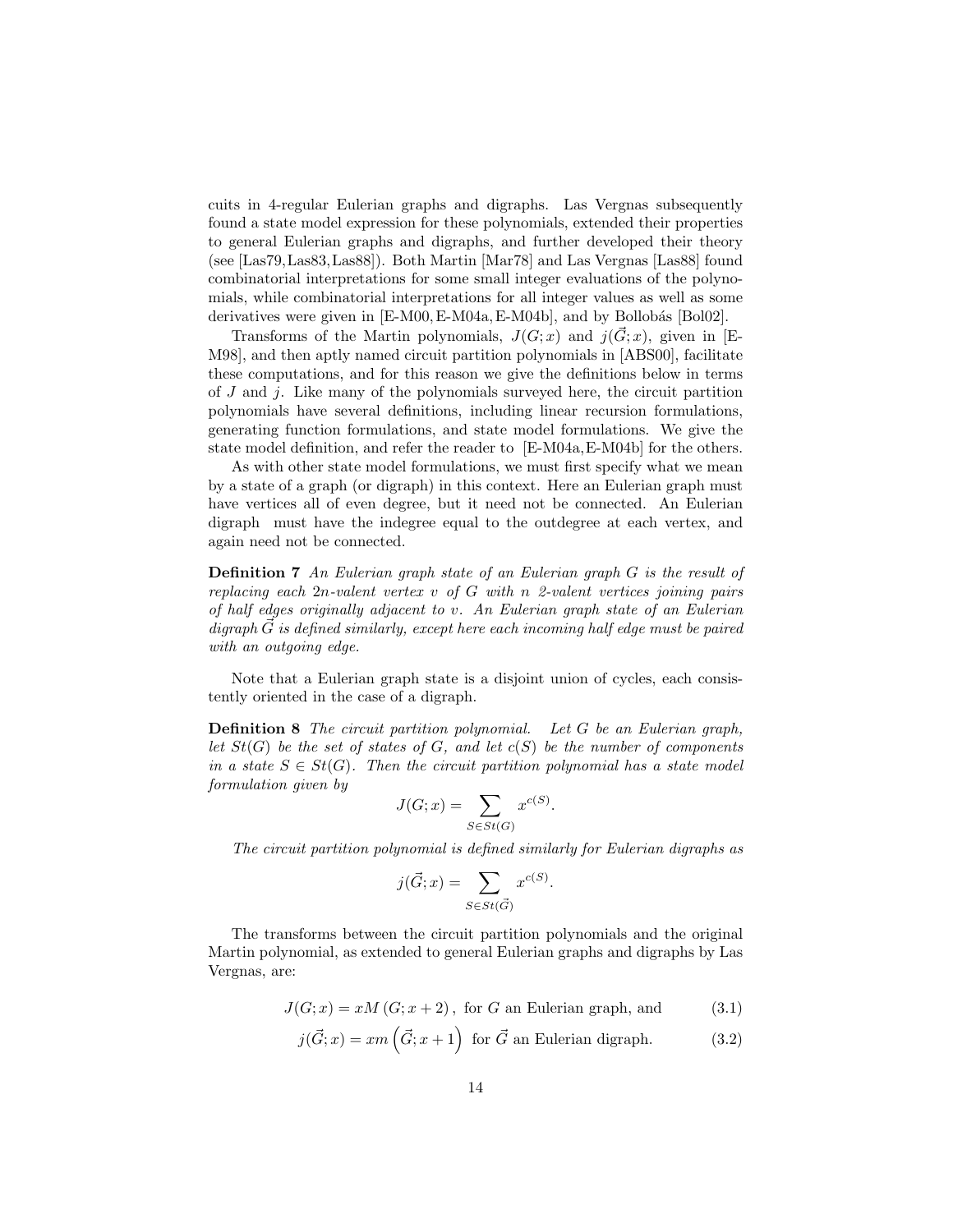cuits in 4-regular Eulerian graphs and digraphs. Las Vergnas subsequently found a state model expression for these polynomials, extended their properties to general Eulerian graphs and digraphs, and further developed their theory (see [Las79,Las83,Las88]). Both Martin [Mar78] and Las Vergnas [Las88] found combinatorial interpretations for some small integer evaluations of the polynomials, while combinatorial interpretations for all integer values as well as some derivatives were given in [E-M00, E-M04a, E-M04b], and by Bollobás [Bol02].

Transforms of the Martin polynomials,  $J(G; x)$  and  $i(\vec{G}; x)$ , given in [E-M98], and then aptly named circuit partition polynomials in [ABS00], facilitate these computations, and for this reason we give the definitions below in terms of J and j. Like many of the polynomials surveyed here, the circuit partition polynomials have several definitions, including linear recursion formulations, generating function formulations, and state model formulations. We give the state model definition, and refer the reader to [E-M04a,E-M04b] for the others.

As with other state model formulations, we must first specify what we mean by a state of a graph (or digraph) in this context. Here an Eulerian graph must have vertices all of even degree, but it need not be connected. An Eulerian digraph must have the indegree equal to the outdegree at each vertex, and again need not be connected.

Definition 7 An Eulerian graph state of an Eulerian graph G is the result of replacing each  $2n$ -valent vertex v of G with n 2-valent vertices joining pairs of half edges originally adjacent to v. An Eulerian graph state of an Eulerian  $digraph G~is defined similarly, except here each incoming half edge must be paired.$ with an outgoing edge.

Note that a Eulerian graph state is a disjoint union of cycles, each consistently oriented in the case of a digraph.

Definition 8 The circuit partition polynomial. Let G be an Eulerian graph, let  $St(G)$  be the set of states of G, and let  $c(S)$  be the number of components in a state  $S \in St(G)$ . Then the circuit partition polynomial has a state model formulation given by

$$
J(G; x) = \sum_{S \in St(G)} x^{c(S)}.
$$

The circuit partition polynomial is defined similarly for Eulerian digraphs as

$$
j(\vec{G};x) = \sum_{S \in St(\vec{G})} x^{c(S)}.
$$

The transforms between the circuit partition polynomials and the original Martin polynomial, as extended to general Eulerian graphs and digraphs by Las Vergnas, are:

$$
J(G; x) = xM(G; x + 2),
$$
 for G an Eulerian graph, and (3.1)

<span id="page-13-0"></span>
$$
j(\vec{G};x) = xm\left(\vec{G};x+1\right) \text{ for } \vec{G} \text{ an Eulerian digraph.}
$$
 (3.2)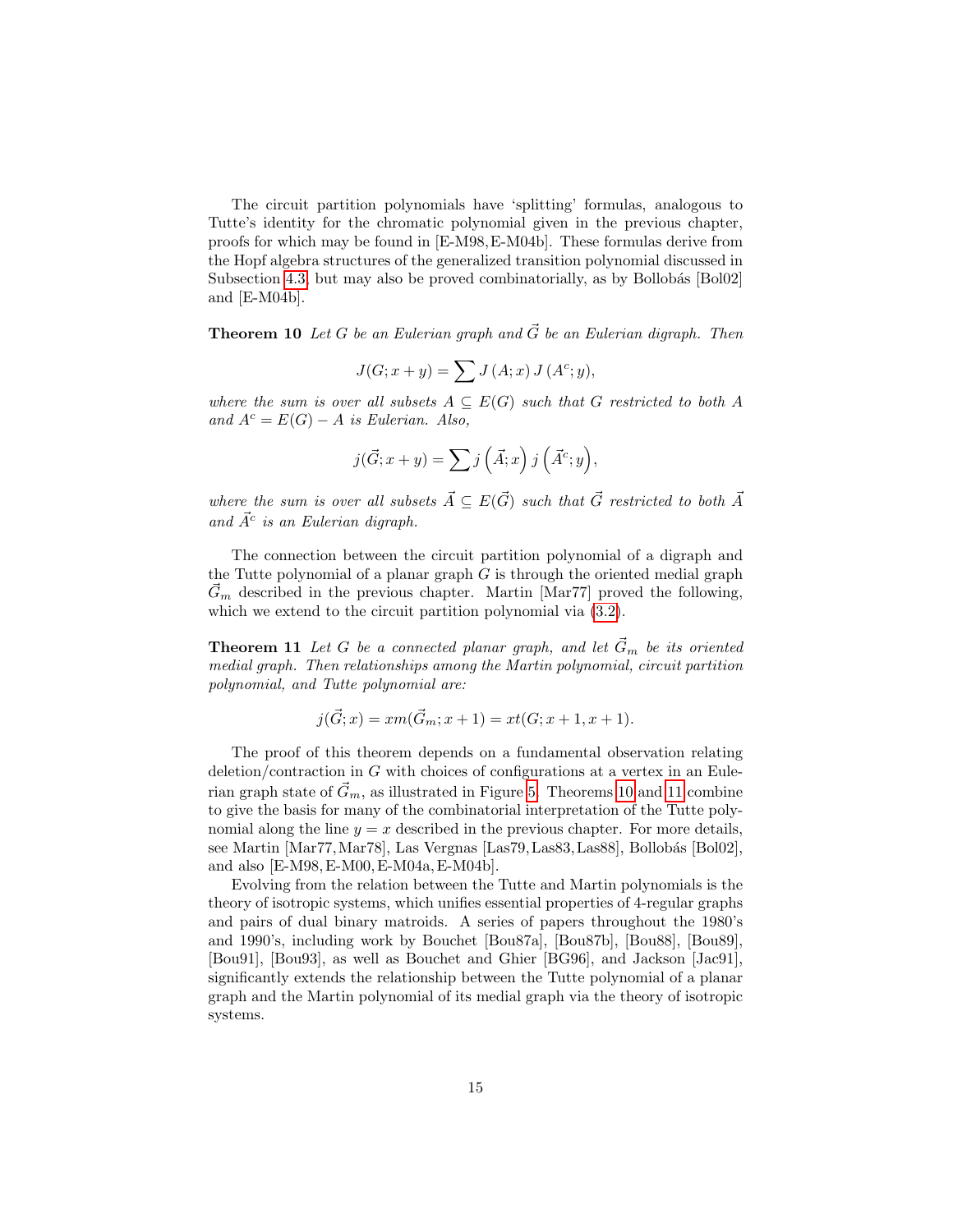The circuit partition polynomials have 'splitting' formulas, analogous to Tutte's identity for the chromatic polynomial given in the previous chapter, proofs for which may be found in [E-M98,E-M04b]. These formulas derive from the Hopf algebra structures of the generalized transition polynomial discussed in Subsection [4.3,](#page-23-0) but may also be proved combinatorially, as by Bollobás [Bol02] and [E-M04b].

<span id="page-14-0"></span>**Theorem 10** Let G be an Eulerian graph and  $\vec{G}$  be an Eulerian digraph. Then

$$
J(G; x + y) = \sum J(A; x) J(A^c; y),
$$

where the sum is over all subsets  $A \subseteq E(G)$  such that G restricted to both A and  $A^c = E(G) - A$  is Eulerian. Also,

$$
j(\vec{G}; x + y) = \sum j\left(\vec{A}; x\right) j\left(\vec{A}^c; y\right),
$$

where the sum is over all subsets  $\vec{A} \subseteq E(\vec{G})$  such that  $\vec{G}$  restricted to both  $\vec{A}$ and  $\vec{A}^c$  is an Eulerian digraph.

The connection between the circuit partition polynomial of a digraph and the Tutte polynomial of a planar graph  $G$  is through the oriented medial graph  $\tilde{G}_m$  described in the previous chapter. Martin [Mar77] proved the following, which we extend to the circuit partition polynomial via  $(3.2)$ .

<span id="page-14-1"></span>**Theorem 11** Let G be a connected planar graph, and let  $\vec{G}_m$  be its oriented medial graph. Then relationships among the Martin polynomial, circuit partition polynomial, and Tutte polynomial are:

$$
j(\vec{G}; x) = xm(\vec{G}_m; x+1) = xt(G; x+1, x+1).
$$

The proof of this theorem depends on a fundamental observation relating deletion/contraction in G with choices of configurations at a vertex in an Eulerian graph state of  $\vec{G}_m$ , as illustrated in Figure [5.](#page-15-0) Theorems [10](#page-14-0) and [11](#page-14-1) combine to give the basis for many of the combinatorial interpretation of the Tutte polynomial along the line  $y = x$  described in the previous chapter. For more details, see Martin [Mar77, Mar78], Las Vergnas [Las79, Las83, Las88], Bollobás [Bol02], and also [E-M98,E-M00,E-M04a,E-M04b].

Evolving from the relation between the Tutte and Martin polynomials is the theory of isotropic systems, which unifies essential properties of 4-regular graphs and pairs of dual binary matroids. A series of papers throughout the 1980's and 1990's, including work by Bouchet [Bou87a], [Bou87b], [Bou88], [Bou89], [Bou91], [Bou93], as well as Bouchet and Ghier [BG96], and Jackson [Jac91], significantly extends the relationship between the Tutte polynomial of a planar graph and the Martin polynomial of its medial graph via the theory of isotropic systems.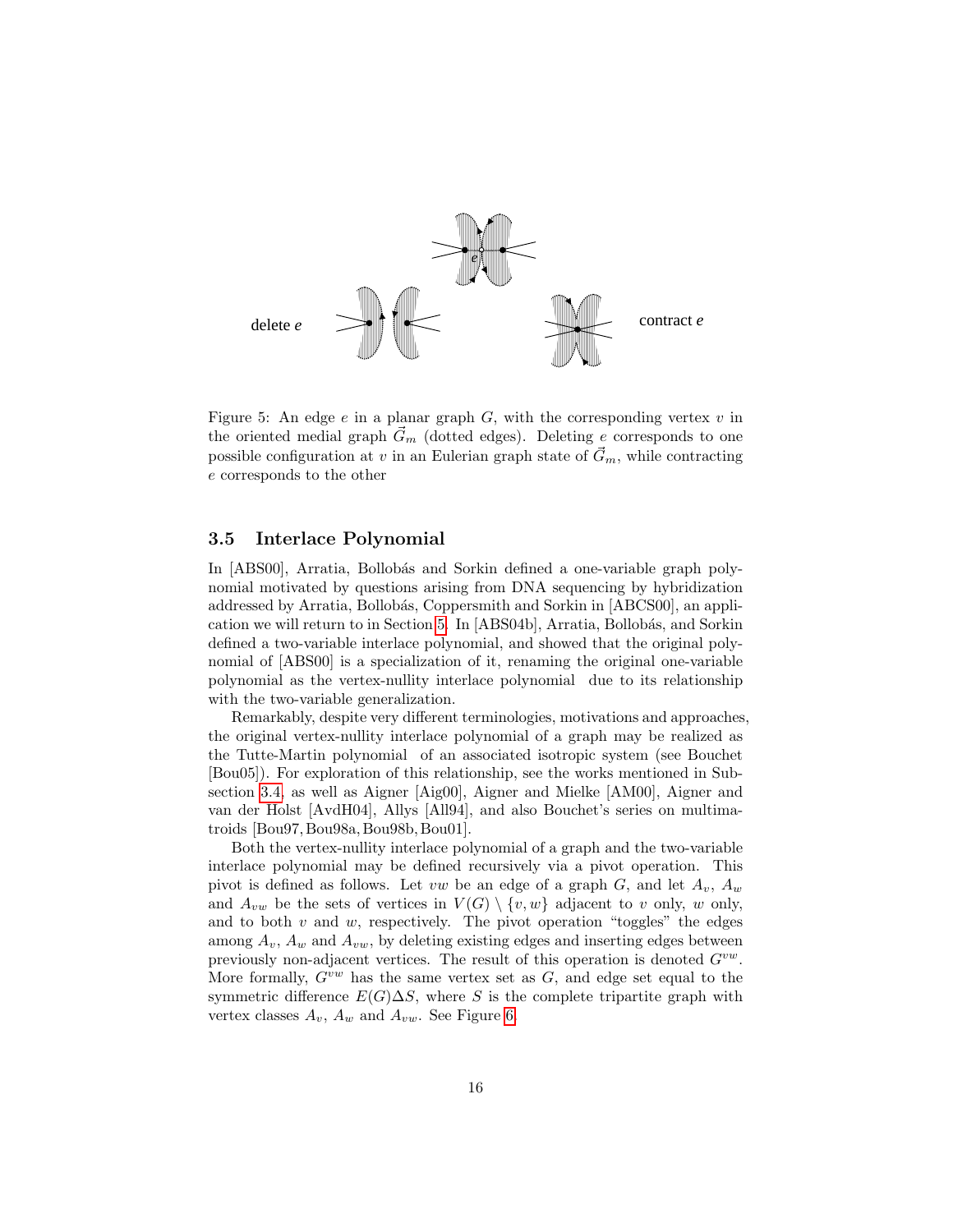

<span id="page-15-0"></span>the oriented medial graph  $\vec{G}_m$  (dotted edges). Deleting e corresponds to one possible configuration at v in an Eulerian graph state of  $\vec{G}_m$ , while contracting  $e$  corresponds to the other. Figure 5: An edge  $e$  in a planar graph  $G$ , with the corresponding vertex  $v$  in

#### 3.5 Interlace Polynomial

In [ABS00], Arratia, Bollobás and Sorkin defined a one-variable graph polynomial motivated by questions arising from DNA sequencing by hybridization addressed by Arratia, Bollobás, Coppersmith and Sorkin in [ABCS00], an appli-cation we will return to in Section [5.](#page-26-0) In [ABS04b], Arratia, Bollobás, and Sorkin defined a two-variable interlace polynomial, and showed that the original polynomial of [ABS00] is a specialization of it, renaming the original one-variable polynomial as the vertex-nullity interlace polynomial due to its relationship with the two-variable generalization.

Remarkably, despite very different terminologies, motivations and approaches, the original vertex-nullity interlace polynomial of a graph may be realized as the Tutte-Martin polynomial of an associated isotropic system (see Bouchet [Bou05]). For exploration of this relationship, see the works mentioned in Subsection [3.4,](#page-12-2) as well as Aigner [Aig00], Aigner and Mielke [AM00], Aigner and van der Holst [AvdH04], Allys [All94], and also Bouchet's series on multimatroids [Bou97, Bou98a, Bou98b, Bou01].

Both the vertex-nullity interlace polynomial of a graph and the two-variable interlace polynomial may be defined recursively via a pivot operation. This pivot is defined as follows. Let vw be an edge of a graph G, and let  $A_v$ ,  $A_w$ and  $A_{vw}$  be the sets of vertices in  $V(G) \setminus \{v, w\}$  adjacent to v only, w only, and to both  $v$  and  $w$ , respectively. The pivot operation "toggles" the edges among  $A_v$ ,  $A_w$  and  $A_{vw}$ , by deleting existing edges and inserting edges between previously non-adjacent vertices. The result of this operation is denoted  $G^{vw}$ . More formally,  $G^{vw}$  has the same vertex set as  $G$ , and edge set equal to the symmetric difference  $E(G)\Delta S$ , where S is the complete tripartite graph with vertex classes  $A_v$ ,  $A_w$  and  $A_{vw}$ . See Figure [6.](#page-16-0)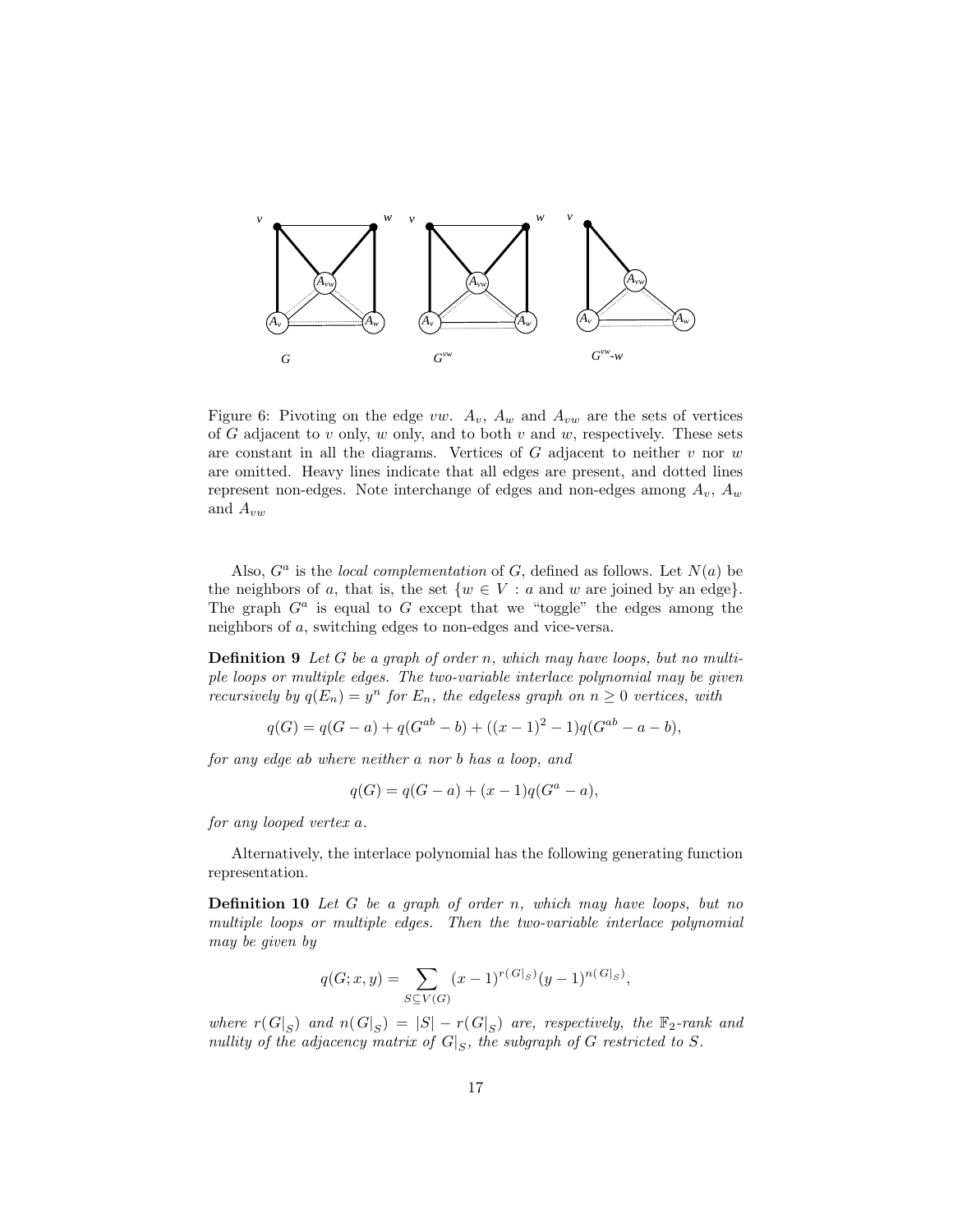

<span id="page-16-0"></span>Figure 6: Pivoting on the edge vw.  $A_v$ ,  $A_w$  and  $A_{vw}$  are the sets of vertices of G adjacent to  $v$  only,  $w$  only, and to both  $v$  and  $w$ , respectively. These sets are constant in all the diagrams. Vertices of  $G$  adjacent to neither  $v$  nor  $w$ are omitted. Heavy lines indicate that all edges are present, and dotted lines represent non-edges. Note interchange of edges and non-edges among  $A_v$ ,  $A_w$ and  $A_{vw}$ 

Also,  $G^a$  is the *local complementation* of G, defined as follows. Let  $N(a)$  be the neighbors of a, that is, the set  $\{w \in V : a \text{ and } w \text{ are joined by an edge}\}.$ The graph  $G^a$  is equal to G except that we "toggle" the edges among the neighbors of a, switching edges to non-edges and vice-versa.

**Definition 9** Let  $G$  be a graph of order  $n$ , which may have loops, but no multiple loops or multiple edges. The two-variable interlace polynomial may be given recursively by  $q(E_n) = y^n$  for  $E_n$ , the edgeless graph on  $n \geq 0$  vertices, with

$$
q(G) = q(G - a) + q(G^{ab} - b) + ((x - 1)^{2} - 1)q(G^{ab} - a - b),
$$

for any edge ab where neither a nor b has a loop, and

$$
q(G) = q(G - a) + (x - 1)q(G^a - a),
$$

for any looped vertex a.

Alternatively, the interlace polynomial has the following generating function representation.

**Definition 10** Let  $G$  be a graph of order  $n$ , which may have loops, but no multiple loops or multiple edges. Then the two-variable interlace polynomial may be given by

$$
q(G; x, y) = \sum_{S \subseteq V(G)} (x - 1)^{r(G|_S)}(y - 1)^{n(G|_S)},
$$

where  $r(G|_S)$  and  $n(G|_S) = |S| - r(G|_S)$  are, respectively, the  $\mathbb{F}_2$ -rank and nullity of the adjacency matrix of  $G|_S$ , the subgraph of G restricted to S.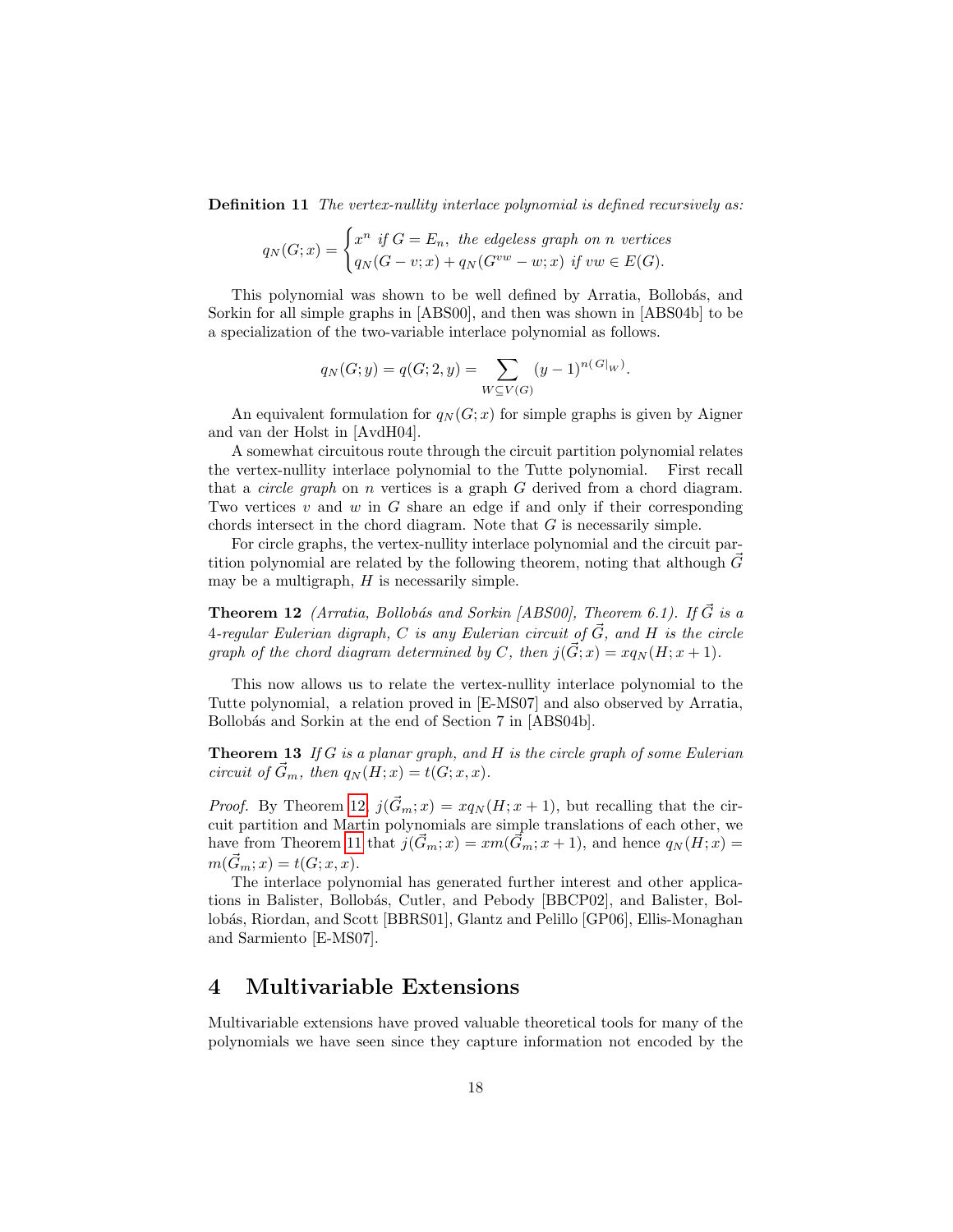Definition 11 The vertex-nullity interlace polynomial is defined recursively as:

$$
q_N(G; x) = \begin{cases} x^n & \text{if } G = E_n, \text{ the edgeless graph on } n \text{ vertices} \\ q_N(G - v; x) + q_N(G^{vw} - w; x) & \text{if } vw \in E(G). \end{cases}
$$

This polynomial was shown to be well defined by Arratia, Bollobás, and Sorkin for all simple graphs in [ABS00], and then was shown in [ABS04b] to be a specialization of the two-variable interlace polynomial as follows.

$$
q_N(G; y) = q(G; 2, y) = \sum_{W \subseteq V(G)} (y - 1)^{n(G|_W)}.
$$

An equivalent formulation for  $q_N(G; x)$  for simple graphs is given by Aigner and van der Holst in [AvdH04].

A somewhat circuitous route through the circuit partition polynomial relates the vertex-nullity interlace polynomial to the Tutte polynomial. First recall that a *circle graph* on *n* vertices is a graph  $G$  derived from a chord diagram. Two vertices v and w in G share an edge if and only if their corresponding chords intersect in the chord diagram. Note that G is necessarily simple.

For circle graphs, the vertex-nullity interlace polynomial and the circuit partition polynomial are related by the following theorem, noting that although  $\tilde{G}$ may be a multigraph,  $H$  is necessarily simple.

<span id="page-17-0"></span>**Theorem 12** (Arratia, Bollobás and Sorkin [ABS00], Theorem 6.1). If  $\vec{G}$  is a 4-regular Eulerian digraph, C is any Eulerian circuit of  $\vec{G}$ , and H is the circle graph of the chord diagram determined by C, then  $j(\vec{G}; x) = xq_N (H; x + 1)$ .

This now allows us to relate the vertex-nullity interlace polynomial to the Tutte polynomial, a relation proved in [E-MS07] and also observed by Arratia, Bollobás and Sorkin at the end of Section 7 in [ABS04b].

**Theorem 13** If G is a planar graph, and H is the circle graph of some Eulerian circuit of  $\bar{G}_m$ , then  $q_N(H; x) = t(G; x, x)$ .

*Proof.* By Theorem [12,](#page-17-0)  $j(\vec{G}_m; x) = xq_N(H; x + 1)$ , but recalling that the circuit partition and Martin polynomials are simple translations of each other, we have from Theorem [11](#page-14-1) that  $j(\vec{G}_m; x) = xm(\vec{G}_m; x + 1)$ , and hence  $q_N(H; x) =$  $m(\vec{G}_m; x) = t(G; x, x).$ 

The interlace polynomial has generated further interest and other applications in Balister, Bollobás, Cutler, and Pebody [BBCP02], and Balister, Bollobás, Riordan, and Scott [BBRS01], Glantz and Pelillo [GP06], Ellis-Monaghan and Sarmiento [E-MS07].

### 4 Multivariable Extensions

Multivariable extensions have proved valuable theoretical tools for many of the polynomials we have seen since they capture information not encoded by the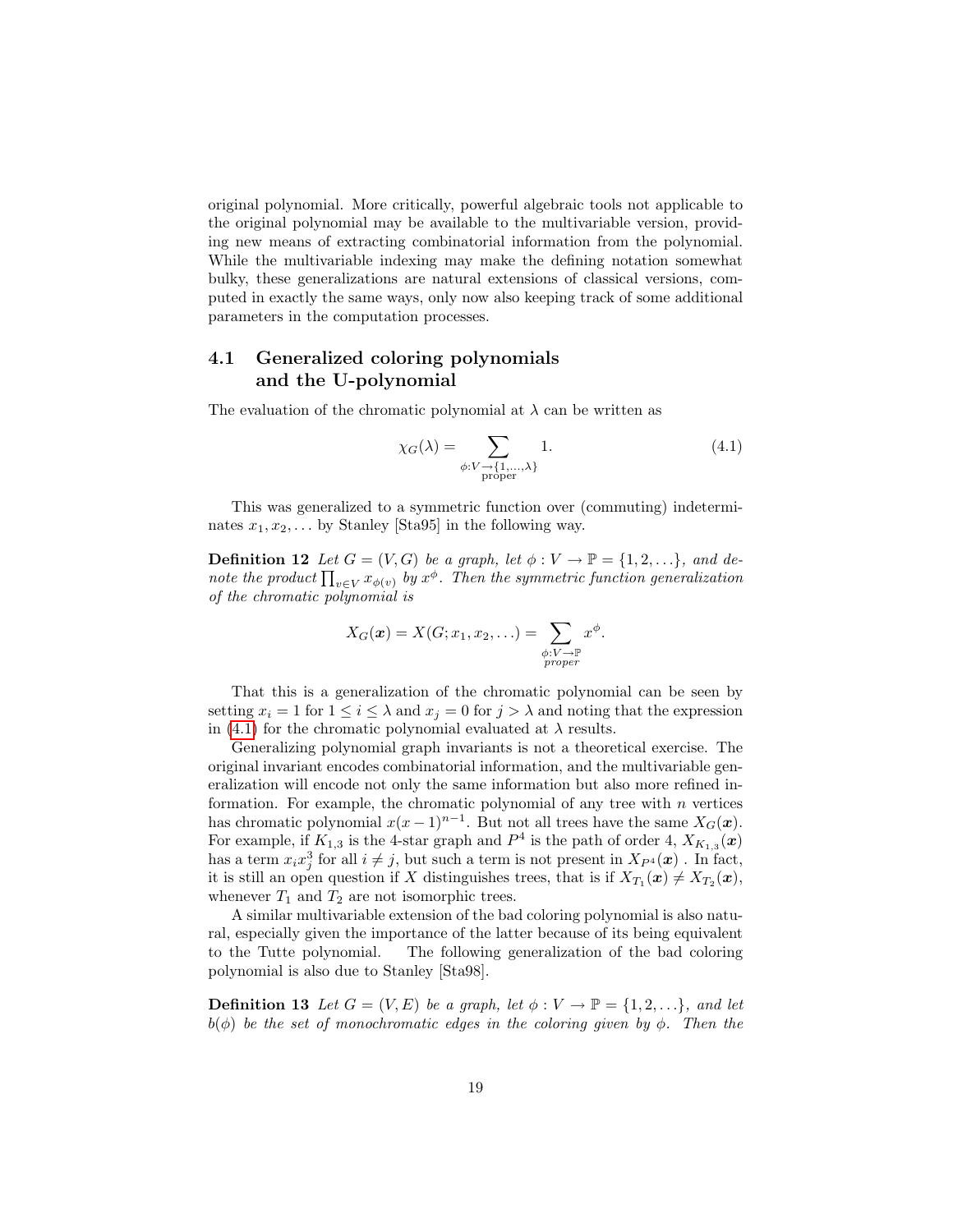original polynomial. More critically, powerful algebraic tools not applicable to the original polynomial may be available to the multivariable version, providing new means of extracting combinatorial information from the polynomial. While the multivariable indexing may make the defining notation somewhat bulky, these generalizations are natural extensions of classical versions, computed in exactly the same ways, only now also keeping track of some additional parameters in the computation processes.

### <span id="page-18-1"></span>4.1 Generalized coloring polynomials and the U-polynomial

The evaluation of the chromatic polynomial at  $\lambda$  can be written as

<span id="page-18-0"></span>
$$
\chi_G(\lambda) = \sum_{\substack{\phi: V \to \{1,\dots,\lambda\} \\ \text{proper}}} 1.
$$
\n(4.1)

This was generalized to a symmetric function over (commuting) indeterminates  $x_1, x_2, \ldots$  by Stanley [Sta95] in the following way.

**Definition 12** Let  $G = (V, G)$  be a graph, let  $\phi : V \to \mathbb{P} = \{1, 2, ...\}$ , and denote the product  $\prod_{v \in V} x_{\phi(v)}$  by  $x^{\phi}$ . Then the symmetric function generalization of the chromatic polynomial is

$$
X_G(\boldsymbol{x}) = X(G; x_1, x_2, \ldots) = \sum_{\substack{\phi: V \to \mathbb{P} \\ proper}} x^{\phi}.
$$

That this is a generalization of the chromatic polynomial can be seen by setting  $x_i = 1$  for  $1 \le i \le \lambda$  and  $x_j = 0$  for  $j > \lambda$  and noting that the expression in [\(4.1\)](#page-18-0) for the chromatic polynomial evaluated at  $\lambda$  results.

Generalizing polynomial graph invariants is not a theoretical exercise. The original invariant encodes combinatorial information, and the multivariable generalization will encode not only the same information but also more refined information. For example, the chromatic polynomial of any tree with  $n$  vertices has chromatic polynomial  $x(x-1)^{n-1}$ . But not all trees have the same  $X_G(\boldsymbol{x})$ . For example, if  $K_{1,3}$  is the 4-star graph and  $P^4$  is the path of order 4,  $X_{K_{1,3}}(\boldsymbol{x})$ has a term  $x_i x_j^3$  for all  $i \neq j$ , but such a term is not present in  $X_{P^4}(\boldsymbol{x})$ . In fact, it is still an open question if X distinguishes trees, that is if  $X_{T_1}(x) \neq X_{T_2}(x)$ , whenever  $T_1$  and  $T_2$  are not isomorphic trees.

A similar multivariable extension of the bad coloring polynomial is also natural, especially given the importance of the latter because of its being equivalent to the Tutte polynomial. The following generalization of the bad coloring polynomial is also due to Stanley [Sta98].

**Definition 13** Let  $G = (V, E)$  be a graph, let  $\phi : V \to \mathbb{P} = \{1, 2, ...\}$ , and let  $b(\phi)$  be the set of monochromatic edges in the coloring given by  $\phi$ . Then the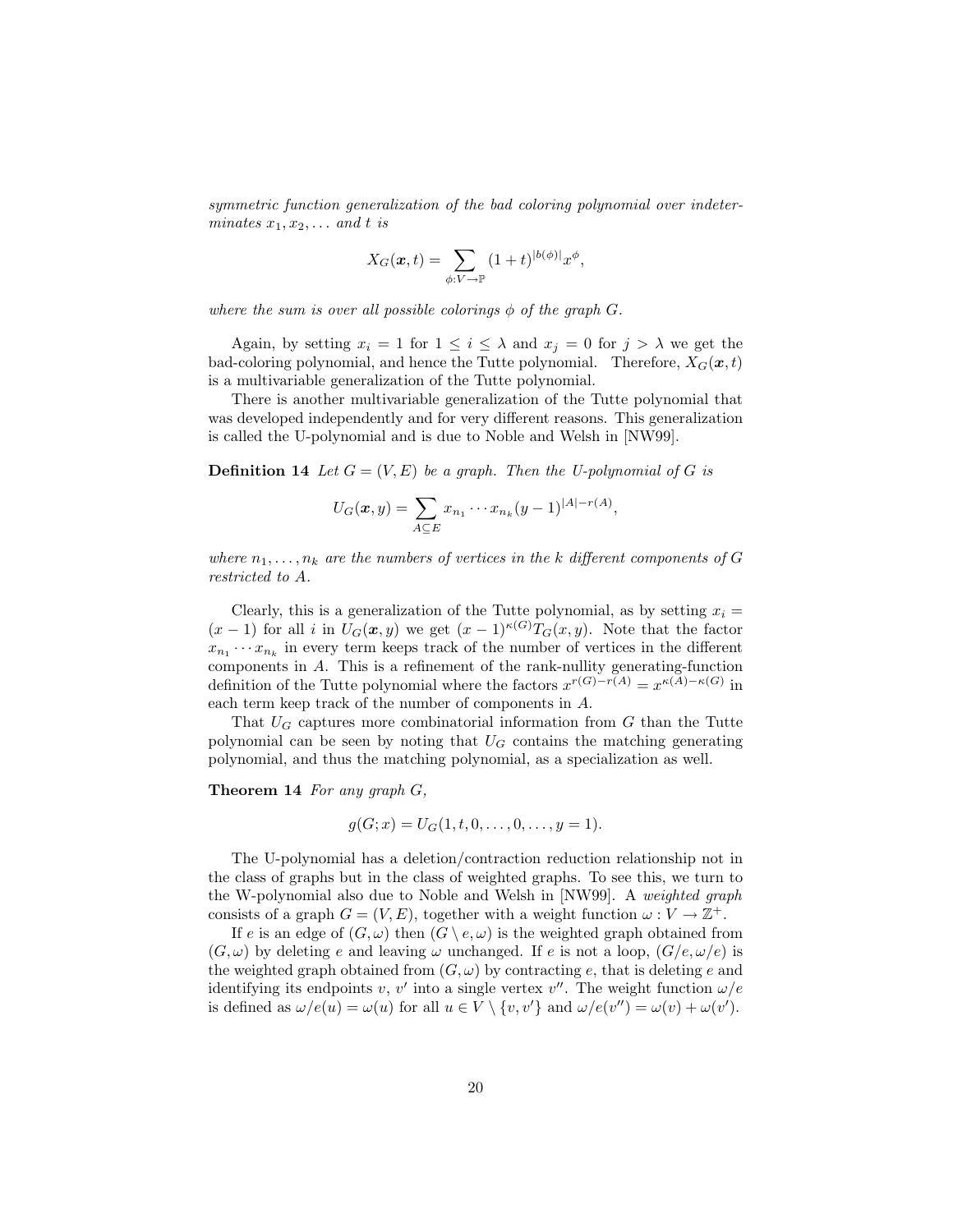symmetric function generalization of the bad coloring polynomial over indeterminates  $x_1, x_2, \ldots$  and t is

$$
X_G(\boldsymbol{x},t)=\sum_{\phi:V\to\mathbb{P}}(1+t)^{|b(\phi)|}x^{\phi},
$$

where the sum is over all possible colorings  $\phi$  of the graph G.

Again, by setting  $x_i = 1$  for  $1 \leq i \leq \lambda$  and  $x_j = 0$  for  $j > \lambda$  we get the bad-coloring polynomial, and hence the Tutte polynomial. Therefore,  $X_G(x, t)$ is a multivariable generalization of the Tutte polynomial.

There is another multivariable generalization of the Tutte polynomial that was developed independently and for very different reasons. This generalization is called the U-polynomial and is due to Noble and Welsh in [NW99].

<span id="page-19-0"></span>**Definition 14** Let  $G = (V, E)$  be a graph. Then the U-polynomial of G is

$$
U_G(\pmb{x}, y) = \sum_{A \subseteq E} x_{n_1} \cdots x_{n_k} (y-1)^{|A|-r(A)},
$$

where  $n_1, \ldots, n_k$  are the numbers of vertices in the k different components of G restricted to A.

Clearly, this is a generalization of the Tutte polynomial, as by setting  $x_i =$  $(x - 1)$  for all i in  $U_G(x, y)$  we get  $(x - 1)^{\kappa(G)}T_G(x, y)$ . Note that the factor  $x_{n_1} \cdots x_{n_k}$  in every term keeps track of the number of vertices in the different components in A. This is a refinement of the rank-nullity generating-function definition of the Tutte polynomial where the factors  $x^{r(G)-r(A)} = x^{\kappa(A)-\kappa(G)}$  in each term keep track of the number of components in A.

That  $U_G$  captures more combinatorial information from  $G$  than the Tutte polynomial can be seen by noting that  $U_G$  contains the matching generating polynomial, and thus the matching polynomial, as a specialization as well.

**Theorem 14** For any graph  $G$ ,

$$
g(G; x) = U_G(1, t, 0, \dots, 0, \dots, y = 1).
$$

The U-polynomial has a deletion/contraction reduction relationship not in the class of graphs but in the class of weighted graphs. To see this, we turn to the W-polynomial also due to Noble and Welsh in [NW99]. A weighted graph consists of a graph  $G = (V, E)$ , together with a weight function  $\omega : V \to \mathbb{Z}^+$ .

If e is an edge of  $(G, \omega)$  then  $(G \setminus e, \omega)$  is the weighted graph obtained from  $(G, \omega)$  by deleting e and leaving  $\omega$  unchanged. If e is not a loop,  $(G/e, \omega/e)$  is the weighted graph obtained from  $(G, \omega)$  by contracting e, that is deleting e and identifying its endpoints v, v' into a single vertex v''. The weight function  $\omega/e$ is defined as  $\omega/e(u) = \omega(u)$  for all  $u \in V \setminus \{v, v'\}$  and  $\omega/e(v'') = \omega(v) + \omega(v')$ .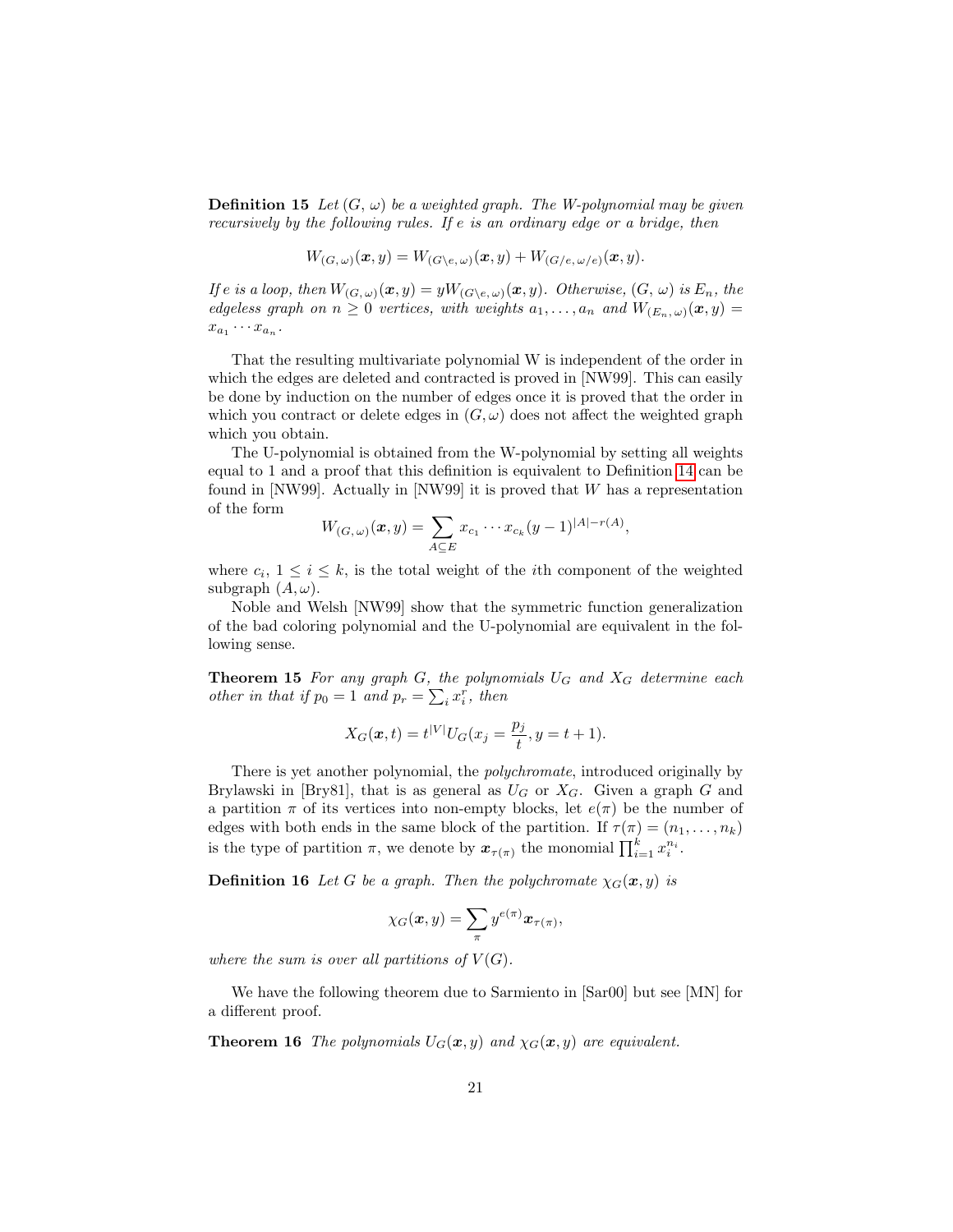**Definition 15** Let  $(G, \omega)$  be a weighted graph. The W-polynomial may be given recursively by the following rules. If e is an ordinary edge or a bridge, then

$$
W_{(G,\omega)}(\boldsymbol{x},y) = W_{(G\setminus e,\omega)}(\boldsymbol{x},y) + W_{(G/e,\omega/e)}(\boldsymbol{x},y).
$$

If e is a loop, then  $W_{(G,\,\omega)}(\boldsymbol{x},y) = yW_{(G\setminus e,\,\omega)}(\boldsymbol{x},y)$ . Otherwise,  $(G,\,\omega)$  is  $E_n$ , the edgeless graph on  $n \geq 0$  vertices, with weights  $a_1, \ldots, a_n$  and  $W_{(E_n,\omega)}(x,y) =$  $x_{a_1}\cdots x_{a_n}$ .

That the resulting multivariate polynomial W is independent of the order in which the edges are deleted and contracted is proved in [NW99]. This can easily be done by induction on the number of edges once it is proved that the order in which you contract or delete edges in  $(G, \omega)$  does not affect the weighted graph which you obtain.

The U-polynomial is obtained from the W-polynomial by setting all weights equal to 1 and a proof that this definition is equivalent to Definition [14](#page-19-0) can be found in [NW99]. Actually in [NW99] it is proved that  $W$  has a representation of the form

$$
W_{(G,\,\omega)}(\bm{x},y)=\sum_{A\subseteq E}x_{c_1}\cdots x_{c_k}(y-1)^{|A|-r(A)},
$$

where  $c_i$ ,  $1 \leq i \leq k$ , is the total weight of the *i*th component of the weighted subgraph  $(A, \omega)$ .

Noble and Welsh [NW99] show that the symmetric function generalization of the bad coloring polynomial and the U-polynomial are equivalent in the following sense.

**Theorem 15** For any graph  $G$ , the polynomials  $U_G$  and  $X_G$  determine each other in that if  $p_0 = 1$  and  $p_r = \sum_i x_i^r$ , then

$$
X_G(\mathbf{x}, t) = t^{|V|} U_G(x_j = \frac{p_j}{t}, y = t + 1).
$$

There is yet another polynomial, the *polychromate*, introduced originally by Brylawski in [Bry81], that is as general as  $U_G$  or  $X_G$ . Given a graph G and a partition  $\pi$  of its vertices into non-empty blocks, let  $e(\pi)$  be the number of edges with both ends in the same block of the partition. If  $\tau(\pi) = (n_1, \ldots, n_k)$ is the type of partition  $\pi$ , we denote by  $\mathbf{x}_{\tau(\pi)}$  the monomial  $\prod_{i=1}^{k} x_i^{n_i}$ .

**Definition 16** Let G be a graph. Then the polychromate  $\chi_G(x, y)$  is

$$
\chi_G(\boldsymbol{x},y) = \sum_{\pi} y^{e(\pi)} \boldsymbol{x}_{\tau(\pi)},
$$

where the sum is over all partitions of  $V(G)$ .

We have the following theorem due to Sarmiento in [Sar00] but see [MN] for a different proof.

**Theorem 16** The polynomials  $U_G(x, y)$  and  $\chi_G(x, y)$  are equivalent.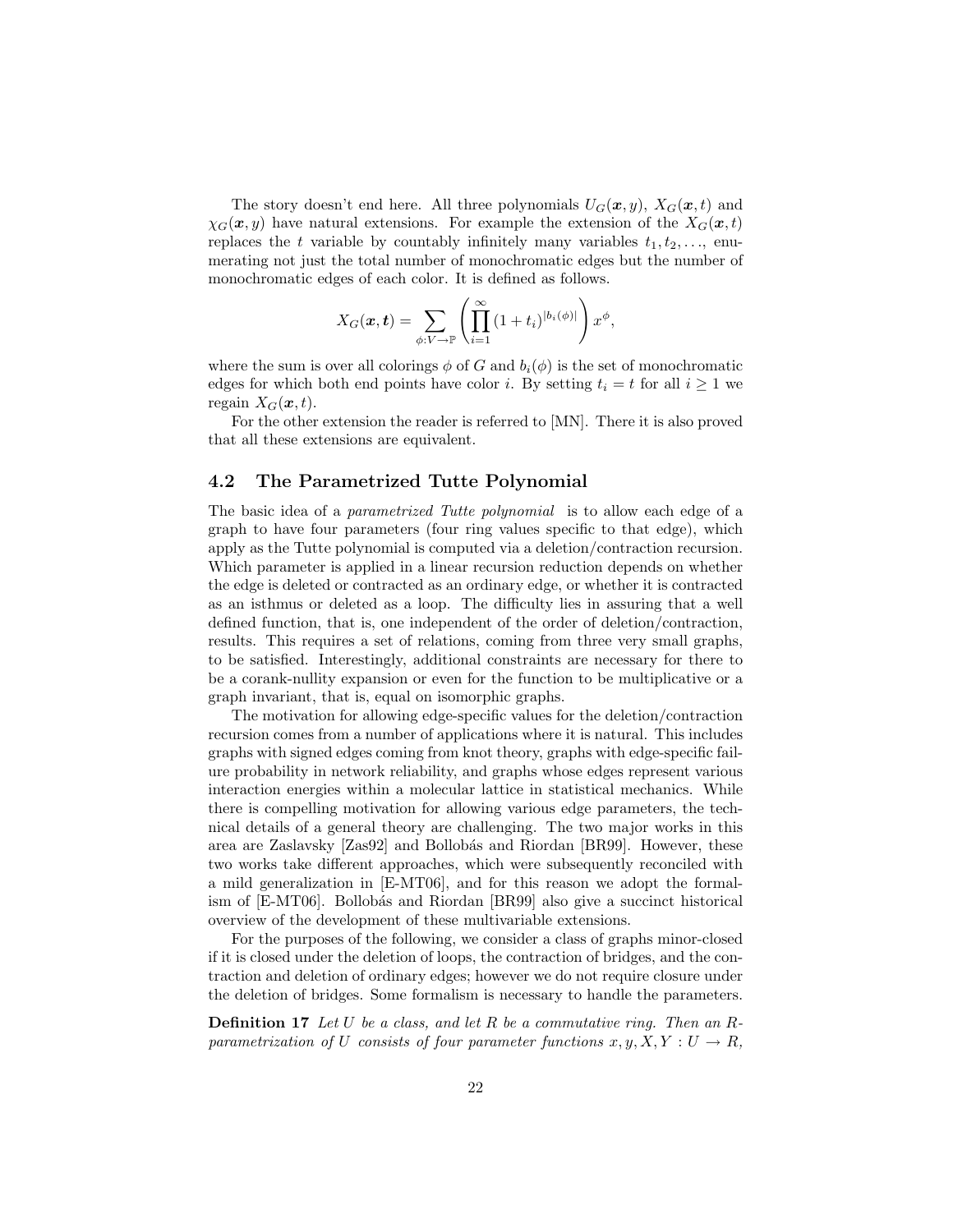The story doesn't end here. All three polynomials  $U_G(\boldsymbol{x}, y)$ ,  $X_G(\boldsymbol{x}, t)$  and  $\chi_G(x, y)$  have natural extensions. For example the extension of the  $X_G(x, t)$ replaces the t variable by countably infinitely many variables  $t_1, t_2, \ldots$ , enumerating not just the total number of monochromatic edges but the number of monochromatic edges of each color. It is defined as follows.

$$
X_G(\boldsymbol{x},t) = \sum_{\phi: V \to \mathbb{P}} \left( \prod_{i=1}^{\infty} (1+t_i)^{|b_i(\phi)|} \right) x^{\phi},
$$

where the sum is over all colorings  $\phi$  of G and  $b_i(\phi)$  is the set of monochromatic edges for which both end points have color i. By setting  $t_i = t$  for all  $i \geq 1$  we regain  $X_G(\boldsymbol{x}, t)$ .

For the other extension the reader is referred to [MN]. There it is also proved that all these extensions are equivalent.

#### <span id="page-21-0"></span>4.2 The Parametrized Tutte Polynomial

The basic idea of a parametrized Tutte polynomial is to allow each edge of a graph to have four parameters (four ring values specific to that edge), which apply as the Tutte polynomial is computed via a deletion/contraction recursion. Which parameter is applied in a linear recursion reduction depends on whether the edge is deleted or contracted as an ordinary edge, or whether it is contracted as an isthmus or deleted as a loop. The difficulty lies in assuring that a well defined function, that is, one independent of the order of deletion/contraction, results. This requires a set of relations, coming from three very small graphs, to be satisfied. Interestingly, additional constraints are necessary for there to be a corank-nullity expansion or even for the function to be multiplicative or a graph invariant, that is, equal on isomorphic graphs.

The motivation for allowing edge-specific values for the deletion/contraction recursion comes from a number of applications where it is natural. This includes graphs with signed edges coming from knot theory, graphs with edge-specific failure probability in network reliability, and graphs whose edges represent various interaction energies within a molecular lattice in statistical mechanics. While there is compelling motivation for allowing various edge parameters, the technical details of a general theory are challenging. The two major works in this area are Zaslavsky [Zas92] and Bollobás and Riordan [BR99]. However, these two works take different approaches, which were subsequently reconciled with a mild generalization in [E-MT06], and for this reason we adopt the formalism of [E-MT06]. Bollobás and Riordan [BR99] also give a succinct historical overview of the development of these multivariable extensions.

For the purposes of the following, we consider a class of graphs minor-closed if it is closed under the deletion of loops, the contraction of bridges, and the contraction and deletion of ordinary edges; however we do not require closure under the deletion of bridges. Some formalism is necessary to handle the parameters.

**Definition 17** Let U be a class, and let R be a commutative ring. Then an Rparametrization of U consists of four parameter functions  $x, y, X, Y : U \to R$ ,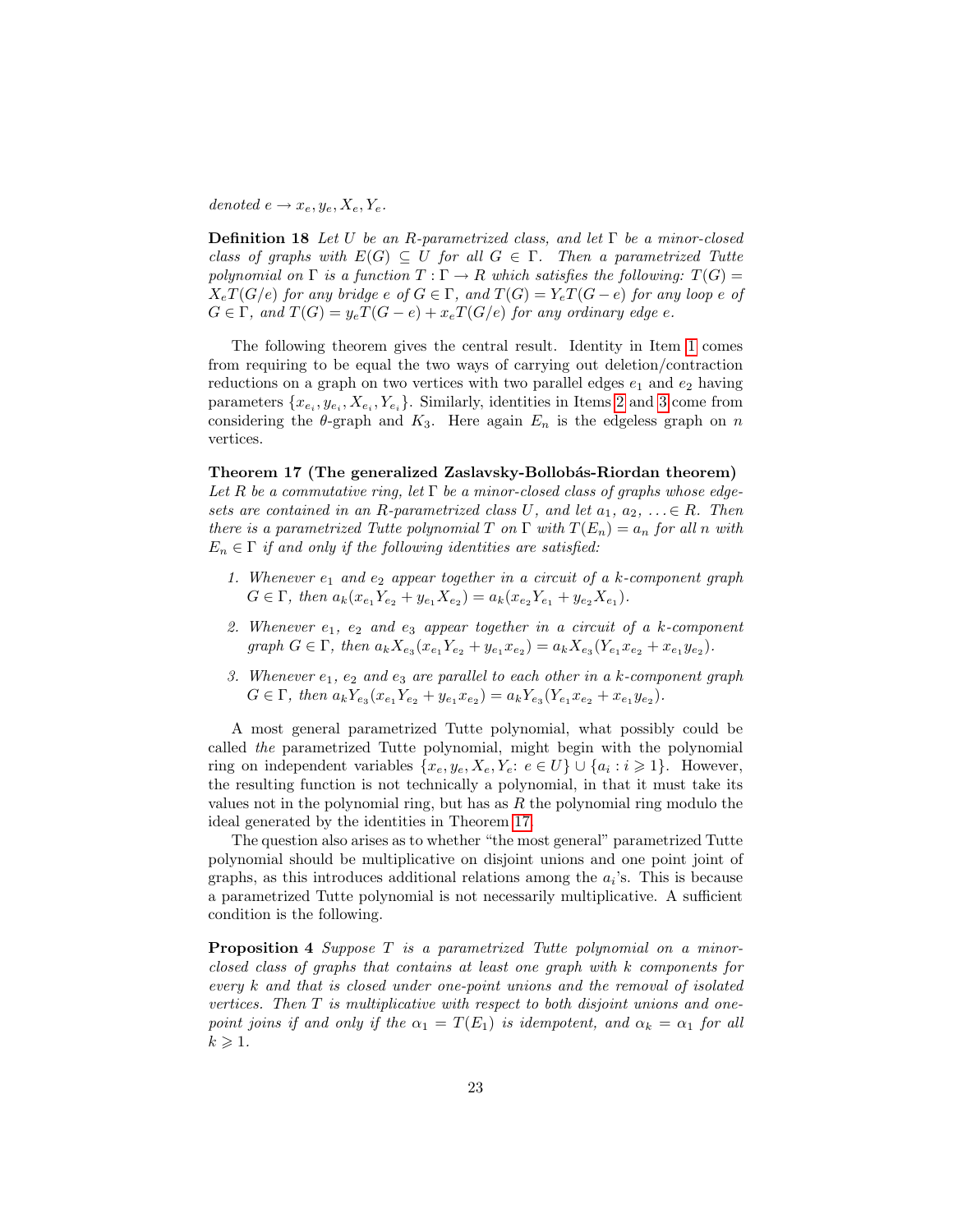denoted  $e \rightarrow x_e, y_e, X_e, Y_e$ .

**Definition 18** Let U be an R-parametrized class, and let  $\Gamma$  be a minor-closed class of graphs with  $E(G) \subseteq U$  for all  $G \in \Gamma$ . Then a parametrized Tutte polynomial on  $\Gamma$  is a function  $T : \Gamma \to R$  which satisfies the following:  $T(G) =$  $X<sub>e</sub>T(G/e)$  for any bridge e of  $G \in \Gamma$ , and  $T(G) = Y<sub>e</sub>T(G - e)$  for any loop e of  $G \in \Gamma$ , and  $T(G) = y_eT(G - e) + x_eT(G/e)$  for any ordinary edge e.

The following theorem gives the central result. Identity in Item [1](#page-22-0) comes from requiring to be equal the two ways of carrying out deletion/contraction reductions on a graph on two vertices with two parallel edges  $e_1$  and  $e_2$  having parameters  $\{x_{e_i}, y_{e_i}, X_{e_i}, Y_{e_i}\}$ . Similarly, identities in Items [2](#page-22-1) and [3](#page-22-2) come from considering the  $\theta$ -graph and  $K_3$ . Here again  $E_n$  is the edgeless graph on n vertices.

<span id="page-22-3"></span>Theorem 17 (The generalized Zaslavsky-Bollobás-Riordan theorem) Let R be a commutative ring, let  $\Gamma$  be a minor-closed class of graphs whose edgesets are contained in an R-parametrized class U, and let  $a_1, a_2, \ldots \in R$ . Then there is a parametrized Tutte polynomial T on  $\Gamma$  with  $T(E_n) = a_n$  for all n with  $E_n \in \Gamma$  if and only if the following identities are satisfied:

- <span id="page-22-0"></span>1. Whenever  $e_1$  and  $e_2$  appear together in a circuit of a k-component graph  $G \in \Gamma$ , then  $a_k(x_{e_1}Y_{e_2} + y_{e_1}X_{e_2}) = a_k(x_{e_2}Y_{e_1} + y_{e_2}X_{e_1}).$
- <span id="page-22-1"></span>2. Whenever  $e_1, e_2$  and  $e_3$  appear together in a circuit of a k-component graph  $G \in \Gamma$ , then  $a_k X_{e_3}(x_{e_1} Y_{e_2} + y_{e_1} x_{e_2}) = a_k X_{e_3}(Y_{e_1} x_{e_2} + x_{e_1} y_{e_2})$ .
- <span id="page-22-2"></span>3. Whenever  $e_1, e_2$  and  $e_3$  are parallel to each other in a k-component graph  $G \in \Gamma$ , then  $a_k Y_{e_3}(x_{e_1} Y_{e_2} + y_{e_1} x_{e_2}) = a_k Y_{e_3}(Y_{e_1} x_{e_2} + x_{e_1} y_{e_2})$ .

A most general parametrized Tutte polynomial, what possibly could be called the parametrized Tutte polynomial, might begin with the polynomial ring on independent variables  $\{x_e, y_e, X_e, Y_e: e \in U\} \cup \{a_i : i \geq 1\}$ . However, the resulting function is not technically a polynomial, in that it must take its values not in the polynomial ring, but has as  $R$  the polynomial ring modulo the ideal generated by the identities in Theorem [17.](#page-22-3)

The question also arises as to whether "the most general" parametrized Tutte polynomial should be multiplicative on disjoint unions and one point joint of graphs, as this introduces additional relations among the  $a_i$ 's. This is because a parametrized Tutte polynomial is not necessarily multiplicative. A sufficient condition is the following.

Proposition 4 Suppose T is a parametrized Tutte polynomial on a minorclosed class of graphs that contains at least one graph with k components for every k and that is closed under one-point unions and the removal of isolated vertices. Then  $T$  is multiplicative with respect to both disjoint unions and onepoint joins if and only if the  $\alpha_1 = T(E_1)$  is idempotent, and  $\alpha_k = \alpha_1$  for all  $k \geqslant 1$ .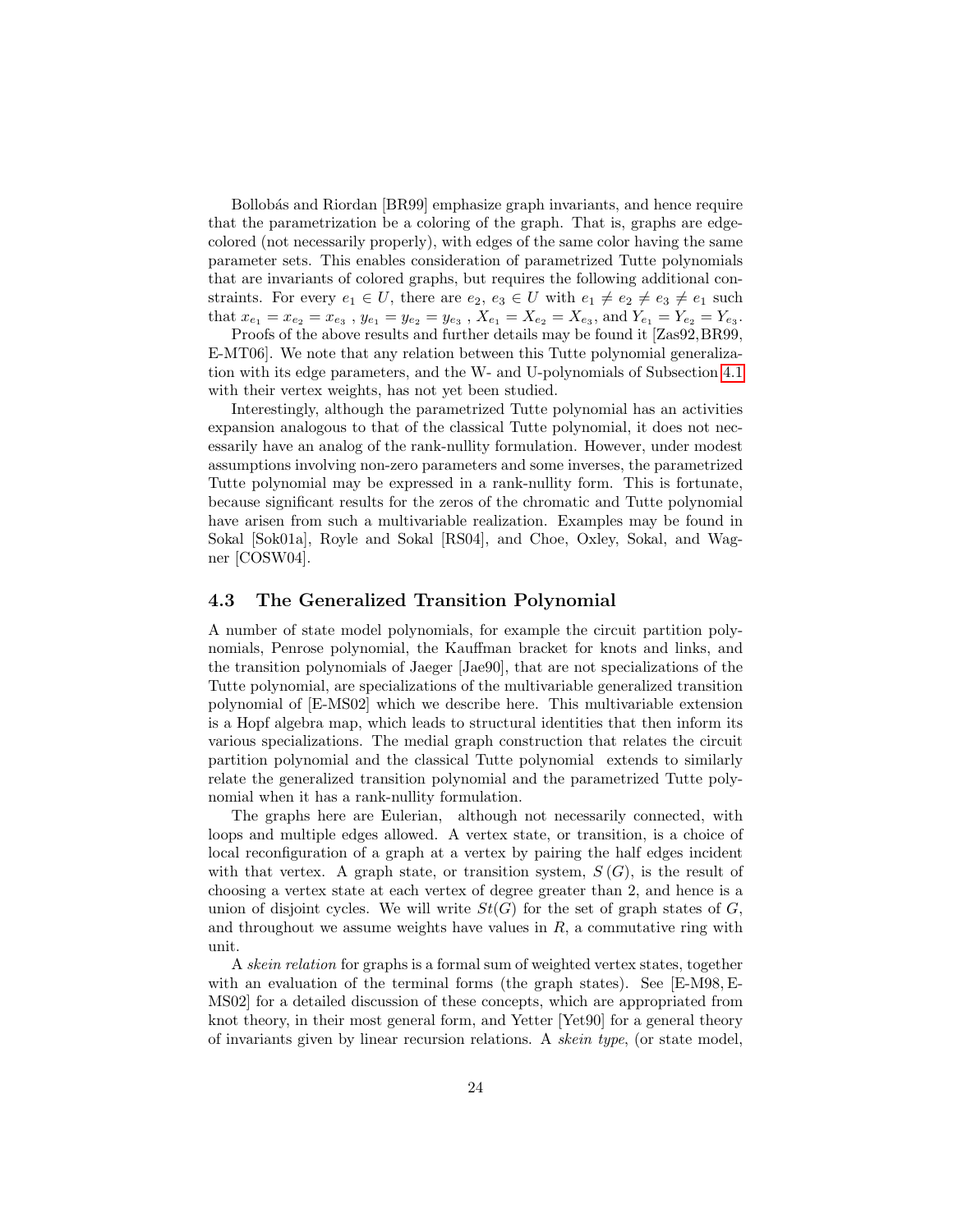Bollobás and Riordan [BR99] emphasize graph invariants, and hence require that the parametrization be a coloring of the graph. That is, graphs are edgecolored (not necessarily properly), with edges of the same color having the same parameter sets. This enables consideration of parametrized Tutte polynomials that are invariants of colored graphs, but requires the following additional constraints. For every  $e_1 \in U$ , there are  $e_2, e_3 \in U$  with  $e_1 \neq e_2 \neq e_3 \neq e_1$  such that  $x_{e_1} = x_{e_2} = x_{e_3}$ ,  $y_{e_1} = y_{e_2} = y_{e_3}$ ,  $X_{e_1} = X_{e_2} = X_{e_3}$ , and  $Y_{e_1} = Y_{e_2} = Y_{e_3}$ .

Proofs of the above results and further details may be found it [Zas92,BR99, E-MT06]. We note that any relation between this Tutte polynomial generalization with its edge parameters, and the W- and U-polynomials of Subsection [4.1](#page-18-1) with their vertex weights, has not yet been studied.

Interestingly, although the parametrized Tutte polynomial has an activities expansion analogous to that of the classical Tutte polynomial, it does not necessarily have an analog of the rank-nullity formulation. However, under modest assumptions involving non-zero parameters and some inverses, the parametrized Tutte polynomial may be expressed in a rank-nullity form. This is fortunate, because significant results for the zeros of the chromatic and Tutte polynomial have arisen from such a multivariable realization. Examples may be found in Sokal [Sok01a], Royle and Sokal [RS04], and Choe, Oxley, Sokal, and Wagner [COSW04].

#### <span id="page-23-0"></span>4.3 The Generalized Transition Polynomial

A number of state model polynomials, for example the circuit partition polynomials, Penrose polynomial, the Kauffman bracket for knots and links, and the transition polynomials of Jaeger [Jae90], that are not specializations of the Tutte polynomial, are specializations of the multivariable generalized transition polynomial of [E-MS02] which we describe here. This multivariable extension is a Hopf algebra map, which leads to structural identities that then inform its various specializations. The medial graph construction that relates the circuit partition polynomial and the classical Tutte polynomial extends to similarly relate the generalized transition polynomial and the parametrized Tutte polynomial when it has a rank-nullity formulation.

The graphs here are Eulerian, although not necessarily connected, with loops and multiple edges allowed. A vertex state, or transition, is a choice of local reconfiguration of a graph at a vertex by pairing the half edges incident with that vertex. A graph state, or transition system,  $S(G)$ , is the result of choosing a vertex state at each vertex of degree greater than 2, and hence is a union of disjoint cycles. We will write  $St(G)$  for the set of graph states of G, and throughout we assume weights have values in  $R$ , a commutative ring with unit.

A skein relation for graphs is a formal sum of weighted vertex states, together with an evaluation of the terminal forms (the graph states). See [E-M98, E-MS02] for a detailed discussion of these concepts, which are appropriated from knot theory, in their most general form, and Yetter [Yet90] for a general theory of invariants given by linear recursion relations. A skein type, (or state model,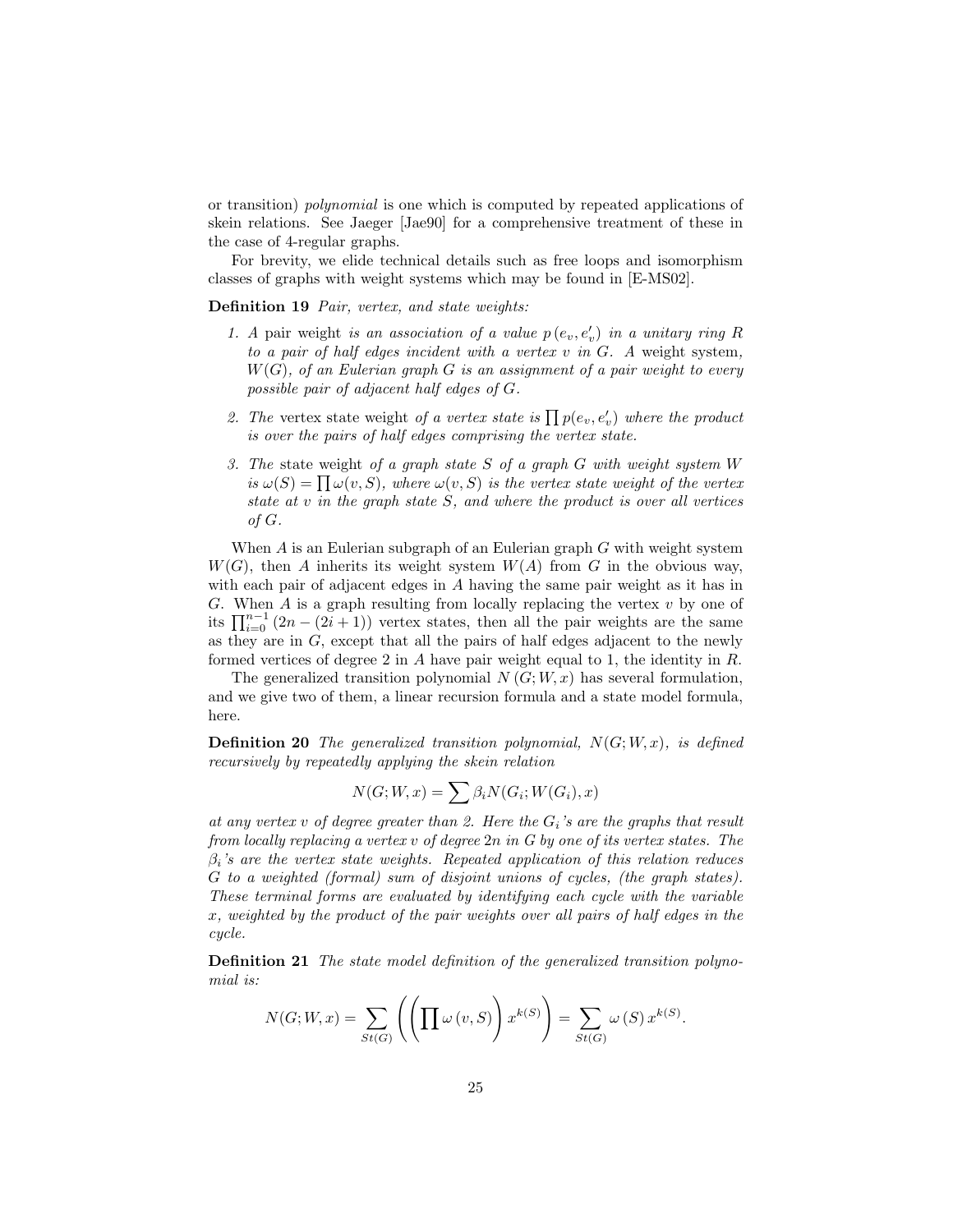or transition) polynomial is one which is computed by repeated applications of skein relations. See Jaeger [Jae90] for a comprehensive treatment of these in the case of 4-regular graphs.

For brevity, we elide technical details such as free loops and isomorphism classes of graphs with weight systems which may be found in [E-MS02].

Definition 19 Pair, vertex, and state weights:

- 1. A pair weight is an association of a value  $p(e_v, e'_v)$  in a unitary ring R to a pair of half edges incident with a vertex  $v$  in  $G$ . A weight system,  $W(G)$ , of an Eulerian graph G is an assignment of a pair weight to every possible pair of adjacent half edges of G.
- 2. The vertex state weight of a vertex state is  $\prod p(e_v, e'_v)$  where the product is over the pairs of half edges comprising the vertex state.
- 3. The state weight of a graph state S of a graph  $G$  with weight system W is  $\omega(S) = \prod \omega(v, S)$ , where  $\omega(v, S)$  is the vertex state weight of the vertex state at v in the graph state S, and where the product is over all vertices of G.

When  $A$  is an Eulerian subgraph of an Eulerian graph  $G$  with weight system  $W(G)$ , then A inherits its weight system  $W(A)$  from G in the obvious way, with each pair of adjacent edges in A having the same pair weight as it has in G. When  $A$  is a graph resulting from locally replacing the vertex  $v$  by one of its  $\prod_{i=0}^{n-1} (2n - (2i + 1))$  vertex states, then all the pair weights are the same as they are in G, except that all the pairs of half edges adjacent to the newly formed vertices of degree 2 in A have pair weight equal to 1, the identity in R.

The generalized transition polynomial  $N(G;W,x)$  has several formulation, and we give two of them, a linear recursion formula and a state model formula, here.

<span id="page-24-0"></span>**Definition 20** The generalized transition polynomial,  $N(G; W, x)$ , is defined recursively by repeatedly applying the skein relation

$$
N(G;W,x)=\sum \beta_i N(G_i;W(G_i),x)
$$

at any vertex v of degree greater than 2. Here the  $G_i$ 's are the graphs that result from locally replacing a vertex v of degree  $2n$  in G by one of its vertex states. The  $\beta_i$ 's are the vertex state weights. Repeated application of this relation reduces G to a weighted (formal) sum of disjoint unions of cycles, (the graph states). These terminal forms are evaluated by identifying each cycle with the variable x, weighted by the product of the pair weights over all pairs of half edges in the cycle.

<span id="page-24-1"></span>Definition 21 The state model definition of the generalized transition polynomial is:

$$
N(G;W,x) = \sum_{St(G)} \left( \left( \prod \omega(v,S) \right) x^{k(S)} \right) = \sum_{St(G)} \omega(S) x^{k(S)}.
$$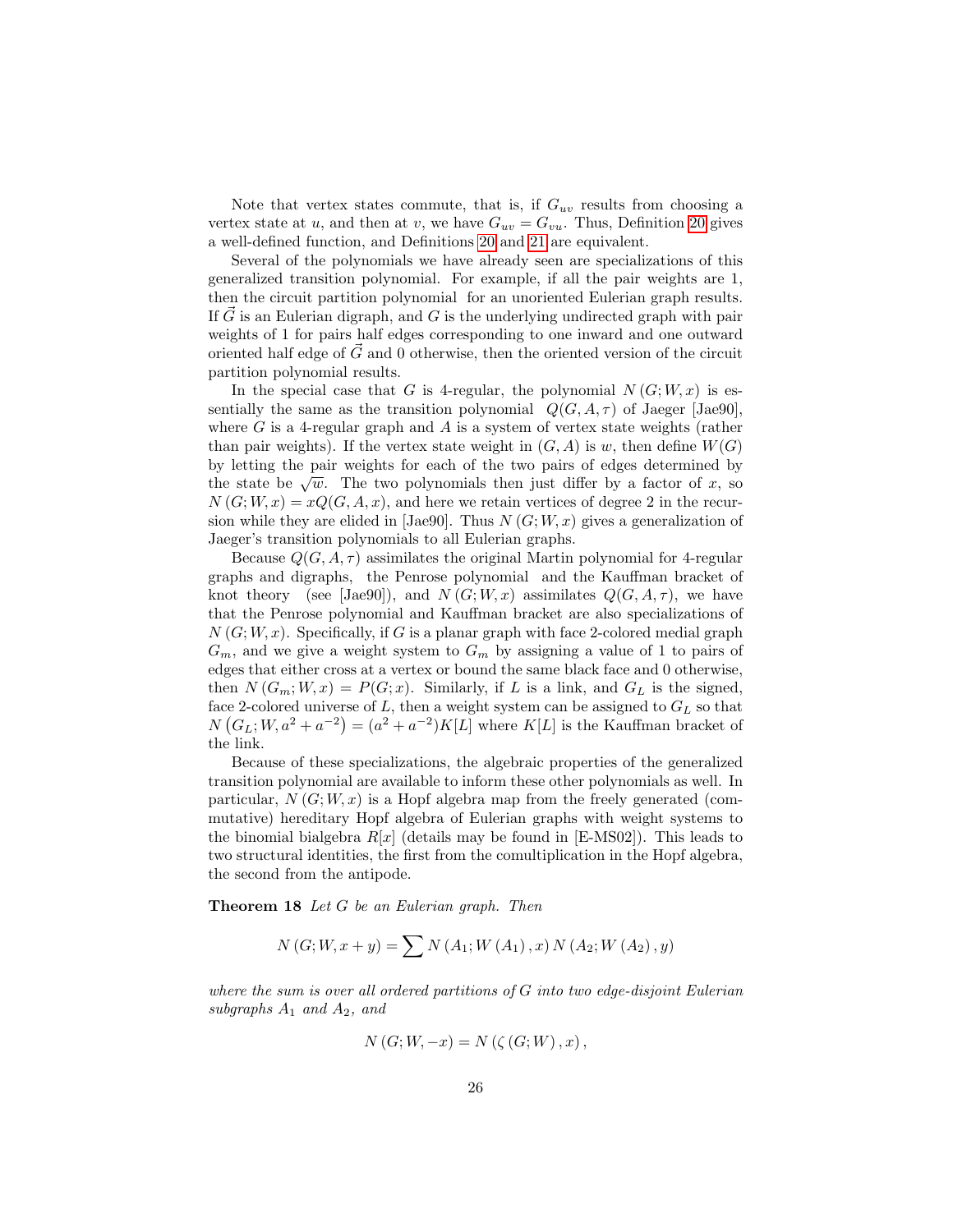Note that vertex states commute, that is, if  $G_{uv}$  results from choosing a vertex state at u, and then at v, we have  $G_{uv} = G_{vu}$ . Thus, Definition [20](#page-24-0) gives a well-defined function, and Definitions [20](#page-24-0) and [21](#page-24-1) are equivalent.

Several of the polynomials we have already seen are specializations of this generalized transition polynomial. For example, if all the pair weights are 1, then the circuit partition polynomial for an unoriented Eulerian graph results. If  $\tilde{G}$  is an Eulerian digraph, and G is the underlying undirected graph with pair weights of 1 for pairs half edges corresponding to one inward and one outward oriented half edge of  $\tilde{G}$  and 0 otherwise, then the oriented version of the circuit partition polynomial results.

In the special case that G is 4-regular, the polynomial  $N(G;W,x)$  is essentially the same as the transition polynomial  $Q(G, A, \tau)$  of Jaeger [Jae90], where  $G$  is a 4-regular graph and  $A$  is a system of vertex state weights (rather than pair weights). If the vertex state weight in  $(G, A)$  is w, then define  $W(G)$ by letting the pair weights for each of the two pairs of edges determined by by letting the pair weights for each of the two pairs of edges determined by the state be  $\sqrt{w}$ . The two polynomials then just differ by a factor of x, so  $N(G;W,x) = xQ(G, A, x)$ , and here we retain vertices of degree 2 in the recursion while they are elided in [Jae90]. Thus  $N(G;W,x)$  gives a generalization of Jaeger's transition polynomials to all Eulerian graphs.

Because  $Q(G, A, \tau)$  assimilates the original Martin polynomial for 4-regular graphs and digraphs, the Penrose polynomial and the Kauffman bracket of knot theory (see [Jae90]), and  $N(G;W,x)$  assimilates  $Q(G, A, \tau)$ , we have that the Penrose polynomial and Kauffman bracket are also specializations of  $N(G;W,x)$ . Specifically, if G is a planar graph with face 2-colored medial graph  $G_m$ , and we give a weight system to  $G_m$  by assigning a value of 1 to pairs of edges that either cross at a vertex or bound the same black face and 0 otherwise, then  $N(G_m;W,x) = P(G;x)$ . Similarly, if L is a link, and  $G_L$  is the signed, face 2-colored universe of L, then a weight system can be assigned to  $G_L$  so that  $N(G_L; W, a^2 + a^{-2}) = (a^2 + a^{-2})K[L]$  where  $K[L]$  is the Kauffman bracket of the link.

Because of these specializations, the algebraic properties of the generalized transition polynomial are available to inform these other polynomials as well. In particular,  $N(G; W, x)$  is a Hopf algebra map from the freely generated (commutative) hereditary Hopf algebra of Eulerian graphs with weight systems to the binomial bialgebra  $R[x]$  (details may be found in [E-MS02]). This leads to two structural identities, the first from the comultiplication in the Hopf algebra, the second from the antipode.

Theorem 18 Let G be an Eulerian graph. Then

$$
N(G;W,x + y) = \sum N(A_1; W(A_1), x) N(A_2; W(A_2), y)
$$

where the sum is over all ordered partitions of  $G$  into two edge-disjoint Eulerian subgraphs  $A_1$  and  $A_2$ , and

$$
N(G;W,-x) = N(\zeta(G;W),x),
$$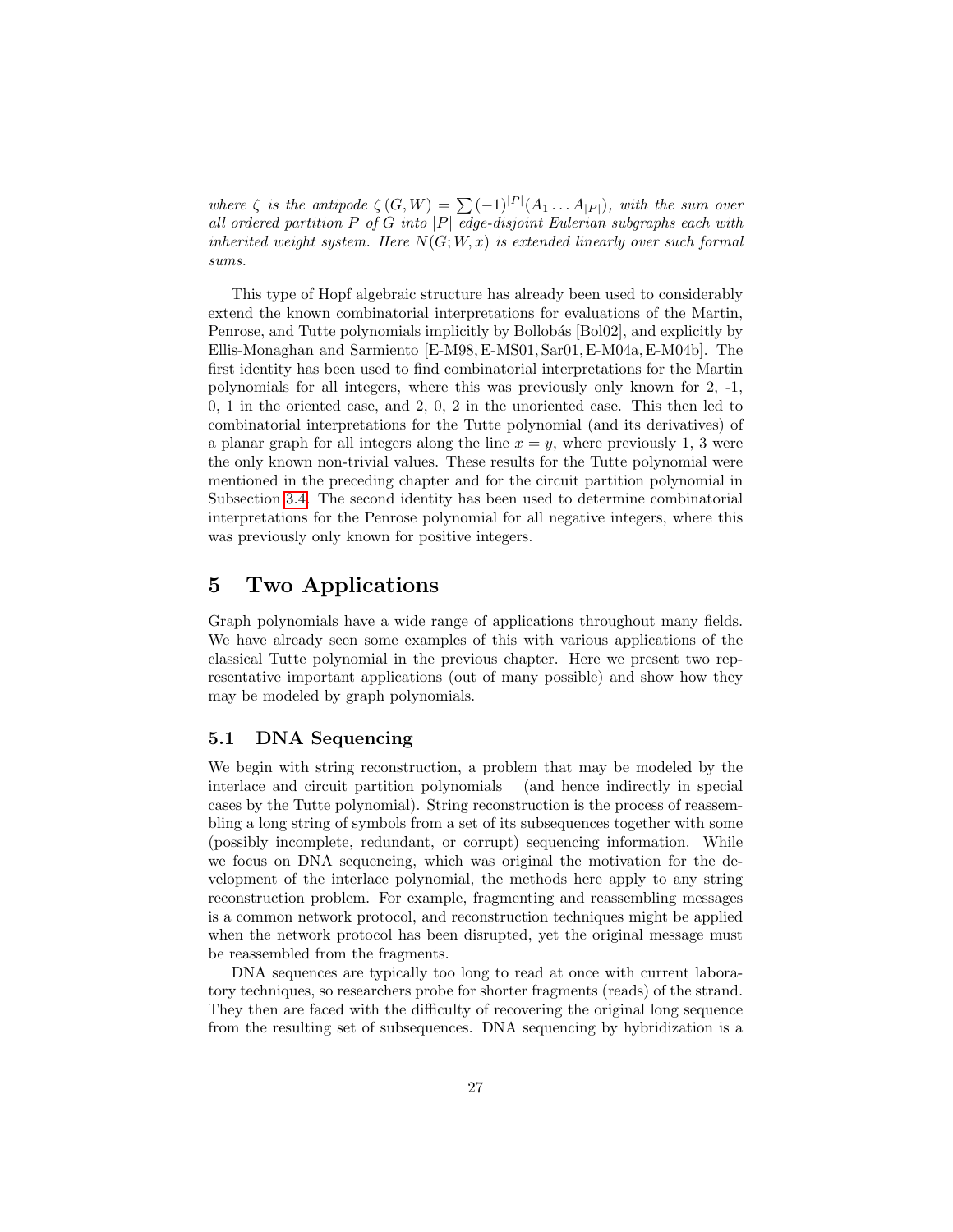where  $\zeta$  is the antipode  $\zeta(G, W) = \sum_{n=1}^{\infty} (-1)^{|P|} (A_1 ... A_{|P|}),$  with the sum over all ordered partition  $P$  of  $G$  into  $|P|$  edge-disjoint Eulerian subgraphs each with inherited weight system. Here  $N(G;W,x)$  is extended linearly over such formal sums.

This type of Hopf algebraic structure has already been used to considerably extend the known combinatorial interpretations for evaluations of the Martin, Penrose, and Tutte polynomials implicitly by Bollobás [Bol02], and explicitly by Ellis-Monaghan and Sarmiento [E-M98, E-MS01, Sar01, E-M04a, E-M04b]. The first identity has been used to find combinatorial interpretations for the Martin polynomials for all integers, where this was previously only known for 2, -1, 0, 1 in the oriented case, and 2, 0, 2 in the unoriented case. This then led to combinatorial interpretations for the Tutte polynomial (and its derivatives) of a planar graph for all integers along the line  $x = y$ , where previously 1, 3 were the only known non-trivial values. These results for the Tutte polynomial were mentioned in the preceding chapter and for the circuit partition polynomial in Subsection [3.4.](#page-12-2) The second identity has been used to determine combinatorial interpretations for the Penrose polynomial for all negative integers, where this was previously only known for positive integers.

### <span id="page-26-0"></span>5 Two Applications

Graph polynomials have a wide range of applications throughout many fields. We have already seen some examples of this with various applications of the classical Tutte polynomial in the previous chapter. Here we present two representative important applications (out of many possible) and show how they may be modeled by graph polynomials.

#### 5.1 DNA Sequencing

We begin with string reconstruction, a problem that may be modeled by the interlace and circuit partition polynomials (and hence indirectly in special cases by the Tutte polynomial). String reconstruction is the process of reassembling a long string of symbols from a set of its subsequences together with some (possibly incomplete, redundant, or corrupt) sequencing information. While we focus on DNA sequencing, which was original the motivation for the development of the interlace polynomial, the methods here apply to any string reconstruction problem. For example, fragmenting and reassembling messages is a common network protocol, and reconstruction techniques might be applied when the network protocol has been disrupted, yet the original message must be reassembled from the fragments.

DNA sequences are typically too long to read at once with current laboratory techniques, so researchers probe for shorter fragments (reads) of the strand. They then are faced with the difficulty of recovering the original long sequence from the resulting set of subsequences. DNA sequencing by hybridization is a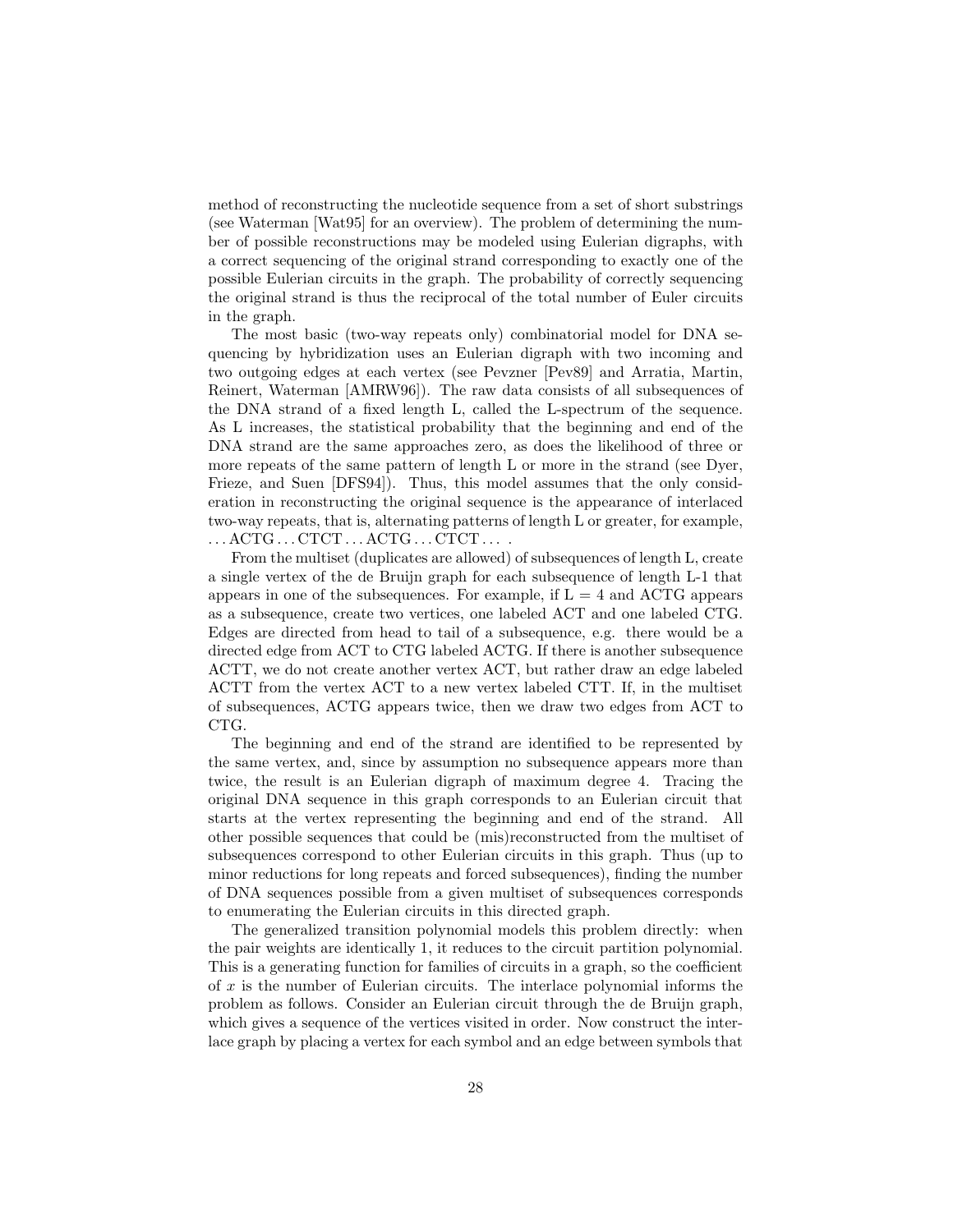method of reconstructing the nucleotide sequence from a set of short substrings (see Waterman [Wat95] for an overview). The problem of determining the number of possible reconstructions may be modeled using Eulerian digraphs, with a correct sequencing of the original strand corresponding to exactly one of the possible Eulerian circuits in the graph. The probability of correctly sequencing the original strand is thus the reciprocal of the total number of Euler circuits in the graph.

The most basic (two-way repeats only) combinatorial model for DNA sequencing by hybridization uses an Eulerian digraph with two incoming and two outgoing edges at each vertex (see Pevzner [Pev89] and Arratia, Martin, Reinert, Waterman [AMRW96]). The raw data consists of all subsequences of the DNA strand of a fixed length L, called the L-spectrum of the sequence. As L increases, the statistical probability that the beginning and end of the DNA strand are the same approaches zero, as does the likelihood of three or more repeats of the same pattern of length L or more in the strand (see Dyer, Frieze, and Suen [DFS94]). Thus, this model assumes that the only consideration in reconstructing the original sequence is the appearance of interlaced two-way repeats, that is, alternating patterns of length L or greater, for example,  $\ldots$   $\text{ACTG} \ldots \text{CTCT} \ldots \text{ACTG} \ldots \text{CTCT} \ldots$ 

From the multiset (duplicates are allowed) of subsequences of length L, create a single vertex of the de Bruijn graph for each subsequence of length L-1 that appears in one of the subsequences. For example, if  $L = 4$  and  $\text{ACTG}$  appears as a subsequence, create two vertices, one labeled ACT and one labeled CTG. Edges are directed from head to tail of a subsequence, e.g. there would be a directed edge from ACT to CTG labeled ACTG. If there is another subsequence ACTT, we do not create another vertex ACT, but rather draw an edge labeled ACTT from the vertex ACT to a new vertex labeled CTT. If, in the multiset of subsequences, ACTG appears twice, then we draw two edges from ACT to CTG.

The beginning and end of the strand are identified to be represented by the same vertex, and, since by assumption no subsequence appears more than twice, the result is an Eulerian digraph of maximum degree 4. Tracing the original DNA sequence in this graph corresponds to an Eulerian circuit that starts at the vertex representing the beginning and end of the strand. All other possible sequences that could be (mis)reconstructed from the multiset of subsequences correspond to other Eulerian circuits in this graph. Thus (up to minor reductions for long repeats and forced subsequences), finding the number of DNA sequences possible from a given multiset of subsequences corresponds to enumerating the Eulerian circuits in this directed graph.

The generalized transition polynomial models this problem directly: when the pair weights are identically 1, it reduces to the circuit partition polynomial. This is a generating function for families of circuits in a graph, so the coefficient of  $x$  is the number of Eulerian circuits. The interlace polynomial informs the problem as follows. Consider an Eulerian circuit through the de Bruijn graph, which gives a sequence of the vertices visited in order. Now construct the interlace graph by placing a vertex for each symbol and an edge between symbols that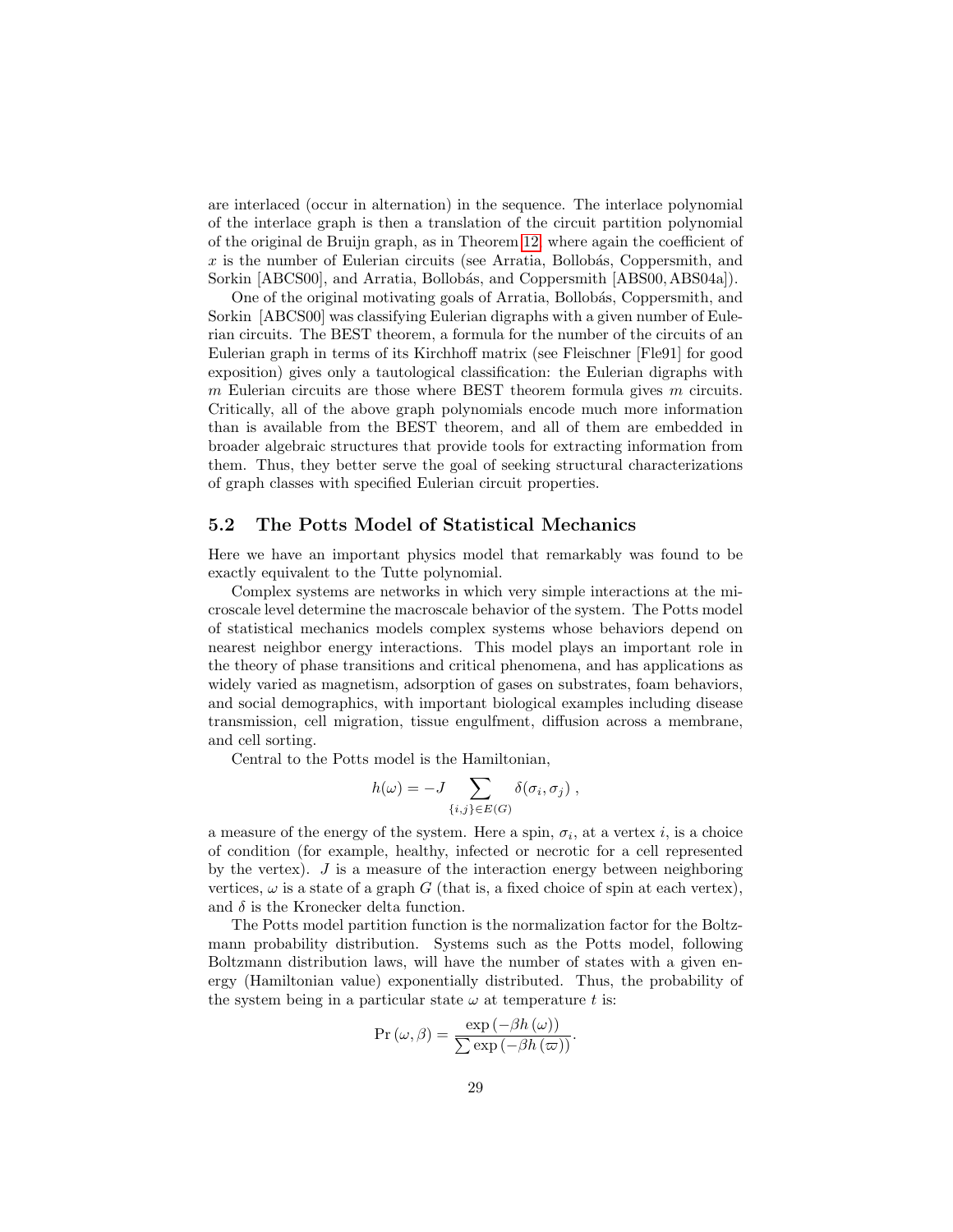are interlaced (occur in alternation) in the sequence. The interlace polynomial of the interlace graph is then a translation of the circuit partition polynomial of the original de Bruijn graph, as in Theorem [12,](#page-17-0) where again the coefficient of  $x$  is the number of Eulerian circuits (see Arratia, Bollobás, Coppersmith, and Sorkin [ABCS00], and Arratia, Bollobás, and Coppersmith [ABS00, ABS04a]).

One of the original motivating goals of Arratia, Bollobás, Coppersmith, and Sorkin [ABCS00] was classifying Eulerian digraphs with a given number of Eulerian circuits. The BEST theorem, a formula for the number of the circuits of an Eulerian graph in terms of its Kirchhoff matrix (see Fleischner [Fle91] for good exposition) gives only a tautological classification: the Eulerian digraphs with m Eulerian circuits are those where BEST theorem formula gives  $m$  circuits. Critically, all of the above graph polynomials encode much more information than is available from the BEST theorem, and all of them are embedded in broader algebraic structures that provide tools for extracting information from them. Thus, they better serve the goal of seeking structural characterizations of graph classes with specified Eulerian circuit properties.

#### 5.2 The Potts Model of Statistical Mechanics

Here we have an important physics model that remarkably was found to be exactly equivalent to the Tutte polynomial.

Complex systems are networks in which very simple interactions at the microscale level determine the macroscale behavior of the system. The Potts model of statistical mechanics models complex systems whose behaviors depend on nearest neighbor energy interactions. This model plays an important role in the theory of phase transitions and critical phenomena, and has applications as widely varied as magnetism, adsorption of gases on substrates, foam behaviors, and social demographics, with important biological examples including disease transmission, cell migration, tissue engulfment, diffusion across a membrane, and cell sorting.

Central to the Potts model is the Hamiltonian,

$$
h(\omega) = -J \sum_{\{i,j\} \in E(G)} \delta(\sigma_i, \sigma_j) ,
$$

a measure of the energy of the system. Here a spin,  $\sigma_i$ , at a vertex i, is a choice of condition (for example, healthy, infected or necrotic for a cell represented by the vertex).  $J$  is a measure of the interaction energy between neighboring vertices,  $\omega$  is a state of a graph  $G$  (that is, a fixed choice of spin at each vertex), and  $\delta$  is the Kronecker delta function.

The Potts model partition function is the normalization factor for the Boltzmann probability distribution. Systems such as the Potts model, following Boltzmann distribution laws, will have the number of states with a given energy (Hamiltonian value) exponentially distributed. Thus, the probability of the system being in a particular state  $\omega$  at temperature t is:

$$
\Pr(\omega, \beta) = \frac{\exp(-\beta h(\omega))}{\sum \exp(-\beta h(\varpi))}.
$$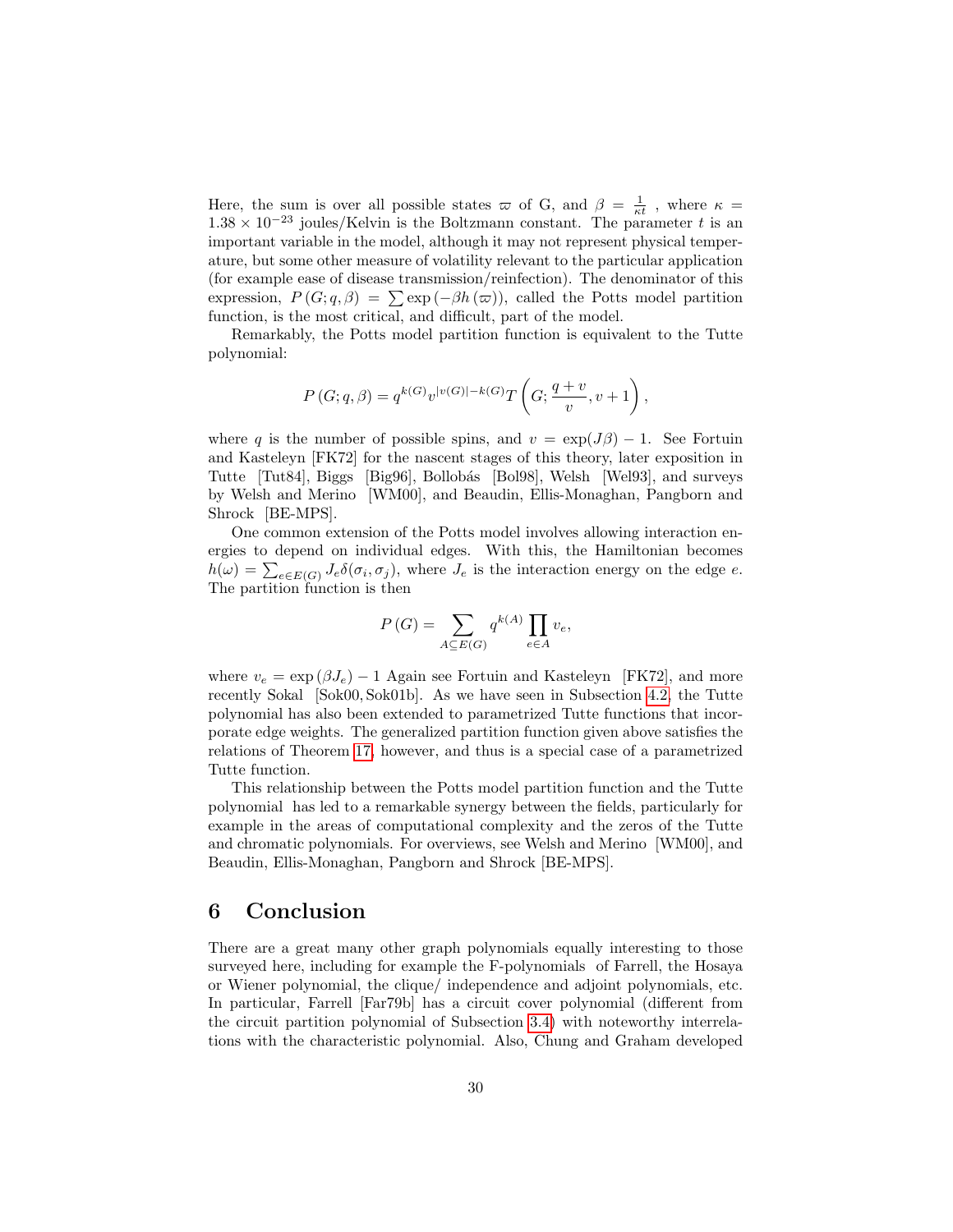Here, the sum is over all possible states  $\varpi$  of G, and  $\beta = \frac{1}{\kappa t}$ , where  $\kappa =$  $1.38 \times 10^{-23}$  joules/Kelvin is the Boltzmann constant. The parameter t is an important variable in the model, although it may not represent physical temperature, but some other measure of volatility relevant to the particular application (for example ease of disease transmission/reinfection). The denominator of this expression,  $P(G; q, \beta) = \sum \exp(-\beta h(\varpi))$ , called the Potts model partition function, is the most critical, and difficult, part of the model.

Remarkably, the Potts model partition function is equivalent to the Tutte polynomial:

$$
P(G; q, \beta) = q^{k(G)}v^{|v(G)| - k(G)}T\left(G; \frac{q+v}{v}, v+1\right),
$$

where q is the number of possible spins, and  $v = \exp(J\beta) - 1$ . See Fortuin and Kasteleyn [FK72] for the nascent stages of this theory, later exposition in Tutte [Tut84], Biggs [Big96], Bollobás [Bol98], Welsh [Wel93], and surveys by Welsh and Merino [WM00], and Beaudin, Ellis-Monaghan, Pangborn and Shrock [BE-MPS].

One common extension of the Potts model involves allowing interaction energies to depend on individual edges. With this, the Hamiltonian becomes  $h(\omega) = \sum_{e \in E(G)} J_e \delta(\sigma_i, \sigma_j)$ , where  $J_e$  is the interaction energy on the edge e. The partition function is then

$$
P(G) = \sum_{A \subseteq E(G)} q^{k(A)} \prod_{e \in A} v_e,
$$

where  $v_e = \exp(\beta J_e) - 1$  Again see Fortuin and Kasteleyn [FK72], and more recently Sokal [Sok00, Sok01b]. As we have seen in Subsection [4.2,](#page-21-0) the Tutte polynomial has also been extended to parametrized Tutte functions that incorporate edge weights. The generalized partition function given above satisfies the relations of Theorem [17,](#page-22-3) however, and thus is a special case of a parametrized Tutte function.

This relationship between the Potts model partition function and the Tutte polynomial has led to a remarkable synergy between the fields, particularly for example in the areas of computational complexity and the zeros of the Tutte and chromatic polynomials. For overviews, see Welsh and Merino [WM00], and Beaudin, Ellis-Monaghan, Pangborn and Shrock [BE-MPS].

### 6 Conclusion

There are a great many other graph polynomials equally interesting to those surveyed here, including for example the F-polynomials of Farrell, the Hosaya or Wiener polynomial, the clique/ independence and adjoint polynomials, etc. In particular, Farrell [Far79b] has a circuit cover polynomial (different from the circuit partition polynomial of Subsection [3.4\)](#page-12-2) with noteworthy interrelations with the characteristic polynomial. Also, Chung and Graham developed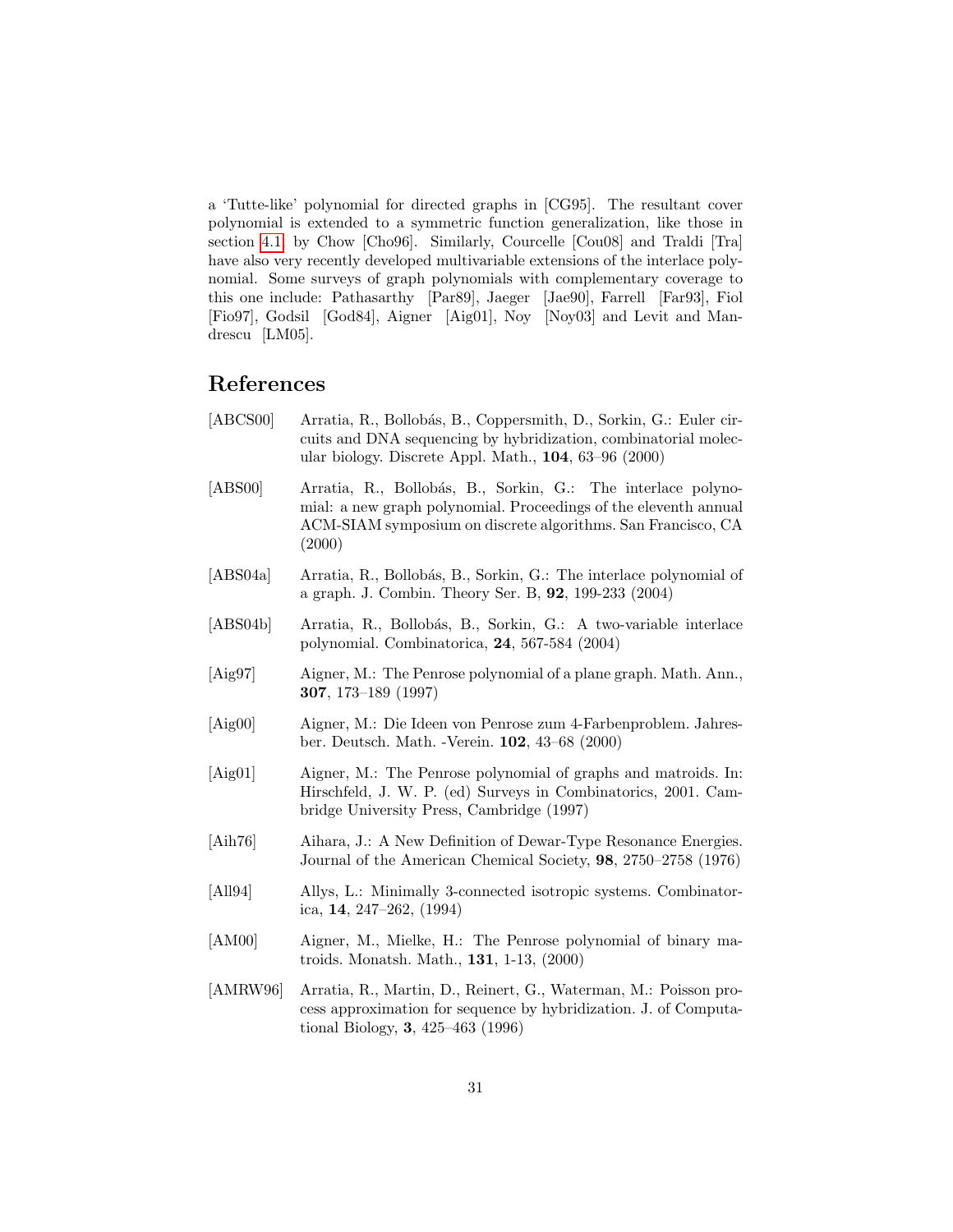a 'Tutte-like' polynomial for directed graphs in [CG95]. The resultant cover polynomial is extended to a symmetric function generalization, like those in section [4.1,](#page-18-1) by Chow [Cho96]. Similarly, Courcelle [Cou08] and Traldi [Tra] have also very recently developed multivariable extensions of the interlace polynomial. Some surveys of graph polynomials with complementary coverage to this one include: Pathasarthy [Par89], Jaeger [Jae90], Farrell [Far93], Fiol [Fio97], Godsil [God84], Aigner [Aig01], Noy [Noy03] and Levit and Mandrescu [LM05].

### References

- [ABCS00] Arratia, R., Bollobás, B., Coppersmith, D., Sorkin, G.: Euler circuits and DNA sequencing by hybridization, combinatorial molecular biology. Discrete Appl. Math., 104, 63–96 (2000)
- [ABS00] Arratia, R., Bollobás, B., Sorkin, G.: The interlace polynomial: a new graph polynomial. Proceedings of the eleventh annual ACM-SIAM symposium on discrete algorithms. San Francisco, CA (2000)
- [ABS04a] Arratia, R., Bollobás, B., Sorkin, G.: The interlace polynomial of a graph. J. Combin. Theory Ser. B, 92, 199-233 (2004)
- [ABS04b] Arratia, R., Bollobás, B., Sorkin, G.: A two-variable interlace polynomial. Combinatorica, 24, 567-584 (2004)
- [Aig97] Aigner, M.: The Penrose polynomial of a plane graph. Math. Ann., 307, 173–189 (1997)
- [Aig00] Aigner, M.: Die Ideen von Penrose zum 4-Farbenproblem. Jahresber. Deutsch. Math. -Verein. 102, 43–68 (2000)
- [Aig01] Aigner, M.: The Penrose polynomial of graphs and matroids. In: Hirschfeld, J. W. P. (ed) Surveys in Combinatorics, 2001. Cambridge University Press, Cambridge (1997)
- [Aih76] Aihara, J.: A New Definition of Dewar-Type Resonance Energies. Journal of the American Chemical Society, 98, 2750–2758 (1976)
- [All94] Allys, L.: Minimally 3-connected isotropic systems. Combinatorica, 14, 247–262, (1994)
- [AM00] Aigner, M., Mielke, H.: The Penrose polynomial of binary matroids. Monatsh. Math., 131, 1-13, (2000)
- [AMRW96] Arratia, R., Martin, D., Reinert, G., Waterman, M.: Poisson process approximation for sequence by hybridization. J. of Computational Biology, 3, 425–463 (1996)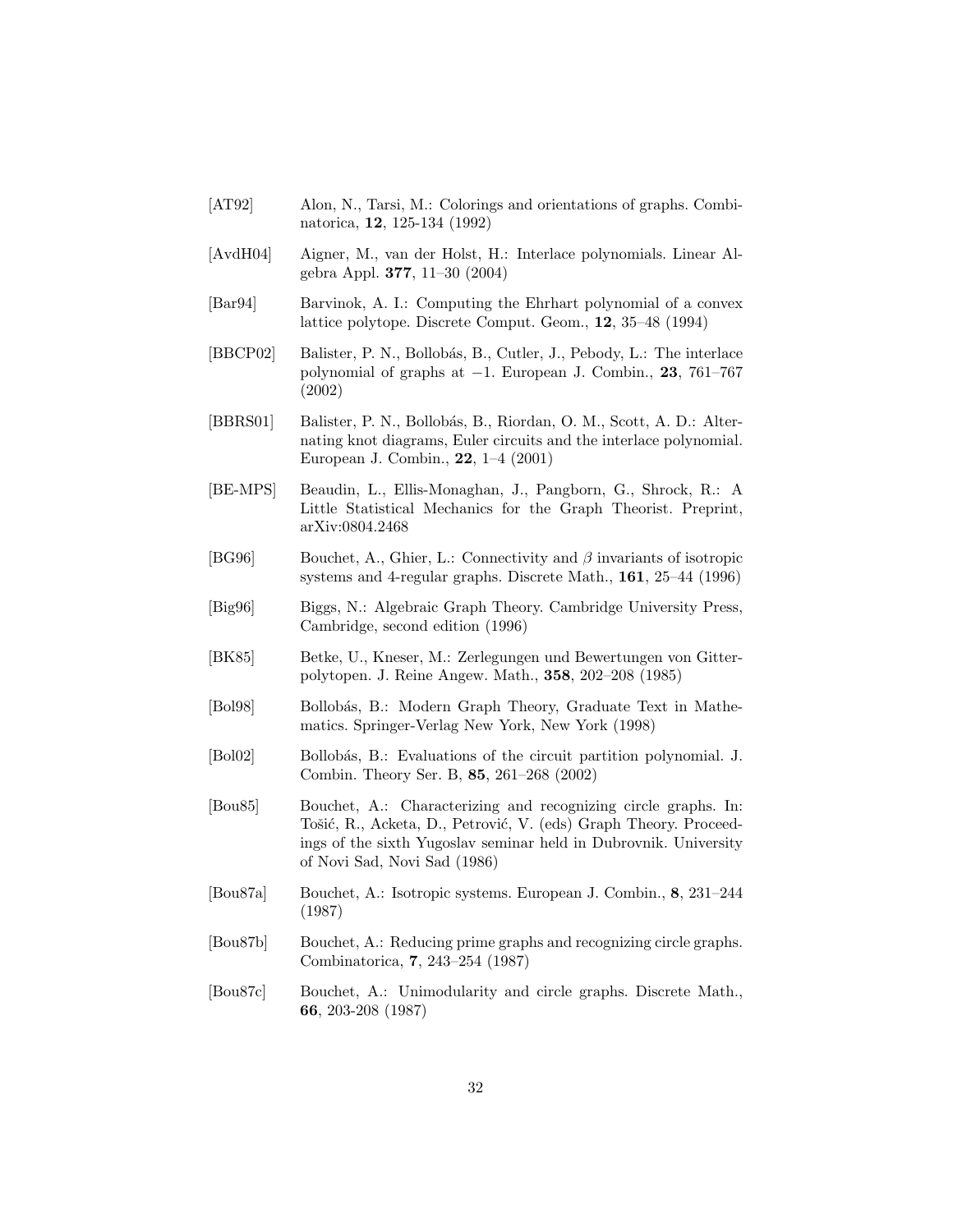- [AT92] Alon, N., Tarsi, M.: Colorings and orientations of graphs. Combinatorica, 12, 125-134 (1992)
- [AvdH04] Aigner, M., van der Holst, H.: Interlace polynomials. Linear Algebra Appl. 377, 11–30 (2004)
- [Bar94] Barvinok, A. I.: Computing the Ehrhart polynomial of a convex lattice polytope. Discrete Comput. Geom., 12, 35–48 (1994)
- [BBCP02] Balister, P. N., Bollob´as, B., Cutler, J., Pebody, L.: The interlace polynomial of graphs at −1. European J. Combin., 23, 761–767 (2002)
- [BBRS01] Balister, P. N., Bollob´as, B., Riordan, O. M., Scott, A. D.: Alternating knot diagrams, Euler circuits and the interlace polynomial. European J. Combin., 22, 1–4 (2001)
- [BE-MPS] Beaudin, L., Ellis-Monaghan, J., Pangborn, G., Shrock, R.: A Little Statistical Mechanics for the Graph Theorist. Preprint, arXiv:0804.2468
- [BG96] Bouchet, A., Ghier, L.: Connectivity and  $\beta$  invariants of isotropic systems and 4-regular graphs. Discrete Math., 161, 25–44 (1996)
- [Big96] Biggs, N.: Algebraic Graph Theory. Cambridge University Press, Cambridge, second edition (1996)
- [BK85] Betke, U., Kneser, M.: Zerlegungen und Bewertungen von Gitterpolytopen. J. Reine Angew. Math., 358, 202–208 (1985)
- [Bol98] Bollobás, B.: Modern Graph Theory, Graduate Text in Mathematics. Springer-Verlag New York, New York (1998)
- [Bol02] Bollobás, B.: Evaluations of the circuit partition polynomial. J. Combin. Theory Ser. B, 85, 261–268 (2002)
- [Bou85] Bouchet, A.: Characterizing and recognizing circle graphs. In: Tošić, R., Acketa, D., Petrović, V. (eds) Graph Theory. Proceedings of the sixth Yugoslav seminar held in Dubrovnik. University of Novi Sad, Novi Sad (1986)
- [Bou87a] Bouchet, A.: Isotropic systems. European J. Combin., 8, 231–244 (1987)
- [Bou87b] Bouchet, A.: Reducing prime graphs and recognizing circle graphs. Combinatorica, 7, 243–254 (1987)
- [Bou87c] Bouchet, A.: Unimodularity and circle graphs. Discrete Math., 66, 203-208 (1987)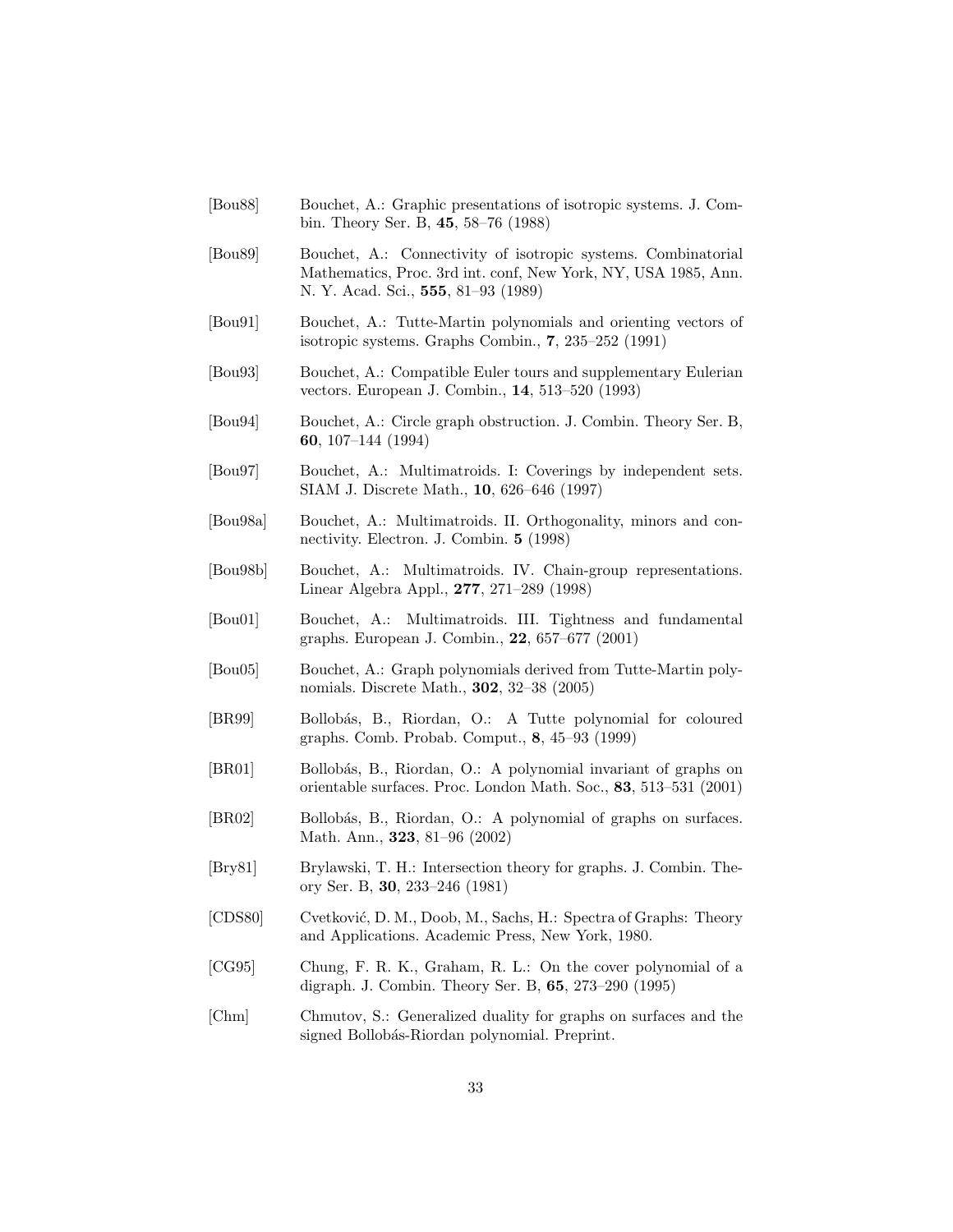- [Bou88] Bouchet, A.: Graphic presentations of isotropic systems. J. Combin. Theory Ser. B, 45, 58–76 (1988) [Bou89] Bouchet, A.: Connectivity of isotropic systems. Combinatorial Mathematics, Proc. 3rd int. conf, New York, NY, USA 1985, Ann. N. Y. Acad. Sci., 555, 81–93 (1989) [Bou91] Bouchet, A.: Tutte-Martin polynomials and orienting vectors of isotropic systems. Graphs Combin., 7, 235–252 (1991) [Bou93] Bouchet, A.: Compatible Euler tours and supplementary Eulerian vectors. European J. Combin., 14, 513–520 (1993) [Bou94] Bouchet, A.: Circle graph obstruction. J. Combin. Theory Ser. B, 60, 107–144 (1994) [Bou97] Bouchet, A.: Multimatroids. I: Coverings by independent sets.
- SIAM J. Discrete Math., 10, 626–646 (1997)
- [Bou98a] Bouchet, A.: Multimatroids. II. Orthogonality, minors and connectivity. Electron. J. Combin. 5 (1998)
- [Bou98b] Bouchet, A.: Multimatroids. IV. Chain-group representations. Linear Algebra Appl., 277, 271–289 (1998)
- [Bou01] Bouchet, A.: Multimatroids. III. Tightness and fundamental graphs. European J. Combin., 22, 657–677 (2001)
- [Bou05] Bouchet, A.: Graph polynomials derived from Tutte-Martin polynomials. Discrete Math., 302, 32–38 (2005)
- [BR99] Bollobás, B., Riordan, O.: A Tutte polynomial for coloured graphs. Comb. Probab. Comput., 8, 45–93 (1999)
- [BR01] Bollobás, B., Riordan, O.: A polynomial invariant of graphs on orientable surfaces. Proc. London Math. Soc., 83, 513–531 (2001)
- [BR02] Bollobás, B., Riordan, O.: A polynomial of graphs on surfaces. Math. Ann., 323, 81–96 (2002)
- [Bry81] Brylawski, T. H.: Intersection theory for graphs. J. Combin. Theory Ser. B, 30, 233–246 (1981)
- [CDS80] Cvetković, D. M., Doob, M., Sachs, H.: Spectra of Graphs: Theory and Applications. Academic Press, New York, 1980.
- [CG95] Chung, F. R. K., Graham, R. L.: On the cover polynomial of a digraph. J. Combin. Theory Ser. B, 65, 273–290 (1995)
- [Chm] Chmutov, S.: Generalized duality for graphs on surfaces and the signed Bollobás-Riordan polynomial. Preprint.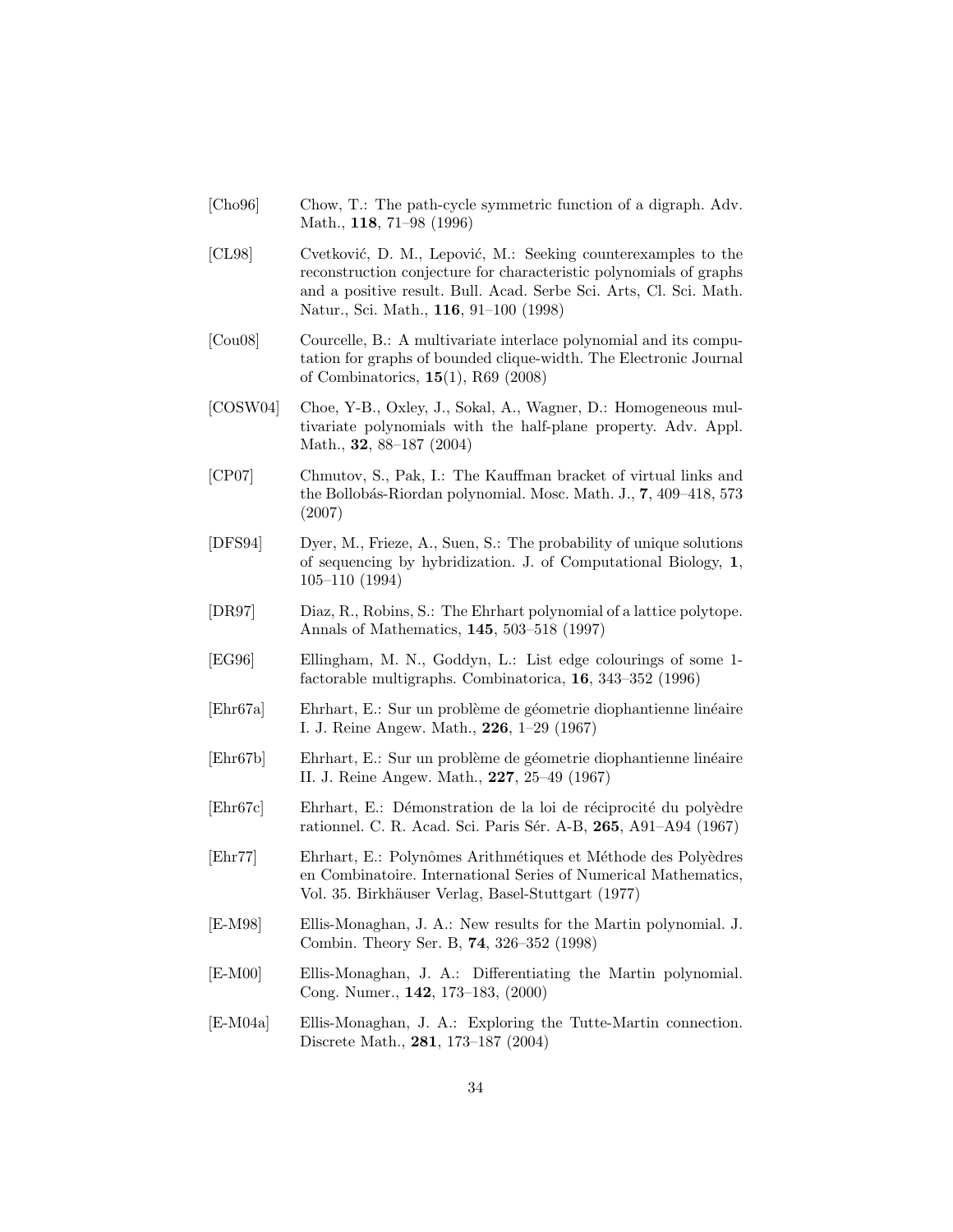- [Cho96] Chow, T.: The path-cycle symmetric function of a digraph. Adv. Math., 118, 71–98 (1996)
- [CL98] Cvetković, D. M., Lepović, M.: Seeking counterexamples to the reconstruction conjecture for characteristic polynomials of graphs and a positive result. Bull. Acad. Serbe Sci. Arts, Cl. Sci. Math. Natur., Sci. Math., 116, 91–100 (1998)
- [Cou08] Courcelle, B.: A multivariate interlace polynomial and its computation for graphs of bounded clique-width. The Electronic Journal of Combinatorics, 15(1), R69 (2008)
- [COSW04] Choe, Y-B., Oxley, J., Sokal, A., Wagner, D.: Homogeneous multivariate polynomials with the half-plane property. Adv. Appl. Math., 32, 88–187 (2004)
- [CP07] Chmutov, S., Pak, I.: The Kauffman bracket of virtual links and the Bollobás-Riordan polynomial. Mosc. Math. J., 7, 409-418, 573 (2007)
- [DFS94] Dyer, M., Frieze, A., Suen, S.: The probability of unique solutions of sequencing by hybridization. J. of Computational Biology, 1, 105–110 (1994)
- [DR97] Diaz, R., Robins, S.: The Ehrhart polynomial of a lattice polytope. Annals of Mathematics, 145, 503–518 (1997)
- [EG96] Ellingham, M. N., Goddyn, L.: List edge colourings of some 1 factorable multigraphs. Combinatorica, 16, 343–352 (1996)
- [Ehr67a] Ehrhart, E.: Sur un problème de géometrie diophantienne linéaire I. J. Reine Angew. Math., 226, 1–29 (1967)
- [Ehr67b] Ehrhart, E.: Sur un problème de géometrie diophantienne linéaire II. J. Reine Angew. Math., 227, 25–49 (1967)
- [Ehr67c] Ehrhart, E.: Démonstration de la loi de réciprocité du polyèdre rationnel. C. R. Acad. Sci. Paris Sér. A-B, 265, A91–A94 (1967)
- [Ehr77] Ehrhart, E.: Polynˆomes Arithm´etiques et M´ethode des Poly`edres en Combinatoire. International Series of Numerical Mathematics, Vol. 35. Birkh¨auser Verlag, Basel-Stuttgart (1977)
- [E-M98] Ellis-Monaghan, J. A.: New results for the Martin polynomial. J. Combin. Theory Ser. B, 74, 326–352 (1998)
- [E-M00] Ellis-Monaghan, J. A.: Differentiating the Martin polynomial. Cong. Numer., 142, 173–183, (2000)
- [E-M04a] Ellis-Monaghan, J. A.: Exploring the Tutte-Martin connection. Discrete Math., 281, 173–187 (2004)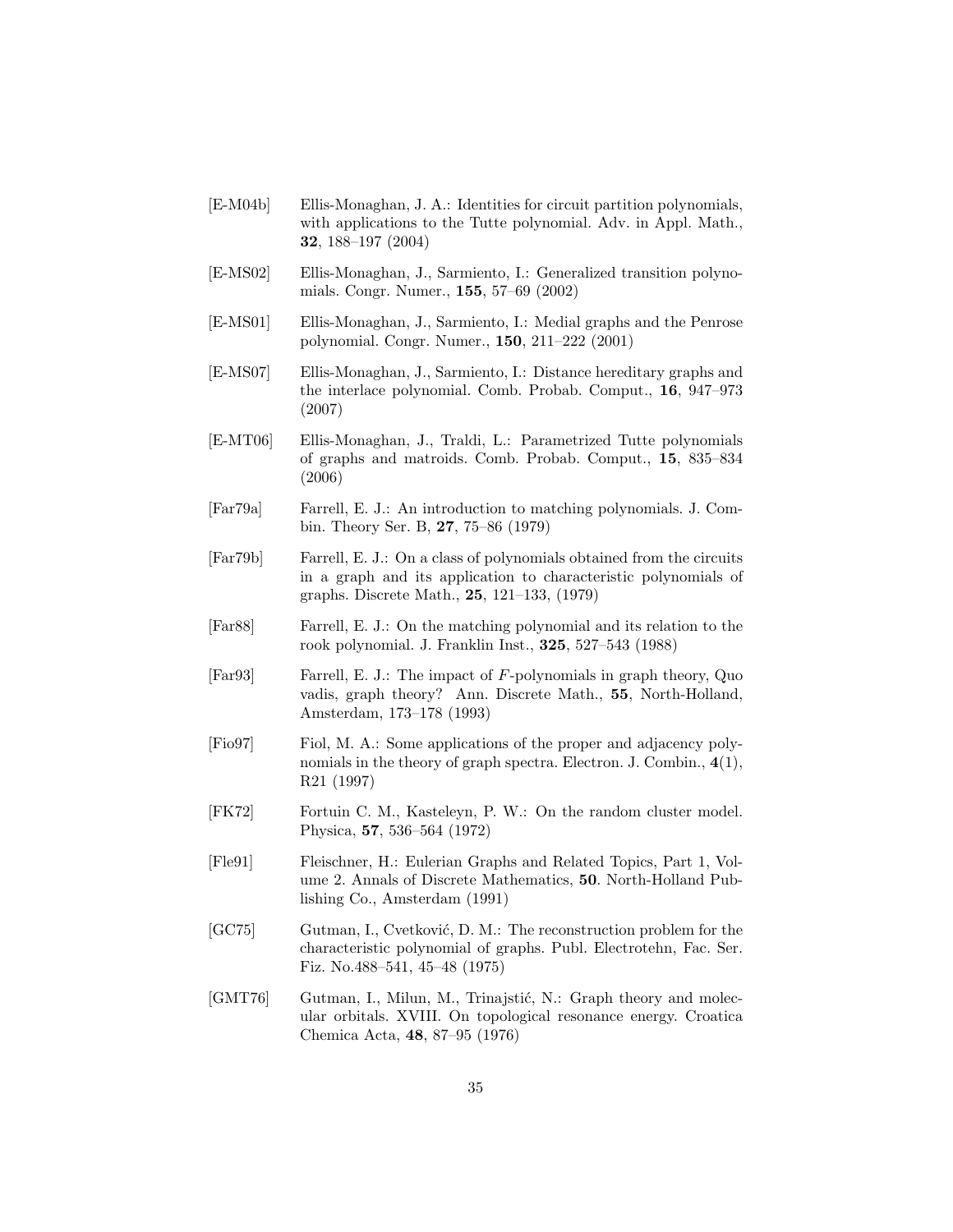- [E-M04b] Ellis-Monaghan, J. A.: Identities for circuit partition polynomials, with applications to the Tutte polynomial. Adv. in Appl. Math., 32, 188–197 (2004)
- [E-MS02] Ellis-Monaghan, J., Sarmiento, I.: Generalized transition polynomials. Congr. Numer., 155, 57–69 (2002)
- [E-MS01] Ellis-Monaghan, J., Sarmiento, I.: Medial graphs and the Penrose polynomial. Congr. Numer., 150, 211–222 (2001)
- [E-MS07] Ellis-Monaghan, J., Sarmiento, I.: Distance hereditary graphs and the interlace polynomial. Comb. Probab. Comput., 16, 947–973 (2007)
- [E-MT06] Ellis-Monaghan, J., Traldi, L.: Parametrized Tutte polynomials of graphs and matroids. Comb. Probab. Comput., 15, 835–834 (2006)
- [Far79a] Farrell, E. J.: An introduction to matching polynomials. J. Combin. Theory Ser. B, 27, 75–86 (1979)
- [Far79b] Farrell, E. J.: On a class of polynomials obtained from the circuits in a graph and its application to characteristic polynomials of graphs. Discrete Math., 25, 121–133, (1979)
- [Far88] Farrell, E. J.: On the matching polynomial and its relation to the rook polynomial. J. Franklin Inst., 325, 527–543 (1988)
- [Far93] Farrell, E. J.: The impact of F-polynomials in graph theory, Quo vadis, graph theory? Ann. Discrete Math., 55, North-Holland, Amsterdam, 173–178 (1993)
- [Fio97] Fiol, M. A.: Some applications of the proper and adjacency polynomials in the theory of graph spectra. Electron. J. Combin.,  $4(1)$ , R21 (1997)
- [FK72] Fortuin C. M., Kasteleyn, P. W.: On the random cluster model. Physica, 57, 536–564 (1972)
- [Fle91] Fleischner, H.: Eulerian Graphs and Related Topics, Part 1, Volume 2. Annals of Discrete Mathematics, 50. North-Holland Publishing Co., Amsterdam (1991)
- [GC75] Gutman, I., Cvetković, D. M.: The reconstruction problem for the characteristic polynomial of graphs. Publ. Electrotehn, Fac. Ser. Fiz. No.488–541, 45–48 (1975)
- [GMT76] Gutman, I., Milun, M., Trinajstić, N.: Graph theory and molecular orbitals. XVIII. On topological resonance energy. Croatica Chemica Acta, 48, 87–95 (1976)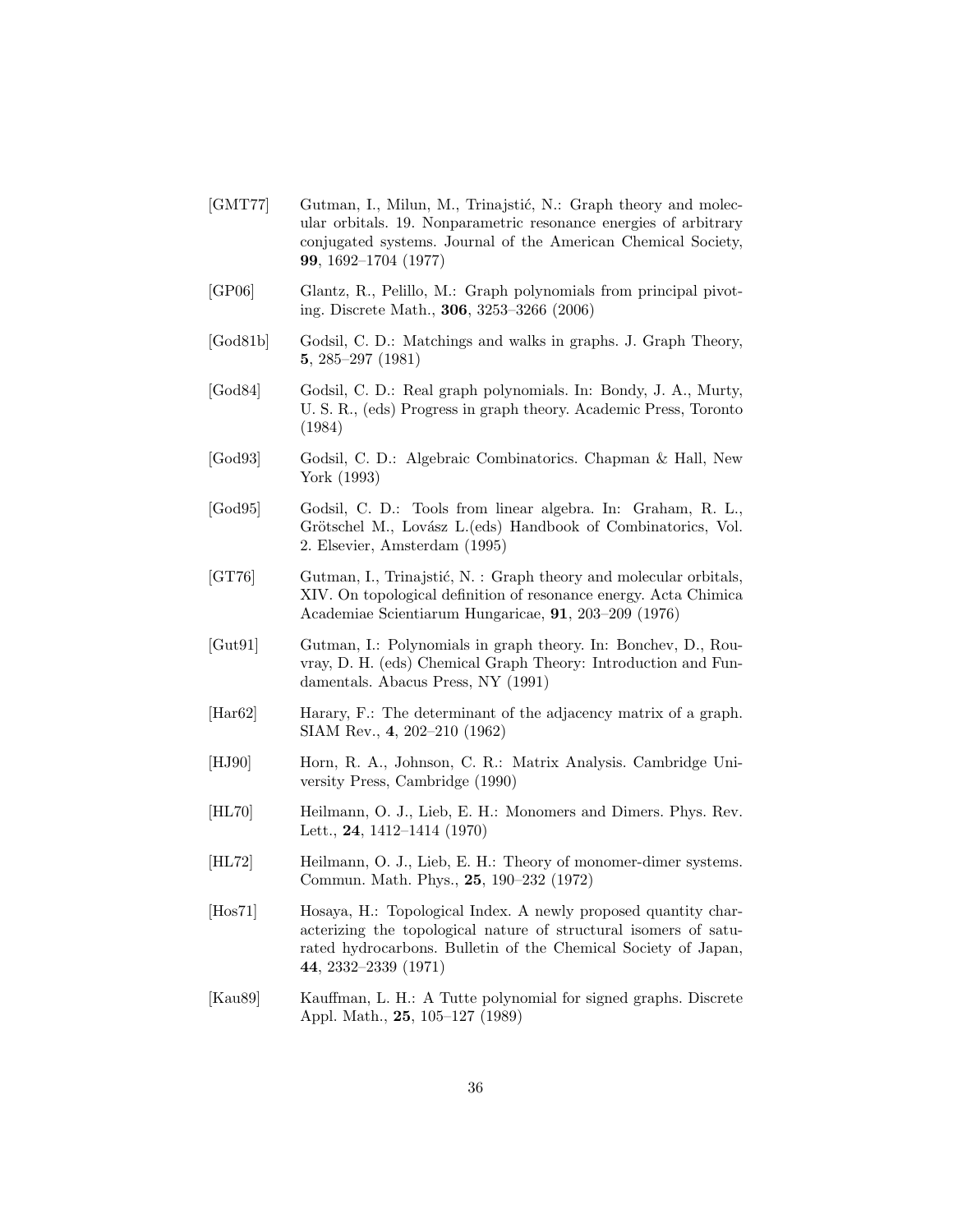- [GMT77] Gutman, I., Milun, M., Trinajstić, N.: Graph theory and molecular orbitals. 19. Nonparametric resonance energies of arbitrary conjugated systems. Journal of the American Chemical Society, 99, 1692–1704 (1977)
- [GP06] Glantz, R., Pelillo, M.: Graph polynomials from principal pivoting. Discrete Math., 306, 3253–3266 (2006)
- [God81b] Godsil, C. D.: Matchings and walks in graphs. J. Graph Theory, 5, 285–297 (1981)
- [God84] Godsil, C. D.: Real graph polynomials. In: Bondy, J. A., Murty, U. S. R., (eds) Progress in graph theory. Academic Press, Toronto (1984)
- [God93] Godsil, C. D.: Algebraic Combinatorics. Chapman & Hall, New York (1993)
- [God95] Godsil, C. D.: Tools from linear algebra. In: Graham, R. L., Grötschel M., Lovász L.(eds) Handbook of Combinatorics, Vol. 2. Elsevier, Amsterdam (1995)
- [GT76] Gutman, I., Trinajstić, N. : Graph theory and molecular orbitals, XIV. On topological definition of resonance energy. Acta Chimica Academiae Scientiarum Hungaricae, 91, 203–209 (1976)
- [Gut91] Gutman, I.: Polynomials in graph theory. In: Bonchev, D., Rouvray, D. H. (eds) Chemical Graph Theory: Introduction and Fundamentals. Abacus Press, NY (1991)
- [Har62] Harary, F.: The determinant of the adjacency matrix of a graph. SIAM Rev., 4, 202–210 (1962)
- [HJ90] Horn, R. A., Johnson, C. R.: Matrix Analysis. Cambridge University Press, Cambridge (1990)
- [HL70] Heilmann, O. J., Lieb, E. H.: Monomers and Dimers. Phys. Rev. Lett., 24, 1412–1414 (1970)
- [HL72] Heilmann, O. J., Lieb, E. H.: Theory of monomer-dimer systems. Commun. Math. Phys., 25, 190–232 (1972)
- [Hos71] Hosaya, H.: Topological Index. A newly proposed quantity characterizing the topological nature of structural isomers of saturated hydrocarbons. Bulletin of the Chemical Society of Japan, 44, 2332–2339 (1971)
- [Kau89] Kauffman, L. H.: A Tutte polynomial for signed graphs. Discrete Appl. Math., 25, 105–127 (1989)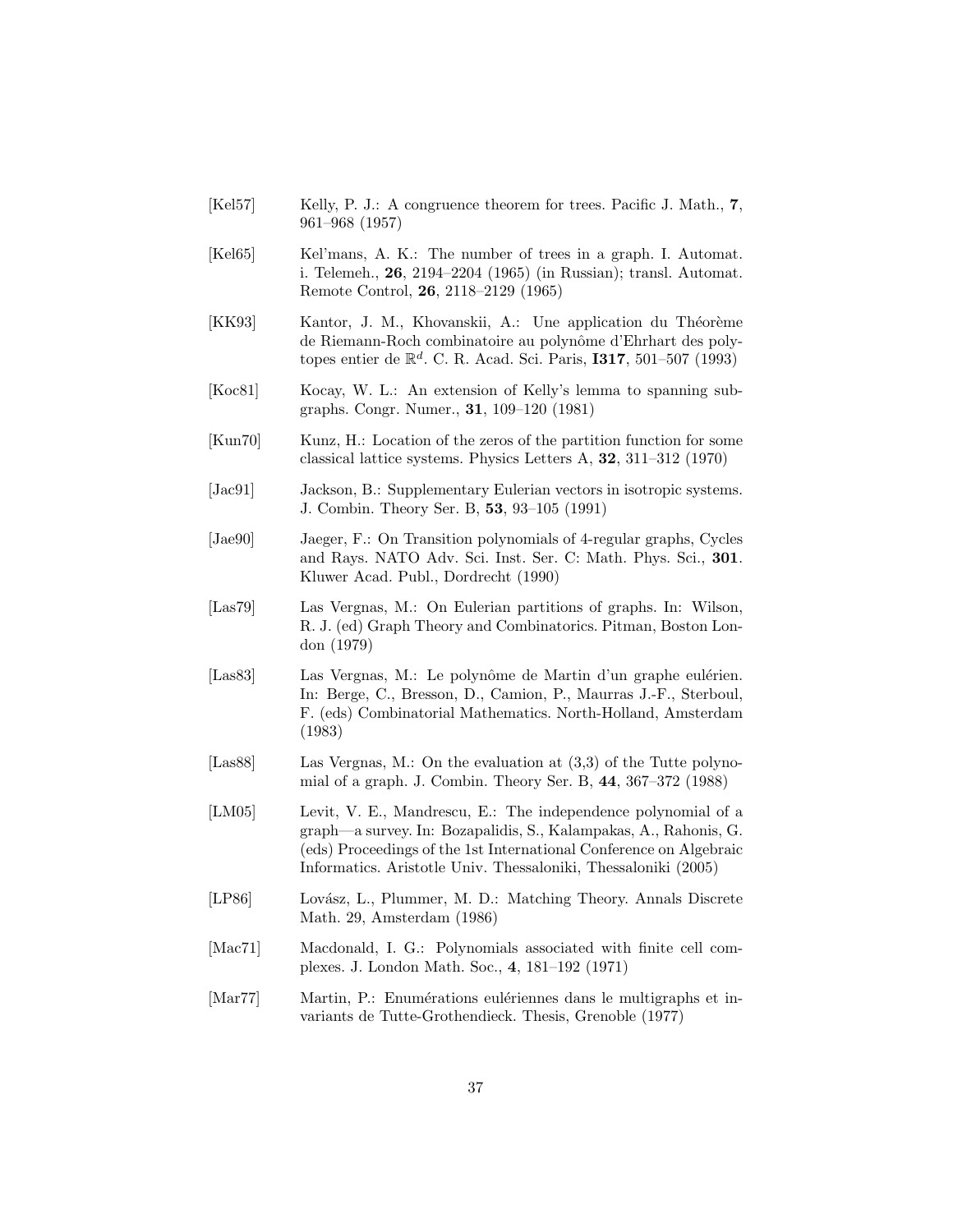- [Kel57] Kelly, P. J.: A congruence theorem for trees. Pacific J. Math., 7, 961–968 (1957)
- [Kel65] Kel'mans, A. K.: The number of trees in a graph. I. Automat. i. Telemeh., 26, 2194–2204 (1965) (in Russian); transl. Automat. Remote Control, 26, 2118–2129 (1965)
- [KK93] Kantor, J. M., Khovanskii, A.: Une application du Théorème de Riemann-Roch combinatoire au polynôme d'Ehrhart des polytopes entier de  $\mathbb{R}^d$ . C. R. Acad. Sci. Paris, **1317**, 501–507 (1993)
- [Koc81] Kocay, W. L.: An extension of Kelly's lemma to spanning subgraphs. Congr. Numer., 31, 109–120 (1981)
- [Kun70] Kunz, H.: Location of the zeros of the partition function for some classical lattice systems. Physics Letters A, 32, 311–312 (1970)
- [Jac91] Jackson, B.: Supplementary Eulerian vectors in isotropic systems. J. Combin. Theory Ser. B, 53, 93–105 (1991)
- [Jae90] Jaeger, F.: On Transition polynomials of 4-regular graphs, Cycles and Rays. NATO Adv. Sci. Inst. Ser. C: Math. Phys. Sci., 301. Kluwer Acad. Publ., Dordrecht (1990)
- [Las79] Las Vergnas, M.: On Eulerian partitions of graphs. In: Wilson, R. J. (ed) Graph Theory and Combinatorics. Pitman, Boston London (1979)
- [Las83] Las Vergnas, M.: Le polynôme de Martin d'un graphe eulérien. In: Berge, C., Bresson, D., Camion, P., Maurras J.-F., Sterboul, F. (eds) Combinatorial Mathematics. North-Holland, Amsterdam (1983)
- [Las88] Las Vergnas, M.: On the evaluation at (3,3) of the Tutte polynomial of a graph. J. Combin. Theory Ser. B, 44, 367–372 (1988)
- [LM05] Levit, V. E., Mandrescu, E.: The independence polynomial of a graph—a survey. In: Bozapalidis, S., Kalampakas, A., Rahonis, G. (eds) Proceedings of the 1st International Conference on Algebraic Informatics. Aristotle Univ. Thessaloniki, Thessaloniki (2005)
- [LP86] Lovász, L., Plummer, M. D.: Matching Theory. Annals Discrete Math. 29, Amsterdam (1986)
- [Mac71] Macdonald, I. G.: Polynomials associated with finite cell complexes. J. London Math. Soc., 4, 181–192 (1971)
- [Mar77] Martin, P.: Enumérations eulériennes dans le multigraphs et invariants de Tutte-Grothendieck. Thesis, Grenoble (1977)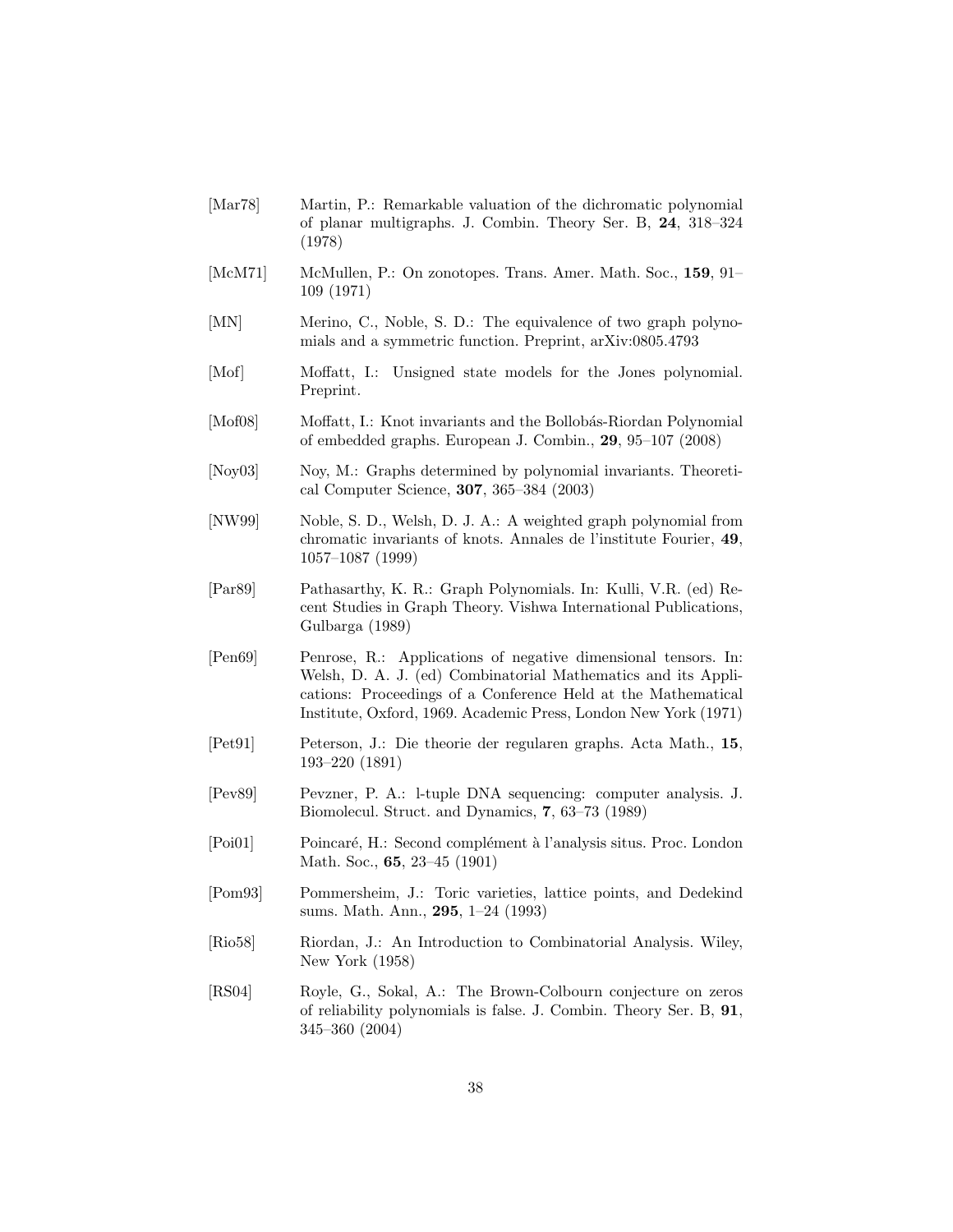| $\left[ \text{Mar78} \right]$ | Martin, P.: Remarkable valuation of the dichromatic polynomial |
|-------------------------------|----------------------------------------------------------------|
|                               | of planar multigraphs. J. Combin. Theory Ser. B, 24, 318-324   |
|                               | (1978)                                                         |

- [McM71] McMullen, P.: On zonotopes. Trans. Amer. Math. Soc., 159, 91– 109 (1971)
- [MN] Merino, C., Noble, S. D.: The equivalence of two graph polynomials and a symmetric function. Preprint, arXiv:0805.4793
- [Mof] Moffatt, I.: Unsigned state models for the Jones polynomial. Preprint.
- [Mof08] Moffatt, I.: Knot invariants and the Bollobás-Riordan Polynomial of embedded graphs. European J. Combin., 29, 95–107 (2008)
- [Noy03] Noy, M.: Graphs determined by polynomial invariants. Theoretical Computer Science, 307, 365–384 (2003)
- [NW99] Noble, S. D., Welsh, D. J. A.: A weighted graph polynomial from chromatic invariants of knots. Annales de l'institute Fourier, 49, 1057–1087 (1999)
- [Par89] Pathasarthy, K. R.: Graph Polynomials. In: Kulli, V.R. (ed) Recent Studies in Graph Theory. Vishwa International Publications, Gulbarga (1989)
- [Pen69] Penrose, R.: Applications of negative dimensional tensors. In: Welsh, D. A. J. (ed) Combinatorial Mathematics and its Applications: Proceedings of a Conference Held at the Mathematical Institute, Oxford, 1969. Academic Press, London New York (1971)
- [Pet91] Peterson, J.: Die theorie der regularen graphs. Acta Math., 15, 193–220 (1891)
- [Pev89] Pevzner, P. A.: l-tuple DNA sequencing: computer analysis. J. Biomolecul. Struct. and Dynamics, 7, 63–73 (1989)
- [Poi01] Poincaré, H.: Second complément à l'analysis situs. Proc. London Math. Soc., 65, 23–45 (1901)
- [Pom93] Pommersheim, J.: Toric varieties, lattice points, and Dedekind sums. Math. Ann., 295, 1–24 (1993)
- [Rio58] Riordan, J.: An Introduction to Combinatorial Analysis. Wiley, New York (1958)
- [RS04] Royle, G., Sokal, A.: The Brown-Colbourn conjecture on zeros of reliability polynomials is false. J. Combin. Theory Ser. B, 91, 345–360 (2004)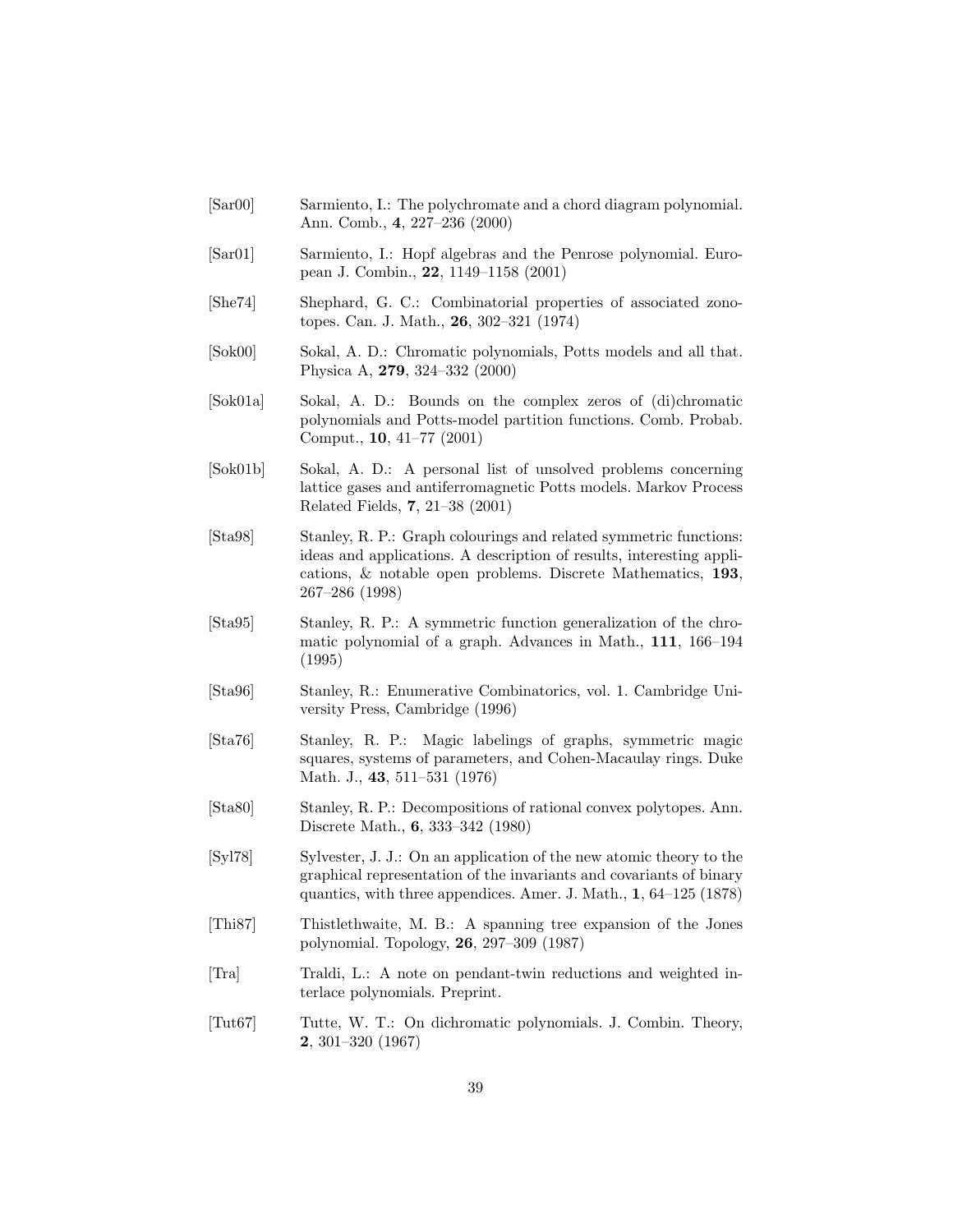- [Sar00] Sarmiento, I.: The polychromate and a chord diagram polynomial. Ann. Comb., 4, 227–236 (2000)
- [Sar01] Sarmiento, I.: Hopf algebras and the Penrose polynomial. European J. Combin., 22, 1149–1158 (2001)
- [She74] Shephard, G. C.: Combinatorial properties of associated zonotopes. Can. J. Math., 26, 302–321 (1974)
- [Sok00] Sokal, A. D.: Chromatic polynomials, Potts models and all that. Physica A, 279, 324–332 (2000)
- [Sok01a] Sokal, A. D.: Bounds on the complex zeros of (di)chromatic polynomials and Potts-model partition functions. Comb. Probab. Comput., 10, 41–77 (2001)
- [Sok01b] Sokal, A. D.: A personal list of unsolved problems concerning lattice gases and antiferromagnetic Potts models. Markov Process Related Fields, 7, 21–38 (2001)
- [Sta98] Stanley, R. P.: Graph colourings and related symmetric functions: ideas and applications. A description of results, interesting applications, & notable open problems. Discrete Mathematics, 193, 267–286 (1998)
- [Sta95] Stanley, R. P.: A symmetric function generalization of the chromatic polynomial of a graph. Advances in Math., 111, 166–194 (1995)
- [Sta96] Stanley, R.: Enumerative Combinatorics, vol. 1. Cambridge University Press, Cambridge (1996)
- [Sta76] Stanley, R. P.: Magic labelings of graphs, symmetric magic squares, systems of parameters, and Cohen-Macaulay rings. Duke Math. J., 43, 511–531 (1976)
- [Sta80] Stanley, R. P.: Decompositions of rational convex polytopes. Ann. Discrete Math., 6, 333–342 (1980)
- [Syl78] Sylvester, J. J.: On an application of the new atomic theory to the graphical representation of the invariants and covariants of binary quantics, with three appendices. Amer. J. Math., 1, 64–125 (1878)
- [Thi87] Thistlethwaite, M. B.: A spanning tree expansion of the Jones polynomial. Topology, 26, 297–309 (1987)
- [Tra] Traldi, L.: A note on pendant-twin reductions and weighted interlace polynomials. Preprint.
- [Tut67] Tutte, W. T.: On dichromatic polynomials. J. Combin. Theory, 2, 301–320 (1967)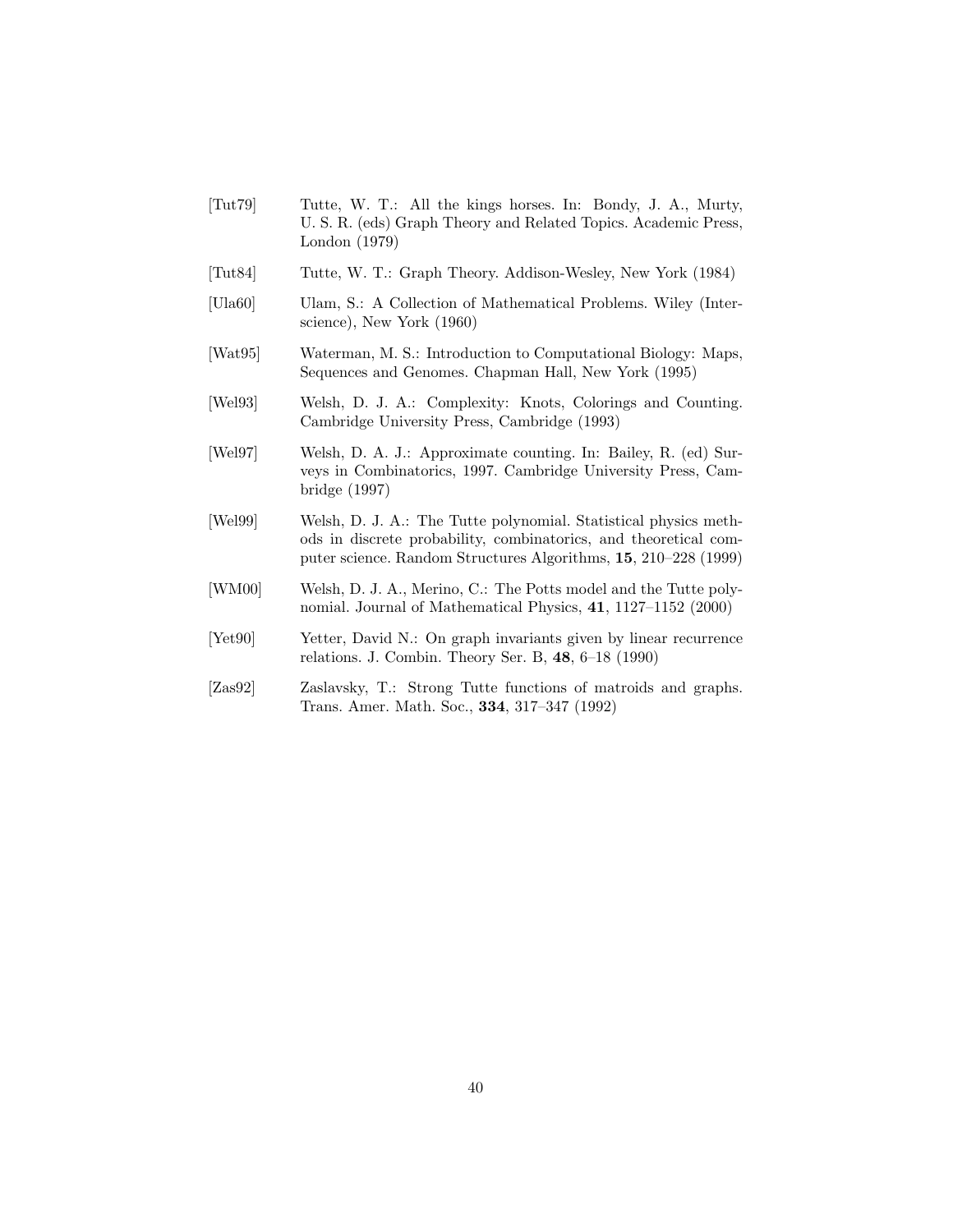- [Tut79] Tutte, W. T.: All the kings horses. In: Bondy, J. A., Murty, U. S. R. (eds) Graph Theory and Related Topics. Academic Press, London (1979)
- [Tut84] Tutte, W. T.: Graph Theory. Addison-Wesley, New York (1984)
- [Ula60] Ulam, S.: A Collection of Mathematical Problems. Wiley (Interscience), New York (1960)
- [Wat95] Waterman, M. S.: Introduction to Computational Biology: Maps, Sequences and Genomes. Chapman Hall, New York (1995)
- [Wel93] Welsh, D. J. A.: Complexity: Knots, Colorings and Counting. Cambridge University Press, Cambridge (1993)
- [Wel97] Welsh, D. A. J.: Approximate counting. In: Bailey, R. (ed) Surveys in Combinatorics, 1997. Cambridge University Press, Cambridge (1997)
- [Wel99] Welsh, D. J. A.: The Tutte polynomial. Statistical physics methods in discrete probability, combinatorics, and theoretical computer science. Random Structures Algorithms, 15, 210–228 (1999)
- [WM00] Welsh, D. J. A., Merino, C.: The Potts model and the Tutte polynomial. Journal of Mathematical Physics, 41, 1127–1152 (2000)
- [Yet90] Yetter, David N.: On graph invariants given by linear recurrence relations. J. Combin. Theory Ser. B, 48, 6–18 (1990)
- [Zas92] Zaslavsky, T.: Strong Tutte functions of matroids and graphs. Trans. Amer. Math. Soc., 334, 317–347 (1992)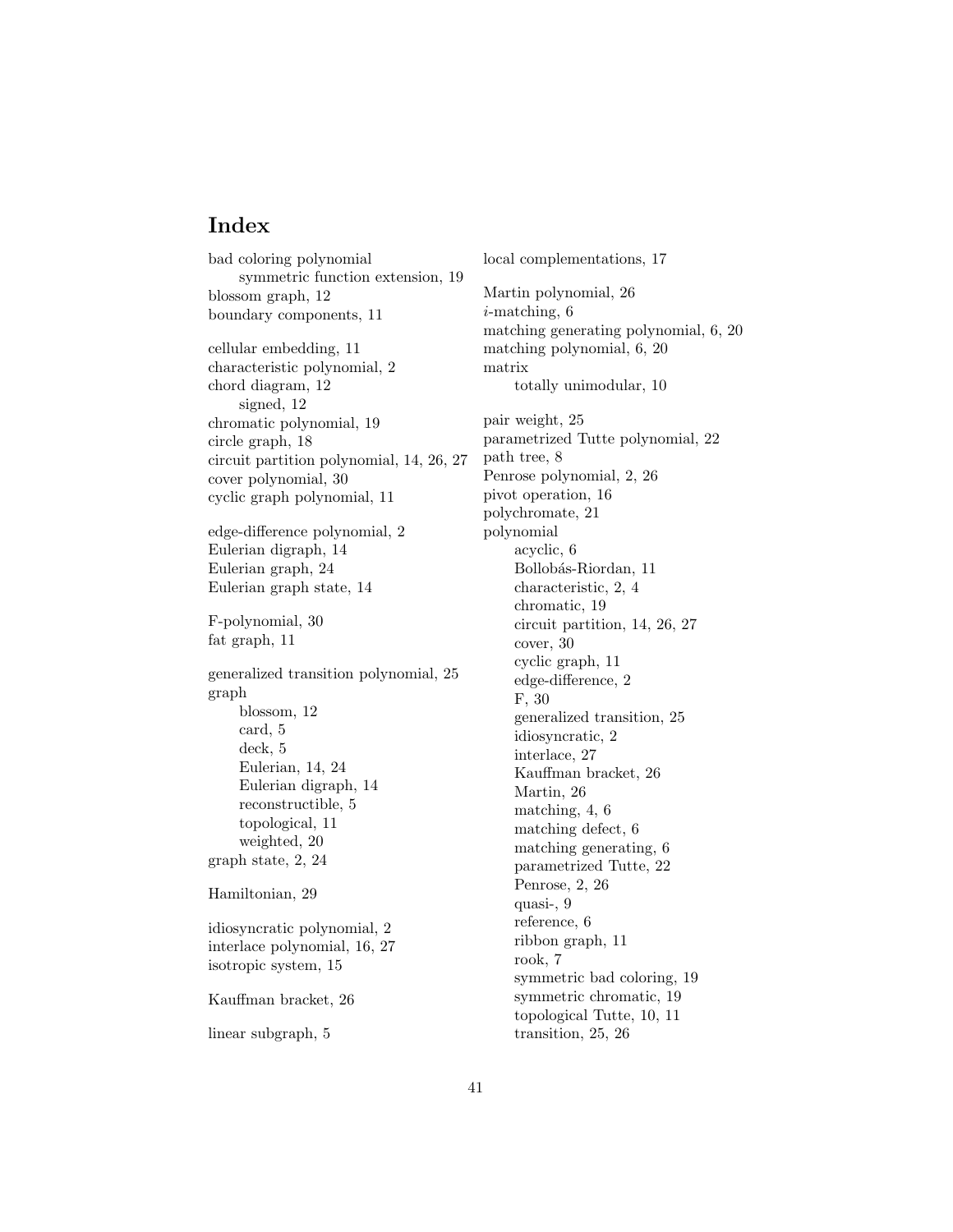# Index

bad coloring polynomial symmetric function extension, 19 blossom graph, 12 boundary components, 11 cellular embedding, 11 characteristic polynomial, 2 chord diagram, 12 signed, 12 chromatic polynomial, 19 circle graph, 18 circuit partition polynomial, 14, 26, 27 cover polynomial, 30 cyclic graph polynomial, 11 edge-difference polynomial, 2 Eulerian digraph, 14 Eulerian graph, 24 Eulerian graph state, 14 F-polynomial, 30 fat graph, 11 generalized transition polynomial, 25 graph blossom, 12 card, 5 deck, 5 Eulerian, 14, 24 Eulerian digraph, 14 reconstructible, 5 topological, 11 weighted, 20 graph state, 2, 24 Hamiltonian, 29 idiosyncratic polynomial, 2 interlace polynomial, 16, 27 isotropic system, 15 Kauffman bracket, 26 linear subgraph, 5

local complementations, 17 Martin polynomial, 26 i-matching, 6 matching generating polynomial, 6, 20 matching polynomial, 6, 20 matrix totally unimodular, 10 pair weight, 25 parametrized Tutte polynomial, 22 path tree, 8 Penrose polynomial, 2, 26 pivot operation, 16 polychromate, 21 polynomial acyclic, 6 Bollobás-Riordan, 11 characteristic, 2, 4 chromatic, 19 circuit partition, 14, 26, 27 cover, 30 cyclic graph, 11 edge-difference, 2 F, 30 generalized transition, 25 idiosyncratic, 2 interlace, 27 Kauffman bracket, 26 Martin, 26 matching, 4, 6 matching defect, 6 matching generating, 6 parametrized Tutte, 22 Penrose, 2, 26 quasi-, 9 reference, 6 ribbon graph, 11 rook, 7 symmetric bad coloring, 19 symmetric chromatic, 19 topological Tutte, 10, 11 transition, 25, 26